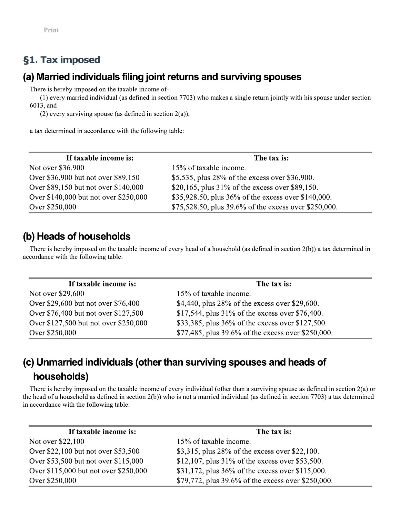Print -

## **g1. Tax imposed**

Print<br> **§1. Tax imposed**<br> **(a) Married individuals filing joint returns and surviving spouses**<br>
There is hereby imposed on the taxable income of-<br>
(1) every married individual (as defined in section 7703) who makes a sing

| If taxable income is:                 | The tax is:                                           |  |  |
|---------------------------------------|-------------------------------------------------------|--|--|
| Not over \$36,900                     | 15% of taxable income.                                |  |  |
| Over \$36,900 but not over \$89,150   | \$5,535, plus 28% of the excess over \$36,900.        |  |  |
| Over \$89,150 but not over \$140,000  | \$20,165, plus $31\%$ of the excess over \$89,150.    |  |  |
| Over \$140,000 but not over \$250,000 | \$35,928.50, plus 36% of the excess over \$140,000.   |  |  |
| Over \$250,000                        | \$75,528.50, plus 39.6% of the excess over \$250,000. |  |  |

| Over \$89,150 but not over \$140,000                                                               | \$20,165, plus $31\%$ of the excess over \$89,150.                                                                                            |  |  |  |
|----------------------------------------------------------------------------------------------------|-----------------------------------------------------------------------------------------------------------------------------------------------|--|--|--|
| Over \$140,000 but not over \$250,000                                                              | \$35,928.50, plus 36% of the excess over \$140,000.                                                                                           |  |  |  |
| Over \$250,000                                                                                     | \$75,528.50, plus 39.6% of the excess over \$250,000.                                                                                         |  |  |  |
| (b) Heads of households                                                                            |                                                                                                                                               |  |  |  |
| accordance with the following table:                                                               |                                                                                                                                               |  |  |  |
| If taxable income is:                                                                              | There is hereby imposed on the taxable income of every head of a household (as defined in section $2(b)$ ) a tax determined in<br>The tax is: |  |  |  |
|                                                                                                    | 15% of taxable income.                                                                                                                        |  |  |  |
| Over \$29,600 but not over \$76,400                                                                | \$4,440, plus 28% of the excess over \$29,600.                                                                                                |  |  |  |
|                                                                                                    | \$17,544, plus 31% of the excess over \$76,400.                                                                                               |  |  |  |
| Not over \$29,600<br>Over \$76,400 but not over \$127,500<br>Over \$127,500 but not over \$250,000 | \$33,385, plus 36% of the excess over \$127,500.                                                                                              |  |  |  |

# (c) Unmarried individuals (other than surviving spouses and heads of

| OVER $127,000$ but not over $120,000$                                           | $3333303$ , plus $30\%$ of the excess over $3127300$ .                                                                                           |  |  |
|---------------------------------------------------------------------------------|--------------------------------------------------------------------------------------------------------------------------------------------------|--|--|
| Over \$250,000                                                                  | \$77,485, plus 39.6% of the excess over \$250,000.                                                                                               |  |  |
| households)                                                                     | (c) Unmarried individuals (other than surviving spouses and heads of                                                                             |  |  |
|                                                                                 |                                                                                                                                                  |  |  |
|                                                                                 |                                                                                                                                                  |  |  |
| If taxable income is:                                                           | the head of a household as defined in section 2(b)) who is not a married individual (as defined in section 7703) a tax determined<br>The tax is: |  |  |
|                                                                                 | 15% of taxable income.                                                                                                                           |  |  |
| Not over \$22,100<br>Over \$22,100 but not over \$53,500                        | \$3,315, plus 28% of the excess over \$22,100.                                                                                                   |  |  |
| in accordance with the following table:<br>Over \$53,500 but not over \$115,000 |                                                                                                                                                  |  |  |
| Over \$115,000 but not over \$250,000                                           | \$12,107, plus 31% of the excess over \$53,500.<br>\$31,172, plus 36% of the excess over \$115,000.                                              |  |  |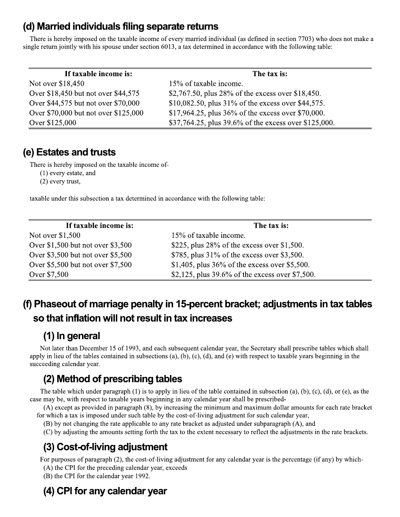### (d) Married individuals filing separate returns

There is hereby imposed on the taxable income of every married individual (as defined in section 7703) who does not make a single return jointly with his spouse under section 6013, a tax determined in accordance with the following table:

| If taxable income is:                | The tax is:                                           |  |
|--------------------------------------|-------------------------------------------------------|--|
| Not over \$18,450                    | 15% of taxable income.                                |  |
| Over \$18,450 but not over \$44,575  | \$2,767.50, plus 28% of the excess over \$18,450.     |  |
| Over \$44,575 but not over \$70,000  | \$10,082.50, plus $31\%$ of the excess over \$44,575. |  |
| Over \$70,000 but not over \$125,000 | \$17,964.25, plus $36\%$ of the excess over \$70,000. |  |
| Over \$125,000                       | \$37,764.25, plus 39.6% of the excess over \$125,000. |  |

### (e) Estates and trusts

There is hereby imposed on the taxable income of-

 $(1)$  every estate, and

 $(2)$  every trust,

taxable under this subsection a tax determined in accordance with the following table:

| If taxable income is:               | The tax is:                                        |
|-------------------------------------|----------------------------------------------------|
| Not over \$1,500                    | 15% of taxable income.                             |
| Over $$1,500$ but not over $$3,500$ | \$225, plus $28\%$ of the excess over \$1,500.     |
| Over $$3,500$ but not over $$5,500$ | \$785, plus $31\%$ of the excess over \$3,500.     |
| Over \$5,500 but not over \$7,500   | \$1,405, plus $36\%$ of the excess over \$5,500.   |
| Over \$7,500                        | \$2,125, plus $39.6\%$ of the excess over \$7,500. |

### (f) Phaseout of marriage penalty in 15-percent bracket; adjustments in tax tables so that inflation will not result in tax increases

### (1) In general

Not later than December 15 of 1993, and each subsequent calendar year, the Secretary shall prescribe tables which shall apply in lieu of the tables contained in subsections (a), (b), (c), (d), and (e) with respect to taxable years beginning in the succeeding calendar year.

### (2) Method of prescribing tables

The table which under paragraph  $(1)$  is to apply in lieu of the table contained in subsection  $(a)$ ,  $(b)$ ,  $(c)$ ,  $(d)$ , or  $(e)$ , as the case may be, with respect to taxable years beginning in any calendar year shall be prescribed-

(A) except as provided in paragraph (8), by increasing the minimum and maximum dollar amounts for each rate bracket for which a tax is imposed under such table by the cost-of-living adjustment for such calendar year,

(B) by not changing the rate applicable to any rate bracket as adjusted under subparagraph (A), and

(C) by adjusting the amounts setting forth the tax to the extent necessary to reflect the adjustments in the rate brackets.

## (3) Cost-of-living adjustment

For purposes of paragraph (2), the cost-of-living adjustment for any calendar year is the percentage (if any) by which-

(A) the CPI for the preceding calendar year, exceeds

(B) the CPI for the calendar year 1992.

## (4) CPI for any calendar year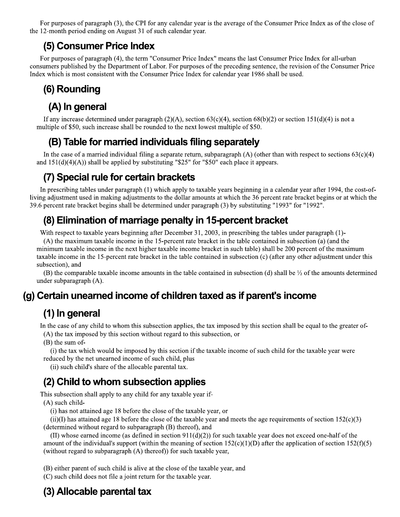For purposes of paragraph (3), the CPI for any calendar year is the average of the Consumer Price Index as of the close of the 12-month period ending on August 31 of such calendar year.

### (5) Consumer Price Index

For purposes of paragraph (4), the term "Consumer Price Index" means the last Consumer Price Index for all-urban consumers published by the Department of Labor. For purposes of the preceding sentence, the revision of the Consumer Price Index which is most consistent with the Consumer Price Index for calendar year 1986 shall be used.

### (6) Rounding

### (A) In general

If any increase determined under paragraph (2)(A), section 63(c)(4), section 68(b)(2) or section 151(d)(4) is not a multiple of \$50, such increase shall be rounded to the next lowest multiple of \$50.

### (B) Table for married individuals filing separately

In the case of a married individual filing a separate return, subparagraph (A) (other than with respect to sections  $63(c)(4)$ and  $151(d)(4)(A)$  shall be applied by substituting "\$25" for "\$50" each place it appears.

### (7) Special rule for certain brackets

In prescribing tables under paragraph (1) which apply to taxable years beginning in a calendar year after 1994, the cost-ofliving adjustment used in making adjustments to the dollar amounts at which the 36 percent rate bracket begins or at which the 39.6 percent rate bracket begins shall be determined under paragraph (3) by substituting "1993" for "1992".

### (8) Elimination of marriage penalty in 15-percent bracket

With respect to taxable years beginning after December 31, 2003, in prescribing the tables under paragraph (1)-

(A) the maximum taxable income in the 15-percent rate bracket in the table contained in subsection (a) (and the minimum taxable income in the next higher taxable income bracket in such table) shall be 200 percent of the maximum taxable income in the 15-percent rate bracket in the table contained in subsection (c) (after any other adjustment under this subsection), and

(B) the comparable taxable income amounts in the table contained in subsection (d) shall be  $\frac{1}{2}$  of the amounts determined under subparagraph  $(A)$ .

### (g) Certain unearned income of children taxed as if parent's income

### (1) In general

In the case of any child to whom this subsection applies, the tax imposed by this section shall be equal to the greater of-(A) the tax imposed by this section without regard to this subsection, or

 $(B)$  the sum of-

(i) the tax which would be imposed by this section if the taxable income of such child for the taxable year were reduced by the net unearned income of such child, plus

(ii) such child's share of the allocable parental tax.

### (2) Child to whom subsection applies

This subsection shall apply to any child for any taxable year if- $(A)$  such child-

(i) has not attained age 18 before the close of the taxable year, or

(ii)(I) has attained age 18 before the close of the taxable year and meets the age requirements of section  $152(c)(3)$ (determined without regard to subparagraph (B) thereof), and

(II) whose earned income (as defined in section  $911(d)(2)$ ) for such taxable year does not exceed one-half of the amount of the individual's support (within the meaning of section  $152(c)(1)(D)$  after the application of section  $152(f)(5)$ (without regard to subparagraph (A) thereof)) for such taxable year,

(B) either parent of such child is alive at the close of the taxable year, and

(C) such child does not file a joint return for the taxable year.

## (3) Allocable parental tax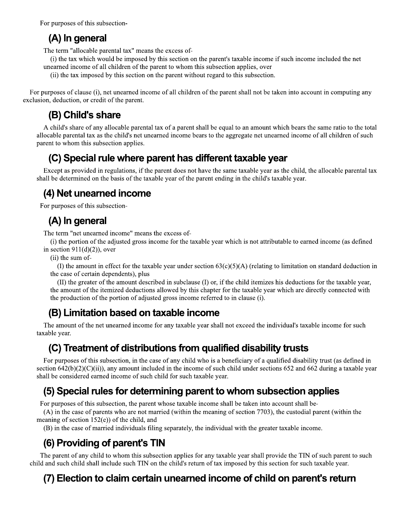For purposes of this subsection-

### (A) In general

The term "allocable parental tax" means the excess of-

- (i) the tax which would be imposed by this section on the parent's taxable income if such income included the net unearned income of all children of the parent to whom this subsection applies, over
	- (ii) the tax imposed by this section on the parent without regard to this subsection.

For purposes of clause (i), net unearned income of all children of the parent shall not be taken into account in computing any exclusion, deduction, or credit of the parent.

### (B) Child's share

A child's share of any allocable parental tax of a parent shall be equal to an amount which bears the same ratio to the total allocable parental tax as the child's net unearned income bears to the aggregate net unearned income of all children of such parent to whom this subsection applies.

### (C) Special rule where parent has different taxable year

Except as provided in regulations, if the parent does not have the same taxable year as the child, the allocable parental tax shall be determined on the basis of the taxable year of the parent ending in the child's taxable year.

## (4) Net unearned income

For purposes of this subsection-

### (A) In general

The term "net unearned income" means the excess of-

(i) the portion of the adjusted gross income for the taxable year which is not attributable to earned income (as defined in section  $911(d)(2)$ , over

(ii) the sum of-

(I) the amount in effect for the taxable year under section  $63(c)(5)(A)$  (relating to limitation on standard deduction in the case of certain dependents), plus

(II) the greater of the amount described in subclause (I) or, if the child itemizes his deductions for the taxable year, the amount of the itemized deductions allowed by this chapter for the taxable year which are directly connected with the production of the portion of adjusted gross income referred to in clause (i).

### (B) Limitation based on taxable income

The amount of the net unearned income for any taxable year shall not exceed the individual's taxable income for such taxable year.

### (C) Treatment of distributions from qualified disability trusts

For purposes of this subsection, in the case of any child who is a beneficiary of a qualified disability trust (as defined in section  $642(b)(2)(C)(ii)$ , any amount included in the income of such child under sections 652 and 662 during a taxable year shall be considered earned income of such child for such taxable year.

## (5) Special rules for determining parent to whom subsection applies

For purposes of this subsection, the parent whose taxable income shall be taken into account shall be-

(A) in the case of parents who are not married (within the meaning of section 7703), the custodial parent (within the meaning of section  $152(e)$ ) of the child, and

(B) in the case of married individuals filing separately, the individual with the greater taxable income.

## (6) Providing of parent's TIN

The parent of any child to whom this subsection applies for any taxable year shall provide the TIN of such parent to such child and such child shall include such TIN on the child's return of tax imposed by this section for such taxable year.

## (7) Election to claim certain unearned income of child on parent's return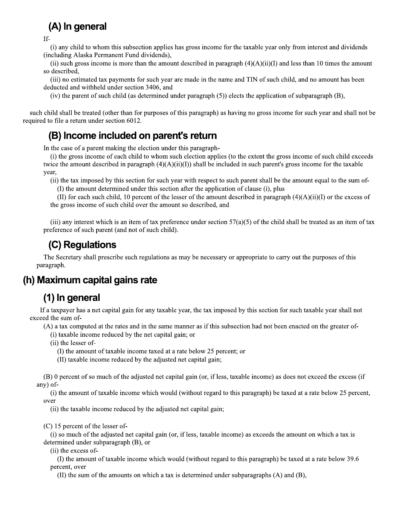# (A) In general

If-

(i) any child to whom this subsection applies has gross income for the taxable year only from interest and dividends (including Alaska Permanent Fund dividends).

(ii) such gross income is more than the amount described in paragraph  $(4)(A)(i)(I)$  and less than 10 times the amount so described,

(iii) no estimated tax payments for such year are made in the name and TIN of such child, and no amount has been deducted and withheld under section 3406, and

(iv) the parent of such child (as determined under paragraph  $(5)$ ) elects the application of subparagraph  $(B)$ ,

such child shall be treated (other than for purposes of this paragraph) as having no gross income for such year and shall not be required to file a return under section 6012.

### (B) Income included on parent's return

In the case of a parent making the election under this paragraph-

(i) the gross income of each child to whom such election applies (to the extent the gross income of such child exceeds twice the amount described in paragraph  $(4)(A)(ii)(I)$  shall be included in such parent's gross income for the taxable year,

(ii) the tax imposed by this section for such year with respect to such parent shall be the amount equal to the sum of-

(I) the amount determined under this section after the application of clause (i), plus

(II) for each such child, 10 percent of the lesser of the amount described in paragraph  $(4)(A)(ii)(I)$  or the excess of the gross income of such child over the amount so described, and

(iii) any interest which is an item of tax preference under section  $57(a)(5)$  of the child shall be treated as an item of tax preference of such parent (and not of such child).

### (C) Regulations

The Secretary shall prescribe such regulations as may be necessary or appropriate to carry out the purposes of this paragraph.

### (h) Maximum capital gains rate

### (1) In general

If a taxpayer has a net capital gain for any taxable year, the tax imposed by this section for such taxable year shall not exceed the sum of-

(A) a tax computed at the rates and in the same manner as if this subsection had not been enacted on the greater of-

(i) taxable income reduced by the net capital gain; or

(ii) the lesser of-

(I) the amount of taxable income taxed at a rate below 25 percent; or

(II) taxable income reduced by the adjusted net capital gain;

(B) 0 percent of so much of the adjusted net capital gain (or, if less, taxable income) as does not exceed the excess (if any) of-

(i) the amount of taxable income which would (without regard to this paragraph) be taxed at a rate below 25 percent, over

(ii) the taxable income reduced by the adjusted net capital gain;

 $(C)$  15 percent of the lesser of-

(i) so much of the adjusted net capital gain (or, if less, taxable income) as exceeds the amount on which a tax is determined under subparagraph (B), or

(ii) the excess of-

(I) the amount of taxable income which would (without regard to this paragraph) be taxed at a rate below 39.6 percent, over

(II) the sum of the amounts on which a tax is determined under subparagraphs  $(A)$  and  $(B)$ ,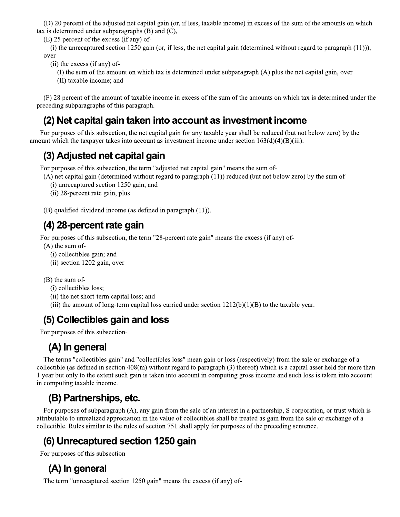(D) 20 percent of the adjusted net capital gain (or, if less, taxable income) in excess of the sum of the amounts on which tax is determined under subparagraphs  $(B)$  and  $(C)$ ,

(E) 25 percent of the excess (if any) of-

(i) the unrecaptured section 1250 gain (or, if less, the net capital gain (determined without regard to paragraph  $(11)$ )), over

- (ii) the excess (if any) of-
	- (I) the sum of the amount on which tax is determined under subparagraph (A) plus the net capital gain, over
	- (II) taxable income; and

(F) 28 percent of the amount of taxable income in excess of the sum of the amounts on which tax is determined under the preceding subparagraphs of this paragraph.

### (2) Net capital gain taken into account as investment income

For purposes of this subsection, the net capital gain for any taxable year shall be reduced (but not below zero) by the amount which the taxpayer takes into account as investment income under section  $163(d)(4)(B)(iii)$ .

### (3) Adjusted net capital gain

For purposes of this subsection, the term "adjusted net capital gain" means the sum of-

 $(A)$  net capital gain (determined without regard to paragraph  $(11)$ ) reduced (but not below zero) by the sum of-

- (i) unrecaptured section 1250 gain, and
- (ii) 28-percent rate gain, plus
- (B) qualified dividend income (as defined in paragraph (11)).

### (4) 28-percent rate gain

For purposes of this subsection, the term "28-percent rate gain" means the excess (if any) of-

- $(A)$  the sum of-
	- (i) collectibles gain; and
	- (ii) section 1202 gain, over

 $(B)$  the sum of-

- (i) collectibles loss;
- (ii) the net short-term capital loss; and
- (iii) the amount of long-term capital loss carried under section  $1212(b)(1)(B)$  to the taxable year.

### (5) Collectibles gain and loss

For purposes of this subsection-

## (A) In general

The terms "collectibles gain" and "collectibles loss" mean gain or loss (respectively) from the sale or exchange of a collectible (as defined in section  $408(m)$  without regard to paragraph (3) thereof) which is a capital asset held for more than 1 year but only to the extent such gain is taken into account in computing gross income and such loss is taken into account in computing taxable income.

## (B) Partnerships, etc.

For purposes of subparagraph (A), any gain from the sale of an interest in a partnership, S corporation, or trust which is attributable to unrealized appreciation in the value of collectibles shall be treated as gain from the sale or exchange of a collectible. Rules similar to the rules of section 751 shall apply for purposes of the preceding sentence.

### (6) Unrecaptured section 1250 gain

For purposes of this subsection-

## (A) In general

The term "unrecaptured section 1250 gain" means the excess (if any) of-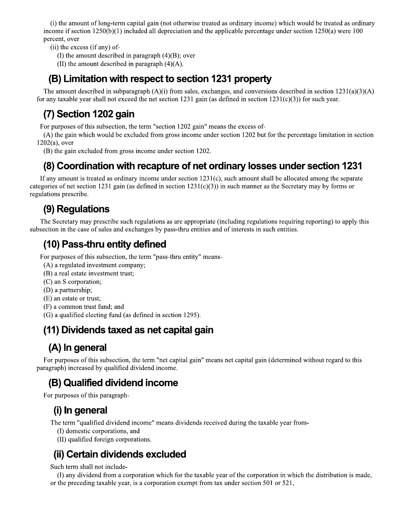(i) the amount of long-term capital gain (not otherwise treated as ordinary income) which would be treated as ordinary income if section  $1250(b)(1)$  included all depreciation and the applicable percentage under section  $1250(a)$  were 100 percent, over

- (ii) the excess (if any) of-
	- (I) the amount described in paragraph  $(4)(B)$ ; over
	- (II) the amount described in paragraph  $(4)(A)$ .

### (B) Limitation with respect to section 1231 property

The amount described in subparagraph (A)(i) from sales, exchanges, and conversions described in section 1231(a)(3)(A) for any taxable year shall not exceed the net section 1231 gain (as defined in section  $1231(c)(3)$ ) for such year.

### (7) Section 1202 gain

For purposes of this subsection, the term "section 1202 gain" means the excess of-

(A) the gain which would be excluded from gross income under section 1202 but for the percentage limitation in section  $1202(a)$ , over

(B) the gain excluded from gross income under section 1202.

### (8) Coordination with recapture of net ordinary losses under section 1231

If any amount is treated as ordinary income under section  $1231(c)$ , such amount shall be allocated among the separate categories of net section 1231 gain (as defined in section  $1231(c)(3)$ ) in such manner as the Secretary may by forms or regulations prescribe.

### (9) Regulations

The Secretary may prescribe such regulations as are appropriate (including regulations requiring reporting) to apply this subsection in the case of sales and exchanges by pass-thru entities and of interests in such entities.

### (10) Pass-thru entity defined

For purposes of this subsection, the term "pass-thru entity" means-

- (A) a regulated investment company;
- (B) a real estate investment trust;
- (C) an S corporation;
- (D) a partnership;
- (E) an estate or trust;
- (F) a common trust fund; and

(G) a qualified electing fund (as defined in section 1295).

### (11) Dividends taxed as net capital gain

### (A) In general

For purposes of this subsection, the term "net capital gain" means net capital gain (determined without regard to this paragraph) increased by qualified dividend income.

### (B) Qualified dividend income

For purposes of this paragraph-

### (i) In general

The term "qualified dividend income" means dividends received during the taxable year from-

- (I) domestic corporations, and
- (II) qualified foreign corporations.

### (ii) Certain dividends excluded

Such term shall not include-

(I) any dividend from a corporation which for the taxable year of the corporation in which the distribution is made, or the preceding taxable year, is a corporation exempt from tax under section 501 or 521,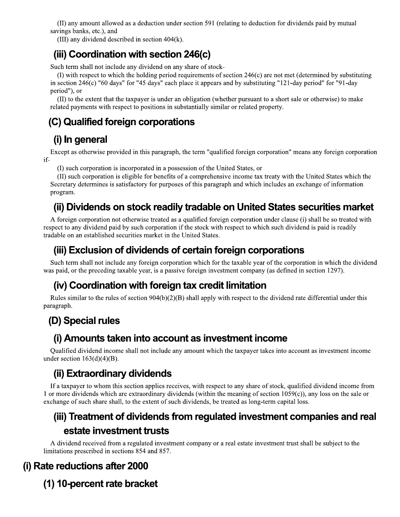(II) any amount allowed as a deduction under section 591 (relating to deduction for dividends paid by mutual savings banks, etc.), and

(III) any dividend described in section 404(k).

### (iii) Coordination with section 246(c)

Such term shall not include any dividend on any share of stock-

(I) with respect to which the holding period requirements of section 246(c) are not met (determined by substituting in section 246(c) "60 days" for "45 days" each place it appears and by substituting "121-day period" for "91-day period"), or

(II) to the extent that the taxpayer is under an obligation (whether pursuant to a short sale or otherwise) to make related payments with respect to positions in substantially similar or related property.

## (C) Qualified foreign corporations

## (i) In general

Except as otherwise provided in this paragraph, the term "qualified foreign corporation" means any foreign corporation  $if-$ 

(I) such corporation is incorporated in a possession of the United States, or

(II) such corporation is eligible for benefits of a comprehensive income tax treaty with the United States which the Secretary determines is satisfactory for purposes of this paragraph and which includes an exchange of information program.

### (ii) Dividends on stock readily tradable on United States securities market

A foreign corporation not otherwise treated as a qualified foreign corporation under clause (i) shall be so treated with respect to any dividend paid by such corporation if the stock with respect to which such dividend is paid is readily tradable on an established securities market in the United States.

### (iii) Exclusion of dividends of certain foreign corporations

Such term shall not include any foreign corporation which for the taxable year of the corporation in which the dividend was paid, or the preceding taxable year, is a passive foreign investment company (as defined in section 1297).

### (iv) Coordination with foreign tax credit limitation

Rules similar to the rules of section  $904(b)(2)(B)$  shall apply with respect to the dividend rate differential under this paragraph.

## (D) Special rules

### (i) Amounts taken into account as investment income

Qualified dividend income shall not include any amount which the taxpayer takes into account as investment income under section  $163(d)(4)(B)$ .

### (ii) Extraordinary dividends

If a taxpayer to whom this section applies receives, with respect to any share of stock, qualified dividend income from 1 or more dividends which are extraordinary dividends (within the meaning of section 1059(c)), any loss on the sale or exchange of such share shall, to the extent of such dividends, be treated as long-term capital loss.

### (iii) Treatment of dividends from regulated investment companies and real estate investment trusts

A dividend received from a regulated investment company or a real estate investment trust shall be subject to the limitations prescribed in sections 854 and 857.

### (i) Rate reductions after 2000

(1) 10-percent rate bracket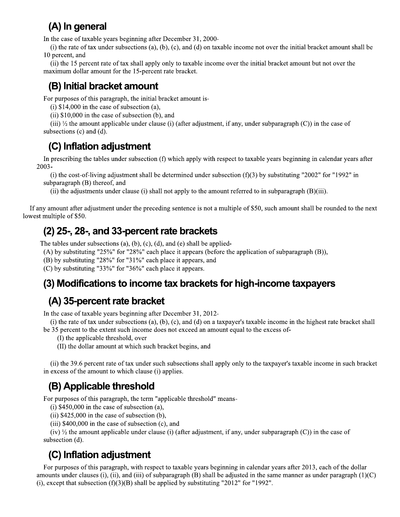### (A) In general

In the case of taxable years beginning after December 31, 2000-

(i) the rate of tax under subsections (a), (b), (c), and (d) on taxable income not over the initial bracket amount shall be 10 percent, and

(ii) the 15 percent rate of tax shall apply only to taxable income over the initial bracket amount but not over the maximum dollar amount for the 15-percent rate bracket.

### (B) Initial bracket amount

For purposes of this paragraph, the initial bracket amount is-

(i)  $$14,000$  in the case of subsection (a),

(ii)  $$10,000$  in the case of subsection (b), and

(iii)  $\frac{1}{2}$  the amount applicable under clause (i) (after adjustment, if any, under subparagraph (C)) in the case of subsections  $(c)$  and  $(d)$ .

### (C) Inflation adjustment

In prescribing the tables under subsection (f) which apply with respect to taxable years beginning in calendar years after 2003-

(i) the cost-of-living adjustment shall be determined under subsection  $(f)(3)$  by substituting "2002" for "1992" in subparagraph (B) thereof, and

(ii) the adjustments under clause (i) shall not apply to the amount referred to in subparagraph  $(B)(iii)$ .

If any amount after adjustment under the preceding sentence is not a multiple of \$50, such amount shall be rounded to the next lowest multiple of \$50.

### $(2)$  25-, 28-, and 33-percent rate brackets

The tables under subsections  $(a)$ ,  $(b)$ ,  $(c)$ ,  $(d)$ , and  $(e)$  shall be applied-

(A) by substituting "25%" for "28%" each place it appears (before the application of subparagraph (B)),

(B) by substituting "28%" for "31%" each place it appears, and

(C) by substituting "33%" for "36%" each place it appears.

### (3) Modifications to income tax brackets for high-income taxpayers

### (A) 35-percent rate bracket

In the case of taxable years beginning after December 31, 2012-

(i) the rate of tax under subsections (a), (b), (c), and (d) on a taxpayer's taxable income in the highest rate bracket shall be 35 percent to the extent such income does not exceed an amount equal to the excess of-

(I) the applicable threshold, over

(II) the dollar amount at which such bracket begins, and

(ii) the 39.6 percent rate of tax under such subsections shall apply only to the taxpayer's taxable income in such bracket in excess of the amount to which clause (i) applies.

## (B) Applicable threshold

For purposes of this paragraph, the term "applicable threshold" means-

(i)  $$450,000$  in the case of subsection (a),

(ii)  $$425,000$  in the case of subsection (b),

 $(iii)$  \$400,000 in the case of subsection (c), and

(iv)  $\frac{1}{2}$  the amount applicable under clause (i) (after adjustment, if any, under subparagraph (C)) in the case of subsection (d).

## (C) Inflation adjustment

For purposes of this paragraph, with respect to taxable years beginning in calendar years after 2013, each of the dollar amounts under clauses (i), (ii), and (iii) of subparagraph (B) shall be adjusted in the same manner as under paragraph  $(1)(C)$ (i), except that subsection  $(f)(3)(B)$  shall be applied by substituting "2012" for "1992".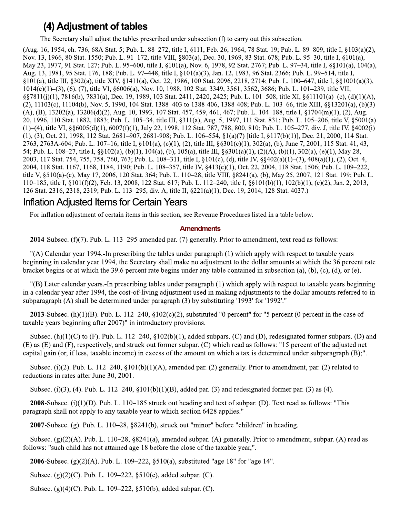### (4) Adjustment of tables

The Secretary shall adjust the tables prescribed under subsection (f) to carry out this subsection.

(Aug. 16, 1954, ch. 736, 68A Stat. 5; Pub. L. 88–272, title I, §111, Feb. 26, 1964, 78 Stat. 19; Pub. L. 89–809, title I, §103(a)(2), Nov. 13, 1966, 80 Stat. 1550; Pub. L. 91-172, title VIII, §803(a), Dec. 30, 1969, 83 Stat. 678; Pub. L. 95-30, title I, §101(a), May 23, 1977, 91 Stat. 127; Pub. L. 95–600, title I, §101(a), Nov. 6, 1978, 92 Stat. 2767; Pub. L. 97–34, title I, §§101(a), 104(a), Aug. 13, 1981, 95 Stat. 176, 188; Pub. L. 97–448, title I, §101(a)(3), Jan. 12, 1983, 96 Stat. 2366; Pub. L. 99–514, title I, §101(a), title III, §302(a), title XIV, §1411(a), Oct. 22, 1986, 100 Stat. 2096, 2218, 2714; Pub. L. 100–647, title I, §§1001(a)(3), 1014(e)(1)-(3), (6), (7), title VI, §6006(a), Nov. 10, 1988, 102 Stat. 3349, 3561, 3562, 3686; Pub. L. 101-239, title VII, §§7811(j)(1), 7816(b), 7831(a), Dec. 19, 1989, 103 Stat. 2411, 2420, 2425; Pub. L. 101–508, title XI, §§11101(a)–(c), (d)(1)(A), (2), 11103(c), 11104(b), Nov. 5, 1990, 104 Stat. 1388–403 to 1388-406, 1388-408; Pub. L. 103–66, title XIII, §§13201(a), (b)(3)  $(A)$ ,  $(B)$ , 13202(a), 13206(d)(2), Aug. 10, 1993, 107 Stat. 457, 459, 461, 467; Pub. L. 104–188, title I, §1704(m)(1), (2), Aug. 20, 1996, 110 Stat. 1882, 1883; Pub. L. 105–34, title III, §311(a), Aug. 5, 1997, 111 Stat. 831; Pub. L. 105–206, title V, §5001(a) (1)-(4), title VI, §§6005(d)(1), 6007(f)(1), July 22, 1998, 112 Stat. 787, 788, 800, 810; Pub. L. 105-277, div. J, title IV, §4002(i)  $(1)$ ,  $(3)$ , Oct. 21, 1998, 112 Stat. 2681–907, 2681-908; Pub. L. 106–554,  $\S1(a)(7)$  [title I,  $\S117(b)(1)$ ], Dec. 21, 2000, 114 Stat. 2763, 2763A-604; Pub. L. 107-16, title I, §101(a), (c)(1), (2), title III, §§301(c)(1), 302(a), (b), June 7, 2001, 115 Stat. 41, 43, 54; Pub. L. 108–27, title I, §§102(a), (b)(1), 104(a), (b), 105(a), title III, §§301(a)(1), (2)(A), (b)(1), 302(a), (e)(1), May 28, 2003, 117 Stat. 754, 755, 758, 760, 763; Pub. L. 108-311, title I, §101(c), (d), title IV, §§402(a)(1)-(3), 408(a)(1), (2), Oct. 4, 2004, 118 Stat. 1167, 1168, 1184, 1190; Pub. L. 108–357, title IV, §413(c)(1), Oct. 22, 2004, 118 Stat. 1506; Pub. L. 109–222, title V, §510(a)-(c), May 17, 2006, 120 Stat. 364; Pub. L. 110–28, title VIII, §8241(a), (b), May 25, 2007, 121 Stat. 199; Pub. L. 110–185, title I, §101(f)(2), Feb. 13, 2008, 122 Stat. 617; Pub. L. 112–240, title I, §§101(b)(1), 102(b)(1), (c)(2), Jan. 2, 2013, 126 Stat. 2316, 2318, 2319; Pub. L. 113-295, div. A, title II, §221(a)(1), Dec. 19, 2014, 128 Stat. 4037.)

### **Inflation Adjusted Items for Certain Years**

For inflation adjustment of certain items in this section, see Revenue Procedures listed in a table below.

#### **Amendments**

**2014**-Subsec.  $(f)(7)$ . Pub. L. 113–295 amended par. (7) generally. Prior to amendment, text read as follows:

"(A) Calendar year 1994.-In prescribing the tables under paragraph (1) which apply with respect to taxable years beginning in calendar year 1994, the Secretary shall make no adjustment to the dollar amounts at which the 36 percent rate bracket begins or at which the 39.6 percent rate begins under any table contained in subsection  $(a)$ ,  $(b)$ ,  $(c)$ ,  $(d)$ , or  $(e)$ .

"(B) Later calendar years. In prescribing tables under paragraph (1) which apply with respect to taxable years beginning in a calendar year after 1994, the cost-of-living adjustment used in making adjustments to the dollar amounts referred to in subparagraph (A) shall be determined under paragraph (3) by substituting '1993' for '1992'."

2013-Subsec. (h)(1)(B). Pub. L. 112–240, §102(c)(2), substituted "0 percent" for "5 percent (0 percent in the case of taxable years beginning after 2007)" in introductory provisions.

Subsec. (h)(1)(C) to (F). Pub. L. 112–240, §102(b)(1), added subpars. (C) and (D), redesignated former subpars. (D) and (E) as (E) and (F), respectively, and struck out former subpar. (C) which read as follows: "15 percent of the adjusted net capital gain (or, if less, taxable income) in excess of the amount on which a tax is determined under subparagraph  $(B)$ .".

Subsec. (i)(2). Pub. L. 112–240, §101(b)(1)(A), amended par. (2) generally. Prior to amendment, par. (2) related to reductions in rates after June 30, 2001.

Subsec. (i)(3), (4). Pub. L. 112–240, §101(b)(1)(B), added par. (3) and redesignated former par. (3) as (4).

**2008**-Subsec. ( $i$ )( $1$ )( $D$ ). Pub. L. 110–185 struck out heading and text of subpar. ( $D$ ). Text read as follows: "This paragraph shall not apply to any taxable year to which section 6428 applies."

2007-Subsec. (g). Pub. L.  $110-28$ ,  $\S 8241(b)$ , struck out "minor" before "children" in heading.

Subsec.  $(g)(2)(A)$ . Pub. L. 110–28, §8241(a), amended subpar. (A) generally. Prior to amendment, subpar. (A) read as follows: "such child has not attained age 18 before the close of the taxable year,".

**2006**-Subsec. (g)(2)(A). Pub. L. 109–222, §510(a), substituted "age 18" for "age 14".

Subsec. (g)(2)(C). Pub. L. 109–222, §510(c), added subpar. (C).

Subsec. (g)(4)(C). Pub. L. 109–222, §510(b), added subpar. (C).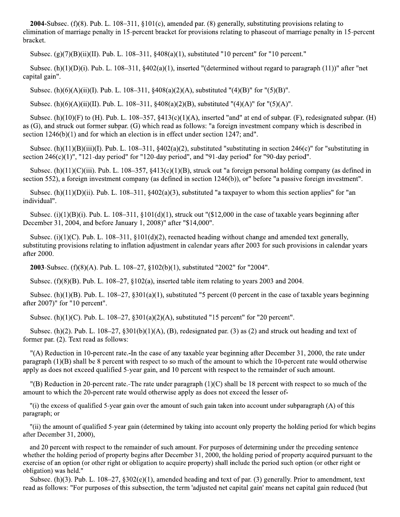**2004**-Subsec. (f)(8). Pub. L.  $108-311$ ,  $\S101(c)$ , amended par. (8) generally, substituting provisions relating to elimination of marriage penalty in 15-percent bracket for provisions relating to phaseout of marriage penalty in 15-percent bracket.

Subsec.  $(g)(7)(B)(ii)(II)$ . Pub. L. 108-311, §408(a)(1), substituted "10 percent" for "10 percent."

Subsec.  $(h)(1)(D)(i)$ . Pub. L. 108-311, §402(a)(1), inserted "(determined without regard to paragraph (11))" after "net capital gain".

Subsec. (h)(6)(A)(ii)(I). Pub. L. 108–311, §408(a)(2)(A), substituted "(4)(B)" for "(5)(B)".

Subsec. (h)(6)(A)(ii)(II). Pub. L. 108–311, §408(a)(2)(B), substituted "(4)(A)" for "(5)(A)".

Subsec. (h)(10)(F) to (H). Pub. L. 108–357, §413(c)(1)(A), inserted "and" at end of subpar. (F), redesignated subpar. (H) as (G), and struck out former subpar. (G) which read as follows: "a foreign investment company which is described in section  $1246(b)(1)$  and for which an election is in effect under section  $1247$ ; and".

Subsec. (h)(11)(B)(iii)(I). Pub. L. 108–311, §402(a)(2), substituted "substituting in section 246(c)" for "substituting in section  $246(c)(1)$ ". "121-day period" for "120-day period", and "91-day period" for "90-day period".

Subsec. (h)(11)(C)(iii). Pub. L. 108–357, §413(c)(1)(B), struck out "a foreign personal holding company (as defined in section 552), a foreign investment company (as defined in section 1246(b)), or" before "a passive foreign investment".

Subsec. (h)(11)(D)(ii). Pub. L. 108–311, §402(a)(3), substituted "a taxpayer to whom this section applies" for "an individual".

Subsec.  $(i)(1)(B)(i)$ . Pub. L. 108–311, §101(d)(1), struck out "(\$12,000 in the case of taxable years beginning after December 31, 2004, and before January 1, 2008)" after "\$14,000".

Subsec. (i)(1)(C). Pub. L. 108-311, §101(d)(2), reenacted heading without change and amended text generally, substituting provisions relating to inflation adjustment in calendar years after 2003 for such provisions in calendar years after 2000.

**2003**-Subsec. (f)(8)(A). Pub. L. 108–27, §102(b)(1), substituted "2002" for "2004".

Subsec.  $(f)(8)(B)$ . Pub. L. 108–27, §102(a), inserted table item relating to years 2003 and 2004.

Subsec. (h)(1)(B). Pub. L. 108–27, §301(a)(1), substituted "5 percent (0 percent in the case of taxable years beginning after 2007)" for "10 percent".

Subsec. (h)(1)(C). Pub. L. 108–27, §301(a)(2)(A), substituted "15 percent" for "20 percent".

Subsec. (h)(2). Pub. L.  $108-27$ ,  $\S301(b)(1)(A)$ , (B), redesignated par. (3) as (2) and struck out heading and text of former par. (2). Text read as follows:

"(A) Reduction in 10-percent rate.-In the case of any taxable year beginning after December 31, 2000, the rate under paragraph  $(1)(B)$  shall be 8 percent with respect to so much of the amount to which the 10-percent rate would otherwise apply as does not exceed qualified 5-year gain, and 10 percent with respect to the remainder of such amount.

"(B) Reduction in 20-percent rate.-The rate under paragraph  $(1)(C)$  shall be 18 percent with respect to so much of the amount to which the 20-percent rate would otherwise apply as does not exceed the lesser of-

"(i) the excess of qualified 5-year gain over the amount of such gain taken into account under subparagraph (A) of this paragraph; or

"(ii) the amount of qualified 5-year gain (determined by taking into account only property the holding period for which begins after December 31, 2000),

and 20 percent with respect to the remainder of such amount. For purposes of determining under the preceding sentence whether the holding period of property begins after December 31, 2000, the holding period of property acquired pursuant to the exercise of an option (or other right or obligation to acquire property) shall include the period such option (or other right or obligation) was held."

Subsec. (h)(3). Pub. L.  $108-27$ ,  $\S302(e)(1)$ , amended heading and text of par. (3) generally. Prior to amendment, text read as follows: "For purposes of this subsection, the term 'adjusted net capital gain' means net capital gain reduced (but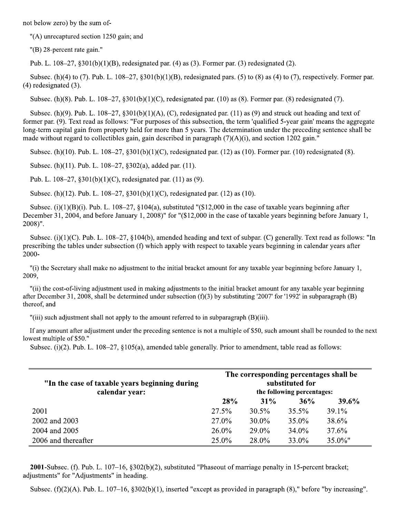not below zero) by the sum of-

 $"$ (A) unrecaptured section 1250 gain; and

 $"$ (B) 28-percent rate gain."

Pub. L.  $108-27$ ,  $\S 301(b)(1)(B)$ , redesignated par. (4) as (3). Former par. (3) redesignated (2).

Subsec. (h)(4) to (7). Pub. L. 108–27, §301(b)(1)(B), redesignated pars. (5) to (8) as (4) to (7), respectively. Former par.  $(4)$  redesignated  $(3)$ .

Subsec. (h)(8). Pub. L.  $108-27$ ,  $\S301(b)(1)(C)$ , redesignated par. (10) as (8). Former par. (8) redesignated (7).

Subsec. (h)(9). Pub. L.  $108-27$ ,  $\S301(b)(1)(A)$ , (C), redesignated par. (11) as (9) and struck out heading and text of former par. (9). Text read as follows: "For purposes of this subsection, the term 'qualified 5-year gain' means the aggregate long-term capital gain from property held for more than 5 years. The determination under the preceding sentence shall be made without regard to collectibles gain, gain described in paragraph  $(7)(A)(i)$ , and section 1202 gain."

Subsec. (h)(10). Pub. L. 108–27, §301(b)(1)(C), redesignated par. (12) as (10). Former par. (10) redesignated (8).

Subsec. (h)(11). Pub. L. 108–27, §302(a), added par. (11).

Pub. L. 108-27, §301(b)(1)(C), redesignated par. (11) as (9).

Subsec. (h)(12). Pub. L. 108–27, §301(b)(1)(C), redesignated par. (12) as (10).

Subsec. (i)(1)(B)(i). Pub. L. 108-27, §104(a), substituted "(\$12,000 in the case of taxable years beginning after December 31, 2004, and before January 1, 2008)" for "(\$12,000 in the case of taxable years beginning before January 1, 2008)".

Subsec. (i)(1)(C). Pub. L.  $108-27$ , §104(b), amended heading and text of subpar. (C) generally. Text read as follows: "In prescribing the tables under subsection (f) which apply with respect to taxable years beginning in calendar years after  $2000 -$ 

"(i) the Secretary shall make no adjustment to the initial bracket amount for any taxable year beginning before January 1, 2009.

"(ii) the cost-of-living adjustment used in making adjustments to the initial bracket amount for any taxable year beginning after December 31, 2008, shall be determined under subsection  $(f)(3)$  by substituting '2007' for '1992' in subparagraph (B) thereof, and

"(iii) such adjustment shall not apply to the amount referred to in subparagraph  $(B)(iii)$ .

If any amount after adjustment under the preceding sentence is not a multiple of \$50, such amount shall be rounded to the next lowest multiple of \$50."

Subsec.  $(i)(2)$ . Pub. L. 108–27, §105(a), amended table generally. Prior to amendment, table read as follows:

| "In the case of taxable years beginning during"<br>calendar year: | The corresponding percentages shall be<br>substituted for<br>the following percentages: |          |          |            |
|-------------------------------------------------------------------|-----------------------------------------------------------------------------------------|----------|----------|------------|
|                                                                   | 28%                                                                                     | $31\%$   | 36%      | 39.6%      |
| 2001                                                              | 27.5%                                                                                   | $30.5\%$ | $35.5\%$ | $39.1\%$   |
| 2002 and 2003                                                     | 27.0%                                                                                   | $30.0\%$ | $35.0\%$ | 38.6%      |
| 2004 and 2005                                                     | $26.0\%$                                                                                | $29.0\%$ | $34.0\%$ | 37.6%      |
| 2006 and thereafter                                               | $25.0\%$                                                                                | 28.0%    | 33.0%    | $35.0\%$ " |

2001-Subsec. (f). Pub. L. 107-16, §302(b)(2), substituted "Phaseout of marriage penalty in 15-percent bracket; adjustments" for "Adjustments" in heading.

Subsec,  $(f)(2)(A)$ . Pub. L. 107–16, §302(b)(1), inserted "except as provided in paragraph (8)," before "by increasing".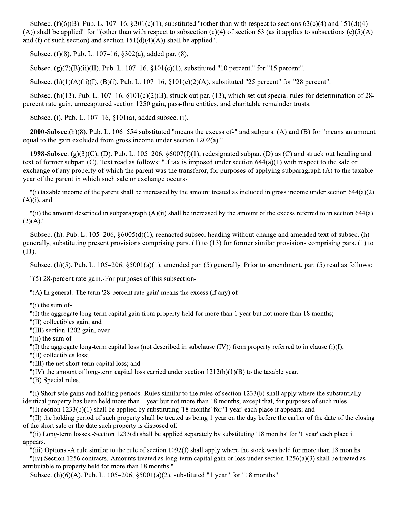Subsec. (f)(6)(B). Pub. L. 107–16, §301(c)(1), substituted "(other than with respect to sections 63(c)(4) and 151(d)(4) (A)) shall be applied" for "(other than with respect to subsection  $(c)(4)$  of section 63 (as it applies to subsections  $(c)(5)(A)$ and (f) of such section) and section  $151(d)(4)(A)$  shall be applied".

Subsec. (f)(8). Pub. L. 107-16, §302(a), added par. (8).

Subsec. (g)(7)(B)(ii)(II). Pub. L. 107-16, §101(c)(1), substituted "10 percent." for "15 percent".

Subsec. (h)(1)(A)(ii)(I), (B)(i). Pub. L. 107–16,  $\S 101(c)(2)(A)$ , substituted "25 percent" for "28 percent".

Subsec. (h)(13). Pub. L. 107–16,  $\S 101(c)(2)(B)$ , struck out par. (13), which set out special rules for determination of 28percent rate gain, unrecaptured section 1250 gain, pass-thru entities, and charitable remainder trusts.

Subsec. (i). Pub. L.  $107-16$ ,  $$101(a)$ , added subsec. (i).

**2000**-Subsec.(h)(8). Pub. L.  $106-554$  substituted "means the excess of-" and subpars. (A) and (B) for "means an amount equal to the gain excluded from gross income under section  $1202(a)$ ."

1998-Subsec.  $(g)(3)(C)$ , (D). Pub. L. 105–206, §6007(f)(1), redesignated subpar. (D) as (C) and struck out heading and text of former subpar. (C). Text read as follows: "If tax is imposed under section 644(a)(1) with respect to the sale or exchange of any property of which the parent was the transferor, for purposes of applying subparagraph (A) to the taxable year of the parent in which such sale or exchange occurs-

"(i) taxable income of the parent shall be increased by the amount treated as included in gross income under section  $644(a)(2)$  $(A)(i)$ , and

"(ii) the amount described in subparagraph  $(A)(ii)$  shall be increased by the amount of the excess referred to in section 644(a)  $(2)(A)."$ 

Subsec. (h). Pub. L.  $105-206$ ,  $\frac{6005(d)}{1}$ , reenacted subsec. heading without change and amended text of subsec. (h) generally, substituting present provisions comprising pars. (1) to (13) for former similar provisions comprising pars. (1) to  $(11).$ 

Subsec. (h)(5). Pub. L.  $105-206$ ,  $\S 5001(a)(1)$ , amended par. (5) generally. Prior to amendment, par. (5) read as follows:

 $\degree$  (5) 28-percent rate gain.-For purposes of this subsection-

"(A) In general.-The term '28-percent rate gain' means the excess (if any) of-

" $(i)$  the sum of-

"(I) the aggregate long-term capital gain from property held for more than 1 year but not more than 18 months;

"(II) collectibles gain; and

"(III) section 1202 gain, over

"(ii) the sum of-

"(I) the aggregate long-term capital loss (not described in subclause (IV)) from property referred to in clause (i)(I);

"(II) collectibles loss;

"(III) the net short-term capital loss; and

"(IV) the amount of long-term capital loss carried under section  $1212(b)(1)(B)$  to the taxable year.

"(B) Special rules.-

"(i) Short sale gains and holding periods.-Rules similar to the rules of section 1233(b) shall apply where the substantially identical property has been held more than 1 year but not more than 18 months; except that, for purposes of such rules-

"(I) section 1233(b)(1) shall be applied by substituting '18 months' for '1 year' each place it appears; and

"(II) the holding period of such property shall be treated as being 1 year on the day before the earlier of the date of the closing of the short sale or the date such property is disposed of.

"(ii) Long-term losses.-Section 1233(d) shall be applied separately by substituting '18 months' for '1 year' each place it appears.

"(iii) Options.-A rule similar to the rule of section  $1092(f)$  shall apply where the stock was held for more than 18 months.

"(iv) Section 1256 contracts.-Amounts treated as long-term capital gain or loss under section  $1256(a)(3)$  shall be treated as attributable to property held for more than 18 months."

Subsec. (h)(6)(A). Pub. L. 105–206, §5001(a)(2), substituted "1 year" for "18 months".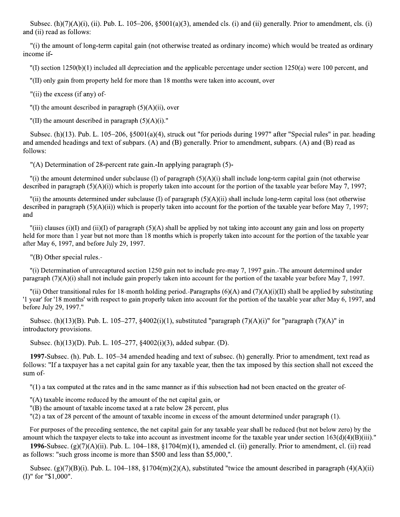Subsec. (h) $(7)(A)(i)$ , (ii). Pub. L. 105–206, §5001(a)(3), amended cls. (i) and (ii) generally. Prior to amendment, cls. (i) and (ii) read as follows:

"(i) the amount of long-term capital gain (not otherwise treated as ordinary income) which would be treated as ordinary income if-

 $\binom{n}{1}$  section 1250(b)(1) included all depreciation and the applicable percentage under section 1250(a) were 100 percent, and

"(II) only gain from property held for more than 18 months were taken into account, over

"(ii) the excess (if any) of-

"(I) the amount described in paragraph  $(5)(A)(ii)$ , over

"(II) the amount described in paragraph  $(5)(A)(i)$ ."

Subsec. (h)(13). Pub. L. 105–206, §5001(a)(4), struck out "for periods during 1997" after "Special rules" in par. heading and amended headings and text of subpars. (A) and (B) generally. Prior to amendment, subpars. (A) and (B) read as follows:

"(A) Determination of 28-percent rate gain. In applying paragraph (5)-

"(i) the amount determined under subclause (I) of paragraph  $(5)(A)(i)$  shall include long-term capital gain (not otherwise described in paragraph  $(5)(A)(i)$ ) which is properly taken into account for the portion of the taxable year before May 7, 1997;

"(ii) the amounts determined under subclause (I) of paragraph  $(5)(A)(ii)$  shall include long-term capital loss (not otherwise described in paragraph  $(5)(A)(ii)$ ) which is properly taken into account for the portion of the taxable year before May 7, 1997; and

"(iii) clauses (i)(I) and (ii)(I) of paragraph (5)(A) shall be applied by not taking into account any gain and loss on property held for more than 1 year but not more than 18 months which is properly taken into account for the portion of the taxable year after May 6, 1997, and before July 29, 1997.

"(B) Other special rules.-

"(i) Determination of unrecaptured section 1250 gain not to include pre-may 7, 1997 gain.-The amount determined under paragraph  $(7)(A)(i)$  shall not include gain properly taken into account for the portion of the taxable year before May 7, 1997.

"(ii) Other transitional rules for 18-month holding period.-Paragraphs  $(6)(A)$  and  $(7)(A)(i)(II)$  shall be applied by substituting '1 year' for '18 months' with respect to gain properly taken into account for the portion of the taxable year after May 6, 1997, and before July 29, 1997."

Subsec. (h)(13)(B). Pub. L. 105–277, §4002(i)(1), substituted "paragraph (7)(A)(i)" for "paragraph (7)(A)" in introductory provisions.

Subsec. (h)(13)(D). Pub. L. 105–277,  $\S4002(i)(3)$ , added subpar. (D).

1997-Subsec. (h). Pub. L. 105–34 amended heading and text of subsec. (h) generally. Prior to amendment, text read as follows: "If a taxpayer has a net capital gain for any taxable year, then the tax imposed by this section shall not exceed the sum of-

"(1) a tax computed at the rates and in the same manner as if this subsection had not been enacted on the greater of-

"(A) taxable income reduced by the amount of the net capital gain, or

"(B) the amount of taxable income taxed at a rate below 28 percent, plus

 $\Gamma(2)$  a tax of 28 percent of the amount of taxable income in excess of the amount determined under paragraph (1).

For purposes of the preceding sentence, the net capital gain for any taxable year shall be reduced (but not below zero) by the amount which the taxpayer elects to take into account as investment income for the taxable year under section  $163(d)(4)(B)(iii)$ ."

1996-Subsec. (g)(7)(A)(ii). Pub. L. 104–188, §1704(m)(1), amended cl. (ii) generally. Prior to amendment, cl. (ii) read as follows: "such gross income is more than \$500 and less than \$5,000,".

Subsec. (g)(7)(B)(i). Pub. L. 104–188, §1704(m)(2)(A), substituted "twice the amount described in paragraph (4)(A)(ii)  $(I)$ " for "\$1,000".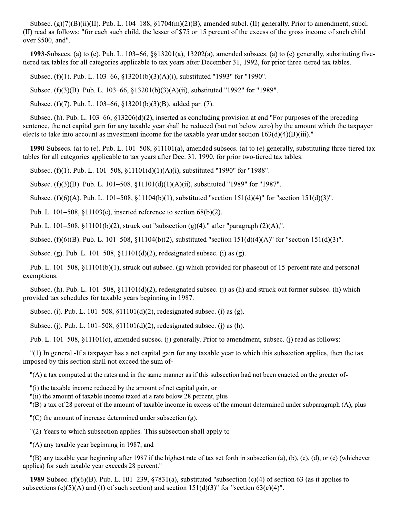Subsec.  $(g)(7)(B)(ii)(II)$ . Pub. L. 104–188, §1704(m)(2)(B), amended subcl. (II) generally. Prior to amendment, subcl. (II) read as follows: "for each such child, the lesser of \$75 or 15 percent of the excess of the gross income of such child over \$500, and".

1993-Subsecs. (a) to (e). Pub. L.  $103-66$ ,  $\S$  $13201(a)$ ,  $13202(a)$ , amended subsecs. (a) to (e) generally, substituting fivetiered tax tables for all categories applicable to tax years after December 31, 1992, for prior three-tiered tax tables.

Subsec. (f)(1). Pub. L. 103–66, §13201(b)(3)(A)(i), substituted "1993" for "1990".

Subsec. (f)(3)(B). Pub. L. 103–66, §13201(b)(3)(A)(ii), substituted "1992" for "1989".

Subsec. (f)(7). Pub. L. 103–66, §13201(b)(3)(B), added par. (7).

Subsec. (h). Pub. L.  $103-66$ ,  $\S 13206(d)(2)$ , inserted as concluding provision at end "For purposes of the preceding sentence, the net capital gain for any taxable year shall be reduced (but not below zero) by the amount which the taxpayer elects to take into account as investment income for the taxable year under section  $163(d)(4)(B)(iii)$ ."

1990-Subsecs. (a) to (e). Pub. L.  $101-508$ , §11101(a), amended subsecs. (a) to (e) generally, substituting three-tiered tax tables for all categories applicable to tax years after Dec. 31, 1990, for prior two-tiered tax tables.

Subsec. (f)(1). Pub. L. 101–508, §11101(d)(1)(A)(i), substituted "1990" for "1988".

Subsec. (f)(3)(B). Pub. L. 101–508, §11101(d)(1)(A)(ii), substituted "1989" for "1987".

Subsec. (f)(6)(A). Pub. L. 101–508, §11104(b)(1), substituted "section 151(d)(4)" for "section 151(d)(3)".

Pub. L. 101–508,  $\S$ 11103(c), inserted reference to section 68(b)(2).

Pub. L. 101–508, §11101(b)(2), struck out "subsection (g)(4)," after "paragraph (2)(A),".

Subsec. (f)(6)(B). Pub. L. 101–508, §11104(b)(2), substituted "section 151(d)(4)(A)" for "section 151(d)(3)".

Subsec. (g). Pub. L. 101–508,  $\S$ 11101(d)(2), redesignated subsec. (i) as (g).

Pub. L. 101–508,  $\S11101(b)(1)$ , struck out subsec. (g) which provided for phase out of 15-percent rate and personal exemptions.

Subsec. (h). Pub. L.  $101-508$ ,  $\S 11101(d)(2)$ , redesignated subsec. (j) as (h) and struck out former subsec. (h) which provided tax schedules for taxable years beginning in 1987.

Subsec. (i). Pub. L. 101–508,  $\S$ 11101(d)(2), redesignated subsec. (i) as (g).

Subsec. (j). Pub. L. 101–508,  $\S$ 11101(d)(2), redesignated subsec. (j) as (h).

Pub. L. 101–508, §11101(c), amended subsec. (j) generally. Prior to amendment, subsec. (j) read as follows:

"(1) In general.-If a taxpayer has a net capital gain for any taxable year to which this subsection applies, then the tax imposed by this section shall not exceed the sum of-

"(A) a tax computed at the rates and in the same manner as if this subsection had not been enacted on the greater of-

"(i) the taxable income reduced by the amount of net capital gain, or

"(ii) the amount of taxable income taxed at a rate below 28 percent, plus

"(B) a tax of 28 percent of the amount of taxable income in excess of the amount determined under subparagraph (A), plus

 $(C)$  the amount of increase determined under subsection (g).

"(2) Years to which subsection applies.-This subsection shall apply to-

"(A) any taxable year beginning in 1987, and

"(B) any taxable year beginning after 1987 if the highest rate of tax set forth in subsection (a), (b), (c), (d), or (e) (whichever applies) for such taxable year exceeds 28 percent."

1989-Subsec. (f)(6)(B). Pub. L. 101–239, §7831(a), substituted "subsection (c)(4) of section 63 (as it applies to subsections (c)(5)(A) and (f) of such section) and section 151(d)(3)" for "section 63(c)(4)".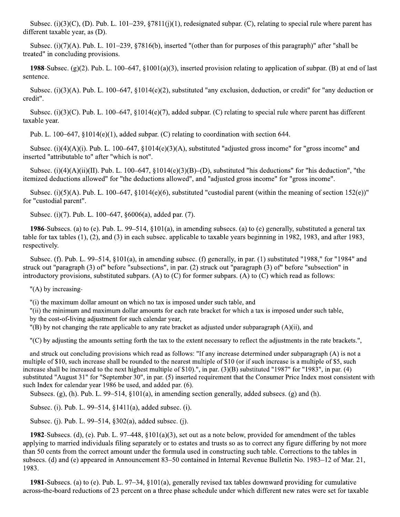Subsec. (i)(3)(C), (D). Pub. L. 101–239, §7811(j)(1), redesignated subpar. (C), relating to special rule where parent has different taxable year, as (D).

Subsec. (i)(7)(A). Pub. L. 101–239, §7816(b), inserted "(other than for purposes of this paragraph)" after "shall be treated" in concluding provisions.

1988-Subsec. (g)(2). Pub. L. 100–647, §1001(a)(3), inserted provision relating to application of subpar. (B) at end of last sentence.

Subsec. (i)(3)(A). Pub. L. 100–647, §1014(e)(2), substituted "any exclusion, deduction, or credit" for "any deduction or credit".

Subsec. (i)(3)(C). Pub. L. 100–647, §1014(e)(7), added subpar. (C) relating to special rule where parent has different taxable year.

Pub. L. 100–647,  $$1014(e)(1)$ , added subpar. (C) relating to coordination with section 644.

Subsec. (i)(4)(A)(i). Pub. L. 100–647, §1014(e)(3)(A), substituted "adjusted gross income" for "gross income" and inserted "attributable to" after "which is not".

Subsec. (i)(4)(A)(ii)(II). Pub. L. 100–647,  $\S 1014(e)(3)(B)$ –(D), substituted "his deductions" for "his deduction", "the itemized deductions allowed" for "the deductions allowed", and "adjusted gross income" for "gross income".

Subsec. (i)(5)(A). Pub. L. 100–647, §1014(e)(6), substituted "custodial parent (within the meaning of section 152(e))" for "custodial parent".

Subsec. (i)(7). Pub. L. 100–647, §6006(a), added par. (7).

1986-Subsecs. (a) to (e). Pub. L. 99–514,  $\S 101(a)$ , in amending subsecs. (a) to (e) generally, substituted a general tax table for tax tables  $(1)$ ,  $(2)$ , and  $(3)$  in each subsec. applicable to taxable years beginning in 1982, 1983, and after 1983, respectively.

Subsec. (f). Pub. L. 99–514,  $\S 101(a)$ , in amending subsec. (f) generally, in par. (1) substituted "1988," for "1984" and struck out "paragraph  $(3)$  of" before "subsections", in par.  $(2)$  struck out "paragraph  $(3)$  of" before "subsection" in introductory provisions, substituted subpars. (A) to  $(C)$  for former subpars. (A) to  $(C)$  which read as follows:

" $(A)$  by increasing-

"(i) the maximum dollar amount on which no tax is imposed under such table, and

"(ii) the minimum and maximum dollar amounts for each rate bracket for which a tax is imposed under such table, by the cost-of-living adjustment for such calendar year,

 $'(B)$  by not changing the rate applicable to any rate bracket as adjusted under subparagraph (A)(ii), and

"(C) by adjusting the amounts setting forth the tax to the extent necessary to reflect the adjustments in the rate brackets.",

and struck out concluding provisions which read as follows: "If any increase determined under subparagraph (A) is not a multiple of \$10, such increase shall be rounded to the nearest multiple of \$10 (or if such increase is a multiple of \$5, such increase shall be increased to the next highest multiple of \$10).", in par. (3)(B) substituted "1987" for "1983", in par. (4) substituted "August 31" for "September 30", in par. (5) inserted requirement that the Consumer Price Index most consistent with such Index for calendar year 1986 be used, and added par. (6).

Subsecs. (g), (h). Pub. L.  $99-514$ ,  $\S101(a)$ , in amending section generally, added subsecs. (g) and (h).

Subsec. (i). Pub. L. 99–514, §1411(a), added subsec. (i).

Subsec. (j). Pub. L. 99–514, §302(a), added subsec. (j).

1982-Subsecs. (d), (e). Pub. L. 97–448, §101(a)(3), set out as a note below, provided for amendment of the tables applying to married individuals filing separately or to estates and trusts so as to correct any figure differing by not more than 50 cents from the correct amount under the formula used in constructing such table. Corrections to the tables in subsecs. (d) and (e) appeared in Announcement 83–50 contained in Internal Revenue Bulletin No. 1983–12 of Mar. 21, 1983.

1981-Subsecs. (a) to (e). Pub. L.  $97-34$ , §101(a), generally revised tax tables downward providing for cumulative across-the-board reductions of 23 percent on a three phase schedule under which different new rates were set for taxable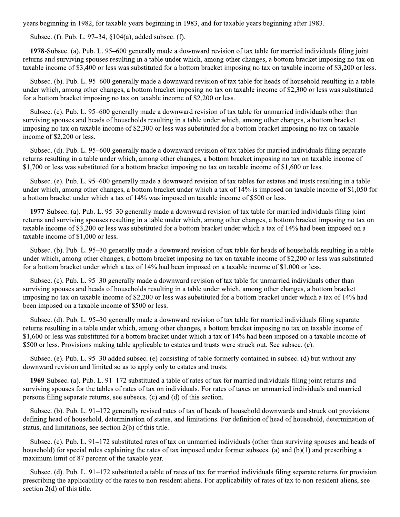years beginning in 1982, for taxable years beginning in 1983, and for taxable years beginning after 1983.

Subsec. (f). Pub. L. 97–34, §104(a), added subsec. (f).

1978-Subsec. (a). Pub. L. 95–600 generally made a downward revision of tax table for married individuals filing joint returns and surviving spouses resulting in a table under which, among other changes, a bottom bracket imposing no tax on taxable income of \$3,400 or less was substituted for a bottom bracket imposing no tax on taxable income of \$3,200 or less.

Subsec. (b). Pub. L. 95–600 generally made a downward revision of tax table for heads of household resulting in a table under which, among other changes, a bottom bracket imposing no tax on taxable income of \$2,300 or less was substituted for a bottom bracket imposing no tax on taxable income of \$2,200 or less.

Subsec. (c). Pub. L. 95–600 generally made a downward revision of tax table for unmarried individuals other than surviving spouses and heads of households resulting in a table under which, among other changes, a bottom bracket imposing no tax on taxable income of \$2,300 or less was substituted for a bottom bracket imposing no tax on taxable income of \$2,200 or less.

Subsec. (d). Pub. L. 95–600 generally made a downward revision of tax tables for married individuals filing separate returns resulting in a table under which, among other changes, a bottom bracket imposing no tax on taxable income of \$1,700 or less was substituted for a bottom bracket imposing no tax on taxable income of \$1,600 or less.

Subsec. (e). Pub. L. 95–600 generally made a downward revision of tax tables for estates and trusts resulting in a table under which, among other changes, a bottom bracket under which a tax of 14% is imposed on taxable income of \$1,050 for a bottom bracket under which a tax of 14% was imposed on taxable income of \$500 or less.

1977-Subsec. (a). Pub. L. 95–30 generally made a downward revision of tax table for married individuals filing joint returns and surviving spouses resulting in a table under which, among other changes, a bottom bracket imposing no tax on taxable income of \$3,200 or less was substituted for a bottom bracket under which a tax of 14% had been imposed on a taxable income of \$1,000 or less.

Subsec. (b). Pub. L. 95–30 generally made a downward revision of tax table for heads of households resulting in a table under which, among other changes, a bottom bracket imposing no tax on taxable income of \$2,200 or less was substituted for a bottom bracket under which a tax of  $14\%$  had been imposed on a taxable income of \$1,000 or less.

Subsec. (c). Pub. L. 95–30 generally made a downward revision of tax table for unmarried individuals other than surviving spouses and heads of households resulting in a table under which, among other changes, a bottom bracket imposing no tax on taxable income of \$2,200 or less was substituted for a bottom bracket under which a tax of 14% had been imposed on a taxable income of \$500 or less.

Subsec. (d). Pub. L. 95–30 generally made a downward revision of tax table for married individuals filing separate returns resulting in a table under which, among other changes, a bottom bracket imposing no tax on taxable income of \$1,600 or less was substituted for a bottom bracket under which a tax of 14% had been imposed on a taxable income of \$500 or less. Provisions making table applicable to estates and trusts were struck out. See subsec. (e).

Subsec. (e). Pub. L. 95–30 added subsec. (e) consisting of table formerly contained in subsec. (d) but without any downward revision and limited so as to apply only to estates and trusts.

1969-Subsec. (a). Pub. L.  $91-172$  substituted a table of rates of tax for married individuals filing joint returns and surviving spouses for the tables of rates of tax on individuals. For rates of taxes on unmarried individuals and married persons filing separate returns, see subsecs. (c) and (d) of this section.

Subsec. (b). Pub. L.  $91-172$  generally revised rates of tax of heads of household downwards and struck out provisions defining head of household, determination of status, and limitations. For definition of head of household, determination of status, and limitations, see section 2(b) of this title.

Subsec. (c). Pub. L. 91–172 substituted rates of tax on unmarried individuals (other than surviving spouses and heads of household) for special rules explaining the rates of tax imposed under former subsecs. (a) and (b)(1) and prescribing a maximum limit of 87 percent of the taxable year.

Subsec. (d). Pub. L. 91–172 substituted a table of rates of tax for married individuals filing separate returns for provision prescribing the applicability of the rates to non-resident aliens. For applicability of rates of tax to non-resident aliens, see section  $2(d)$  of this title.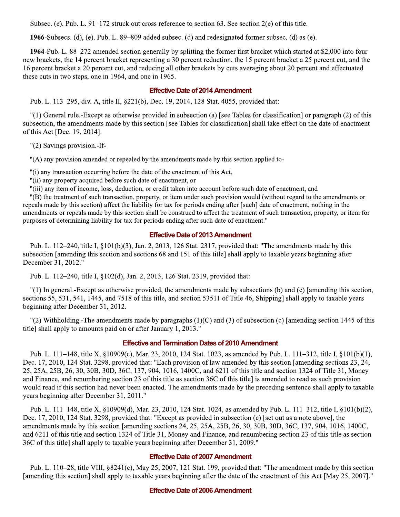Subsec. (e). Pub. L.  $91-172$  struck out cross reference to section 63. See section  $2(e)$  of this title.

1966-Subsecs. (d), (e). Pub. L.  $89-809$  added subsec. (d) and redesignated former subsec. (d) as (e).

1964-Pub. L. 88–272 amended section generally by splitting the former first bracket which started at \$2,000 into four new brackets, the 14 percent bracket representing a 30 percent reduction, the 15 percent bracket a 25 percent cut, and the 16 percent bracket a 20 percent cut, and reducing all other brackets by cuts averaging about 20 percent and effectuated these cuts in two steps, one in 1964, and one in 1965.

#### **Effective Date of 2014 Amendment**

Pub. L. 113–295, div. A, title II, §221(b), Dec. 19, 2014, 128 Stat. 4055, provided that:

 $'(1)$  General rule.-Except as otherwise provided in subsection (a) [see Tables for classification] or paragraph (2) of this subsection, the amendments made by this section [see Tables for classification] shall take effect on the date of enactment of this Act [Dec. 19, 2014].

"(2) Savings provision.-If-

"(A) any provision amended or repealed by the amendments made by this section applied to-

"(i) any transaction occurring before the date of the enactment of this Act,

"(ii) any property acquired before such date of enactment, or

"(iii) any item of income, loss, deduction, or credit taken into account before such date of enactment, and

"(B) the treatment of such transaction, property, or item under such provision would (without regard to the amendments or repeals made by this section) affect the liability for tax for periods ending after [such] date of enactment, nothing in the amendments or repeals made by this section shall be construed to affect the treatment of such transaction, property, or item for purposes of determining liability for tax for periods ending after such date of enactment."

#### **Effective Date of 2013 Amendment**

Pub. L. 112–240, title I,  $\S 101(b)(3)$ , Jan. 2, 2013, 126 Stat. 2317, provided that: "The amendments made by this subsection [amending this section and sections 68 and 151 of this title] shall apply to taxable years beginning after December 31, 2012."

Pub. L. 112–240, title I, §102(d), Jan. 2, 2013, 126 Stat. 2319, provided that:

"(1) In general.-Except as otherwise provided, the amendments made by subsections (b) and (c) [amending this section, sections 55, 531, 541, 1445, and 7518 of this title, and section 53511 of Title 46, Shipping] shall apply to taxable years beginning after December 31, 2012.

 $'(2)$  Withholding.-The amendments made by paragraphs  $(1)(C)$  and  $(3)$  of subsection (c) [amending section 1445 of this title] shall apply to amounts paid on or after January 1, 2013."

#### **Effective and Termination Dates of 2010 Amendment**

Pub. L. 111–148, title X, §10909(c), Mar. 23, 2010, 124 Stat. 1023, as amended by Pub. L. 111–312, title I, §101(b)(1), Dec. 17, 2010, 124 Stat. 3298, provided that: "Each provision of law amended by this section [amending sections 23, 24, 25, 25A, 25B, 26, 30, 30B, 30D, 36C, 137, 904, 1016, 1400C, and 6211 of this title and section 1324 of Title 31, Money and Finance, and renumbering section 23 of this title as section 36C of this title] is amended to read as such provision would read if this section had never been enacted. The amendments made by the preceding sentence shall apply to taxable years beginning after December 31, 2011."

Pub. L. 111-148, title X, §10909(d), Mar. 23, 2010, 124 Stat. 1024, as amended by Pub. L. 111-312, title I, §101(b)(2), Dec. 17, 2010, 124 Stat. 3298, provided that: "Except as provided in subsection (c) [set out as a note above], the amendments made by this section [amending sections 24, 25, 25A, 25B, 26, 30, 30B, 30D, 36C, 137, 904, 1016, 1400C, and 6211 of this title and section 1324 of Title 31, Money and Finance, and renumbering section 23 of this title as section 36C of this title] shall apply to taxable years beginning after December 31, 2009."

#### **Effective Date of 2007 Amendment**

Pub. L. 110–28, title VIII,  $\S 8241(c)$ , May 25, 2007, 121 Stat. 199, provided that: "The amendment made by this section [amending this section] shall apply to taxable years beginning after the date of the enactment of this Act [May 25, 2007]."

#### **Effective Date of 2006 Amendment**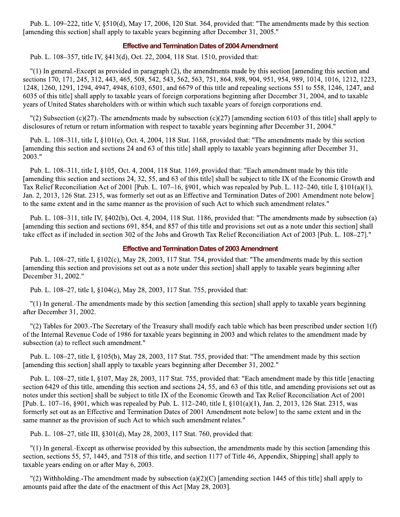Pub. L. 109–222, title V, §510(d), May 17, 2006, 120 Stat. 364, provided that: "The amendments made by this section [amending this section] shall apply to taxable years beginning after December 31, 2005."

#### **Effective and Termination Dates of 2004 Amendment**

Pub. L. 108–357, title IV, §413(d), Oct. 22, 2004, 118 Stat. 1510, provided that:

"(1) In general.-Except as provided in paragraph (2), the amendments made by this section [amending this section and sections 170, 171, 245, 312, 443, 465, 508, 542, 543, 562, 563, 751, 864, 898, 904, 951, 954, 989, 1014, 1016, 1212, 1223, 1248, 1260, 1291, 1294, 4947, 4948, 6103, 6501, and 6679 of this title and repealing sections 551 to 558, 1246, 1247, and 6035 of this title] shall apply to taxable years of foreign corporations beginning after December 31, 2004, and to taxable years of United States shareholders with or within which such taxable years of foreign corporations end.

"(2) Subsection (c)(27).-The amendments made by subsection (c)(27) [amending section 6103 of this title] shall apply to disclosures of return or return information with respect to taxable years beginning after December 31, 2004."

Pub. L. 108-311, title I, §101(e), Oct. 4, 2004, 118 Stat. 1168, provided that: "The amendments made by this section [amending this section and sections 24 and 63 of this title] shall apply to taxable years beginning after December 31, 2003."

Pub. L. 108–311, title I, §105, Oct. 4, 2004, 118 Stat. 1169, provided that: "Each amendment made by this title [amending this section and sections 24, 32, 55, and 63 of this title] shall be subject to title IX of the Economic Growth and Tax Relief Reconciliation Act of 2001 [Pub. L. 107–16, §901, which was repealed by Pub. L. 112–240, title I, §101(a)(1), Jan. 2, 2013, 126 Stat. 2315, was formerly set out as an Effective and Termination Dates of 2001 Amendment note below] to the same extent and in the same manner as the provision of such Act to which such amendment relates."

Pub. L. 108–311, title IV, §402(b), Oct. 4, 2004, 118 Stat. 1186, provided that: "The amendments made by subsection (a) [amending this section and sections 691, 854, and 857 of this title and provisions set out as a note under this section] shall take effect as if included in section 302 of the Jobs and Growth Tax Relief Reconciliation Act of 2003 [Pub. L. 108–27]."

#### **Effective and Termination Dates of 2003 Amendment**

Pub. L. 108–27, title I,  $\S 102(c)$ , May 28, 2003, 117 Stat. 754, provided that: "The amendments made by this section [amending this section and provisions set out as a note under this section] shall apply to taxable years beginning after December 31, 2002."

Pub. L. 108–27, title I, §104(c), May 28, 2003, 117 Stat. 755, provided that:

"(1) In general.-The amendments made by this section [amending this section] shall apply to taxable years beginning after December 31, 2002.

"(2) Tables for 2003.-The Secretary of the Treasury shall modify each table which has been prescribed under section  $1(f)$ of the Internal Revenue Code of 1986 for taxable years beginning in 2003 and which relates to the amendment made by subsection (a) to reflect such amendment."

Pub. L. 108–27, title I, §105(b), May 28, 2003, 117 Stat. 755, provided that: "The amendment made by this section [amending this section] shall apply to taxable years beginning after December 31, 2002."

Pub. L. 108–27, title I, §107, May 28, 2003, 117 Stat. 755, provided that: "Each amendment made by this title [enacting section 6429 of this title, amending this section and sections 24, 55, and 63 of this title, and amending provisions set out as notes under this section] shall be subject to title IX of the Economic Growth and Tax Relief Reconciliation Act of 2001 [Pub. L. 107–16, §901, which was repealed by Pub. L. 112–240, title I, §101(a)(1), Jan. 2, 2013, 126 Stat. 2315, was formerly set out as an Effective and Termination Dates of 2001 Amendment note below] to the same extent and in the same manner as the provision of such Act to which such amendment relates."

Pub. L. 108-27, title III, §301(d), May 28, 2003, 117 Stat. 760, provided that:

"(1) In general.-Except as otherwise provided by this subsection, the amendments made by this section [amending this section, sections 55, 57, 1445, and 7518 of this title, and section 1177 of Title 46, Appendix, Shipping] shall apply to taxable years ending on or after May 6, 2003.

"(2) Withholding.-The amendment made by subsection (a)(2)(C) [amending section 1445 of this title] shall apply to amounts paid after the date of the enactment of this Act [May 28, 2003].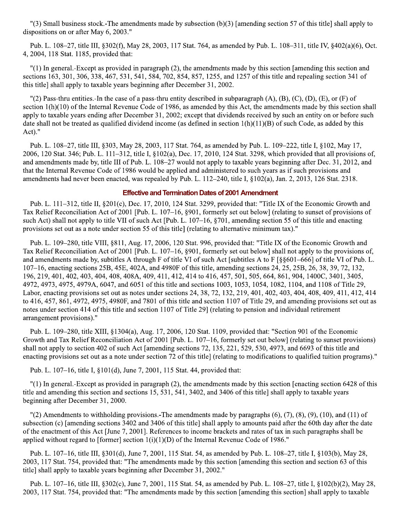"(3) Small business stock.-The amendments made by subsection  $(b)(3)$  [amending section 57 of this title] shall apply to dispositions on or after May 6, 2003."

Pub. L. 108–27, title III, §302(f), May 28, 2003, 117 Stat. 764, as amended by Pub. L. 108–311, title IV, §402(a)(6), Oct. 4, 2004, 118 Stat. 1185, provided that:

"(1) In general.-Except as provided in paragraph (2), the amendments made by this section [amending this section and sections 163, 301, 306, 338, 467, 531, 541, 584, 702, 854, 857, 1255, and 1257 of this title and repealing section 341 of this title] shall apply to taxable years beginning after December 31, 2002.

"(2) Pass-thru entities.-In the case of a pass-thru entity described in subparagraph (A), (B), (C), (D), (E), or (F) of section  $1(h)(10)$  of the Internal Revenue Code of 1986, as amended by this Act, the amendments made by this section shall apply to taxable years ending after December 31, 2002; except that dividends received by such an entity on or before such date shall not be treated as qualified dividend income (as defined in section  $1(h)(11)(B)$ ) of such Code, as added by this Act)."

Pub. L. 108–27, title III, §303, May 28, 2003, 117 Stat. 764, as amended by Pub. L. 109–222, title I, §102, May 17, 2006, 120 Stat. 346; Pub. L. 111–312, title I, §102(a), Dec. 17, 2010, 124 Stat. 3298, which provided that all provisions of, and amendments made by, title III of Pub. L. 108–27 would not apply to taxable years beginning after Dec. 31, 2012, and that the Internal Revenue Code of 1986 would be applied and administered to such years as if such provisions and amendments had never been enacted, was repealed by Pub. L. 112–240, title I, §102(a), Jan. 2, 2013, 126 Stat. 2318.

#### **Effective and Termination Dates of 2001 Amendment**

Pub. L. 111-312, title II, §201(c), Dec. 17, 2010, 124 Stat. 3299, provided that: "Title IX of the Economic Growth and Tax Relief Reconciliation Act of 2001 [Pub. L. 107–16, §901, formerly set out below] (relating to sunset of provisions of such Act) shall not apply to title VII of such Act [Pub. L. 107–16, §701, amending section 55 of this title and enacting provisions set out as a note under section 55 of this title] (relating to alternative minimum tax)."

Pub. L. 109–280, title VIII, §811, Aug. 17, 2006, 120 Stat. 996, provided that: "Title IX of the Economic Growth and Tax Relief Reconciliation Act of 2001 [Pub. L. 107–16, §901, formerly set out below] shall not apply to the provisions of, and amendments made by, subtitles A through F of title VI of such Act [subtitles A to F  $\lceil \S \S 601 - 666 \rceil$  of title VI of Pub. L. 107–16, enacting sections 25B, 45E, 402A, and 4980F of this title, amending sections 24, 25, 25B, 26, 38, 39, 72, 132, 196, 219, 401, 402, 403, 404, 408, 408A, 409, 411, 412, 414 to 416, 457, 501, 505, 664, 861, 904, 1400C, 3401, 3405, 4972, 4973, 4975, 4979A, 6047, and 6051 of this title and sections 1003, 1053, 1054, 1082, 1104, and 1108 of Title 29, Labor, enacting provisions set out as notes under sections 24, 38, 72, 132, 219, 401, 402, 403, 404, 408, 409, 411, 412, 414 to  $416, 457, 861, 4972, 4975, 4980$ F, and  $7801$  of this title and section 1107 of Title 29, and amending provisions set out as notes under section 414 of this title and section 1107 of Title 29] (relating to pension and individual retirement arrangement provisions)."

Pub. L. 109–280, title XIII, §1304(a), Aug. 17, 2006, 120 Stat. 1109, provided that: "Section 901 of the Economic Growth and Tax Relief Reconciliation Act of 2001 [Pub. L. 107–16, formerly set out below] (relating to sunset provisions) shall not apply to section 402 of such Act [amending sections 72, 135, 221, 529, 530, 4973, and 6693 of this title and enacting provisions set out as a note under section 72 of this title] (relating to modifications to qualified tuition programs)."

Pub. L. 107–16, title I, §101(d), June 7, 2001, 115 Stat. 44, provided that:

 $\frac{1}{1}$  In general.-Except as provided in paragraph (2), the amendments made by this section [enacting section 6428 of this title and amending this section and sections 15, 531, 541, 3402, and 3406 of this title] shall apply to taxable years beginning after December 31, 2000.

 $\Gamma(2)$  Amendments to withholding provisions.-The amendments made by paragraphs (6), (7), (8), (9), (10), and (11) of subsection (c) [amending sections 3402 and 3406 of this title] shall apply to amounts paid after the 60th day after the date of the enactment of this Act [June 7, 2001]. References to income brackets and rates of tax in such paragraphs shall be applied without regard to [former] section  $1(i)(1)(D)$  of the Internal Revenue Code of 1986."

Pub. L. 107–16, title III, §301(d), June 7, 2001, 115 Stat. 54, as amended by Pub. L. 108–27, title I, §103(b), May 28, 2003, 117 Stat. 754, provided that: "The amendments made by this section [amending this section and section 63 of this title] shall apply to taxable years beginning after December 31, 2002."

Pub. L. 107–16, title III, §302(c), June 7, 2001, 115 Stat. 54, as amended by Pub. L. 108–27, title I, §102(b)(2), May 28, 2003, 117 Stat. 754, provided that: "The amendments made by this section [amending this section] shall apply to taxable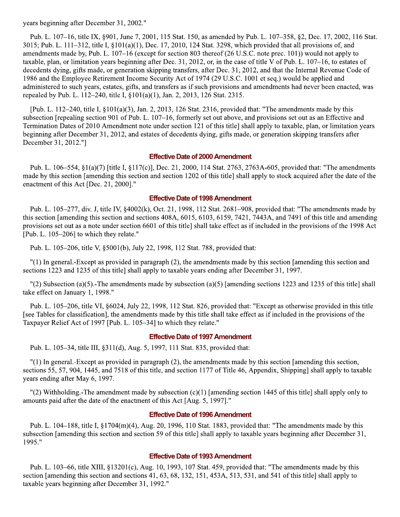years beginning after December 31, 2002."

Pub. L. 107–16, title IX, §901, June 7, 2001, 115 Stat. 150, as amended by Pub. L. 107–358, §2, Dec. 17, 2002, 116 Stat. 3015; Pub. L. 111–312, title I,  $\S 101(a)(1)$ , Dec. 17, 2010, 124 Stat. 3298, which provided that all provisions of, and amendments made by, Pub. L. 107–16 (except for section 803 thereof (26 U.S.C. note prec. 101)) would not apply to taxable, plan, or limitation years beginning after Dec. 31, 2012, or, in the case of title V of Pub. L.  $107-16$ , to estates of decedents dying, gifts made, or generation skipping transfers, after Dec. 31, 2012, and that the Internal Revenue Code of 1986 and the Employee Retirement Income Security Act of 1974 (29 U.S.C. 1001 et seq.) would be applied and administered to such years, estates, gifts, and transfers as if such provisions and amendments had never been enacted, was repealed by Pub. L. 112–240, title I, §101(a)(1), Jan. 2, 2013, 126 Stat. 2315.

[Pub. L. 112–240, title I,  $\S 101(a)(3)$ , Jan. 2, 2013, 126 Stat. 2316, provided that: "The amendments made by this subsection [repealing section 901 of Pub. L. 107–16, formerly set out above, and provisions set out as an Effective and Termination Dates of 2010 Amendment note under section 121 of this title] shall apply to taxable, plan, or limitation years beginning after December 31, 2012, and estates of decedents dying, gifts made, or generation skipping transfers after December 31, 2012."]

#### **Effective Date of 2000 Amendment**

Pub. L. 106-554, §1(a)(7) [title I, §117(c)], Dec. 21, 2000, 114 Stat. 2763, 2763A-605, provided that: "The amendments made by this section [amending this section and section 1202 of this title] shall apply to stock acquired after the date of the enactment of this Act [Dec. 21, 2000]."

#### **Effective Date of 1998 Amendment**

Pub. L. 105-277, div. J, title IV, §4002(k), Oct. 21, 1998, 112 Stat. 2681-908, provided that: "The amendments made by this section [amending this section and sections 408A, 6015, 6103, 6159, 7421, 7443A, and 7491 of this title and amending provisions set out as a note under section 6601 of this title] shall take effect as if included in the provisions of the 1998 Act [Pub. L. 105-206] to which they relate."

Pub. L. 105-206, title V, §5001(b), July 22, 1998, 112 Stat. 788, provided that:

"(1) In general.-Except as provided in paragraph (2), the amendments made by this section [amending this section and sections 1223 and 1235 of this title] shall apply to taxable years ending after December 31, 1997.

 $'(2)$  Subsection (a)(5). The amendments made by subsection (a)(5) [amending sections 1223 and 1235 of this title] shall take effect on January 1, 1998."

Pub. L. 105–206, title VI, §6024, July 22, 1998, 112 Stat. 826, provided that: "Except as otherwise provided in this title [see Tables for classification], the amendments made by this title shall take effect as if included in the provisions of the Taxpayer Relief Act of 1997 [Pub. L. 105-34] to which they relate."

#### **Effective Date of 1997 Amendment**

Pub. L. 105–34, title III, §311(d), Aug. 5, 1997, 111 Stat. 835, provided that:

 $\vert$  (1) In general.-Except as provided in paragraph (2), the amendments made by this section [amending this section, sections 55, 57, 904, 1445, and 7518 of this title, and section 1177 of Title 46, Appendix, Shipping] shall apply to taxable years ending after May 6, 1997.

 $'(2)$  Withholding.-The amendment made by subsection (c)(1) [amending section 1445 of this title] shall apply only to amounts paid after the date of the enactment of this Act [Aug. 5, 1997]."

#### **Effective Date of 1996 Amendment**

Pub. L. 104–188, title I,  $\S1704(m)(4)$ , Aug. 20, 1996, 110 Stat. 1883, provided that: "The amendments made by this subsection [amending this section and section 59 of this title] shall apply to taxable years beginning after December 31, 1995."

#### **Effective Date of 1993 Amendment**

Pub. L. 103–66, title XIII, §13201(c), Aug. 10, 1993, 107 Stat. 459, provided that: "The amendments made by this section [amending this section and sections 41, 63, 68, 132, 151, 453A, 513, 531, and 541 of this title] shall apply to taxable years beginning after December 31, 1992."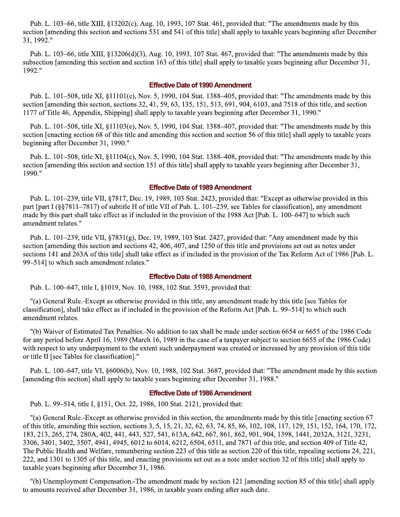Pub. L. 103–66, title XIII, §13202(c), Aug. 10, 1993, 107 Stat. 461, provided that: "The amendments made by this section [amending this section and sections 531 and 541 of this title] shall apply to taxable years beginning after December 31, 1992."

Pub. L. 103–66, title XIII, §13206(d)(3), Aug. 10, 1993, 107 Stat. 467, provided that: "The amendments made by this subsection [amending this section and section 163 of this title] shall apply to taxable years beginning after December 31, 1992."

#### **Effective Date of 1990 Amendment**

Pub. L. 101–508, title XI,  $\S 11101(e)$ , Nov. 5, 1990, 104 Stat. 1388–405, provided that: "The amendments made by this section [amending this section, sections 32, 41, 59, 63, 135, 151, 513, 691, 904, 6103, and 7518 of this title, and section 1177 of Title 46, Appendix, Shipping] shall apply to taxable years beginning after December 31, 1990."

Pub. L. 101–508, title XI, §11103(e), Nov. 5, 1990, 104 Stat. 1388–407, provided that: "The amendments made by this section [enacting section 68 of this title and amending this section and section 56 of this title] shall apply to taxable years beginning after December 31, 1990."

Pub. L. 101–508, title XI, §11104(c), Nov. 5, 1990, 104 Stat. 1388–408, provided that: "The amendments made by this section [amending this section and section 151 of this title] shall apply to taxable years beginning after December 31, 1990."

#### **Effective Date of 1989 Amendment**

Pub. L. 101–239, title VII, §7817, Dec. 19, 1989, 103 Stat. 2423, provided that: "Except as otherwise provided in this part [part I (§§7811–7817) of subtitle H of title VII of Pub. L. 101–239, see Tables for classification], any amendment made by this part shall take effect as if included in the provision of the 1988 Act [Pub. L. 100–647] to which such amendment relates."

Pub. L. 101–239, title VII, §7831(g), Dec. 19, 1989, 103 Stat. 2427, provided that: "Any amendment made by this section [amending this section and sections 42, 406, 407, and 1250 of this title and provisions set out as notes under sections 141 and 263A of this title] shall take effect as if included in the provision of the Tax Reform Act of 1986 [Pub. L. 99-514] to which such amendment relates."

#### **Effective Date of 1988 Amendment**

Pub. L. 100–647, title I, §1019, Nov. 10, 1988, 102 Stat. 3593, provided that:

"(a) General Rule.-Except as otherwise provided in this title, any amendment made by this title [see Tables for classification], shall take effect as if included in the provision of the Reform Act [Pub. L. 99–514] to which such amendment relates.

"(b) Waiver of Estimated Tax Penalties.-No addition to tax shall be made under section 6654 or 6655 of the 1986 Code for any period before April 16, 1989 (March 16, 1989 in the case of a taxpayer subject to section 6655 of the 1986 Code) with respect to any underpayment to the extent such underpayment was created or increased by any provision of this title or title II [see Tables for classification]."

Pub. L. 100–647, title VI, §6006(b), Nov. 10, 1988, 102 Stat. 3687, provided that: "The amendment made by this section [amending this section] shall apply to taxable years beginning after December 31, 1988."

#### **Effective Date of 1986 Amendment**

Pub. L. 99–514, title I, §151, Oct. 22, 1986, 100 Stat. 2121, provided that:

"(a) General Rule.-Except as otherwise provided in this section, the amendments made by this title [enacting section 67 of this title, amending this section, sections 3, 5, 15, 21, 32, 62, 63, 74, 85, 86, 102, 108, 117, 129, 151, 152, 164, 170, 172, 183, 213, 265, 274, 280A, 402, 441, 443, 527, 541, 613A, 642, 667, 861, 862, 901, 904, 1398, 1441, 2032A, 3121, 3231, 3306, 3401, 3402, 3507, 4941, 4945, 6012 to 6014, 6212, 6504, 6511, and 7871 of this title, and section 409 of Title 42, The Public Health and Welfare, renumbering section 223 of this title as section 220 of this title, repealing sections 24, 221, 222, and 1301 to 1305 of this title, and enacting provisions set out as a note under section 32 of this title] shall apply to taxable years beginning after December 31, 1986.

"(b) Unemployment Compensation.-The amendment made by section 121 [amending section 85 of this title] shall apply to amounts received after December 31, 1986, in taxable years ending after such date.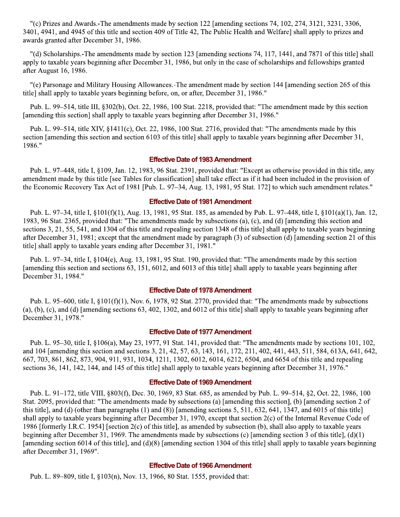$\degree$  (c) Prizes and Awards.-The amendments made by section 122 [amending sections 74, 102, 274, 3121, 3231, 3306, 3401, 4941, and 4945 of this title and section 409 of Title 42, The Public Health and Welfare] shall apply to prizes and awards granted after December 31, 1986.

"(d) Scholarships.-The amendments made by section 123 [amending sections 74, 117, 1441, and 7871 of this title] shall apply to taxable years beginning after December 31, 1986, but only in the case of scholarships and fellowships granted after August 16, 1986.

"(e) Parsonage and Military Housing Allowances.-The amendment made by section 144 [amending section 265 of this title] shall apply to taxable years beginning before, on, or after, December 31, 1986."

Pub. L. 99-514, title III, §302(b), Oct. 22, 1986, 100 Stat. 2218, provided that: "The amendment made by this section [amending this section] shall apply to taxable years beginning after December 31, 1986."

Pub. L. 99–514, title XIV,  $\S$ 1411(c), Oct. 22, 1986, 100 Stat. 2716, provided that: "The amendments made by this section [amending this section and section 6103 of this title] shall apply to taxable years beginning after December 31, 1986."

#### **Effective Date of 1983 Amendment**

Pub. L. 97–448, title I, §109, Jan. 12, 1983, 96 Stat. 2391, provided that: "Except as otherwise provided in this title, any amendment made by this title [see Tables for classification] shall take effect as if it had been included in the provision of the Economic Recovery Tax Act of 1981 [Pub. L. 97–34, Aug. 13, 1981, 95 Stat. 172] to which such amendment relates."

#### **Effective Date of 1981 Amendment**

Pub. L. 97–34, title I, §101(f)(1), Aug. 13, 1981, 95 Stat. 185, as amended by Pub. L. 97–448, title I, §101(a)(1), Jan. 12, 1983, 96 Stat. 2365, provided that: "The amendments made by subsections (a), (c), and (d) [amending this section and sections 3, 21, 55, 541, and 1304 of this title and repealing section 1348 of this title] shall apply to taxable years beginning after December 31, 1981; except that the amendment made by paragraph (3) of subsection (d) [amending section 21 of this title] shall apply to taxable years ending after December 31, 1981."

Pub. L. 97–34, title I, §104(e), Aug. 13, 1981, 95 Stat. 190, provided that: "The amendments made by this section [amending this section and sections 63, 151, 6012, and 6013 of this title] shall apply to taxable years beginning after December 31, 1984."

#### **Effective Date of 1978 Amendment**

Pub. L. 95–600, title I,  $\S 101(f)(1)$ , Nov. 6, 1978, 92 Stat. 2770, provided that: "The amendments made by subsections (a), (b), (c), and (d) [amending sections  $63, 402, 1302$ , and  $6012$  of this title] shall apply to taxable years beginning after December 31, 1978."

#### **Effective Date of 1977 Amendment**

Pub. L. 95–30, title I, §106(a), May 23, 1977, 91 Stat. 141, provided that: "The amendments made by sections 101, 102, and 104 [amending this section and sections 3, 21, 42, 57, 63, 143, 161, 172, 211, 402, 441, 443, 511, 584, 613A, 641, 642, 667, 703, 861, 862, 873, 904, 911, 931, 1034, 1211, 1302, 6012, 6014, 6212, 6504, and 6654 of this title and repealing sections 36, 141, 142, 144, and 145 of this title] shall apply to taxable years beginning after December 31, 1976."

#### **Effective Date of 1969 Amendment**

Pub. L. 91–172, title VIII, §803(f), Dec. 30, 1969, 83 Stat. 685, as amended by Pub. L. 99–514, §2, Oct. 22, 1986, 100 Stat. 2095, provided that: "The amendments made by subsections (a) [amending this section], (b) [amending section 2 of this title], and (d) (other than paragraphs  $(1)$  and  $(8)$ ) [amending sections 5, 511, 632, 641, 1347, and 6015 of this title] shall apply to taxable years beginning after December 31, 1970, except that section 2(c) of the Internal Revenue Code of 1986 [formerly I.R.C. 1954] [section 2(c) of this title], as amended by subsection (b), shall also apply to taxable years beginning after December 31, 1969. The amendments made by subsections (c) [amending section 3 of this title],  $(d)(1)$ [amending section 6014 of this title], and (d)(8) [amending section 1304 of this title] shall apply to taxable years beginning after December 31, 1969".

#### **Effective Date of 1966 Amendment**

Pub. L. 89–809, title I, §103(n), Nov. 13, 1966, 80 Stat. 1555, provided that: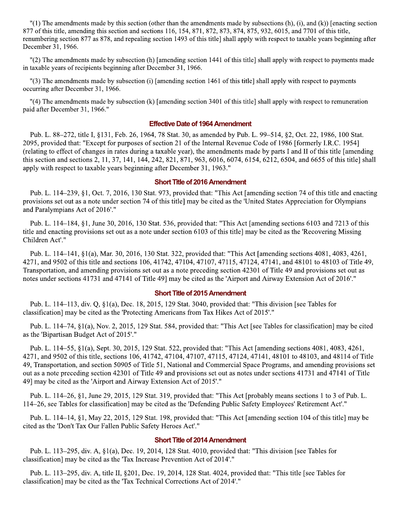"(1) The amendments made by this section (other than the amendments made by subsections  $(h)$ ,  $(i)$ , and  $(k)$ ) [enacting section 877 of this title, amending this section and sections 116, 154, 871, 872, 873, 874, 875, 932, 6015, and 7701 of this title, renumbering section 877 as 878, and repealing section 1493 of this title] shall apply with respect to taxable years beginning after December 31, 1966.

"(2) The amendments made by subsection (h) [amending section 1441 of this title] shall apply with respect to payments made in taxable years of recipients beginning after December 31, 1966.

"(3) The amendments made by subsection (i) [amending section 1461 of this title] shall apply with respect to payments occurring after December 31, 1966.

"(4) The amendments made by subsection (k) [amending section 3401 of this title] shall apply with respect to remuneration paid after December 31, 1966."

#### **Effective Date of 1964 Amendment**

Pub. L. 88–272, title I, §131, Feb. 26, 1964, 78 Stat. 30, as amended by Pub. L. 99–514, §2, Oct. 22, 1986, 100 Stat. 2095, provided that: "Except for purposes of section 21 of the Internal Revenue Code of 1986 [formerly I.R.C. 1954] (relating to effect of changes in rates during a taxable year), the amendments made by parts I and II of this title [amending] this section and sections 2, 11, 37, 141, 144, 242, 821, 871, 963, 6016, 6074, 6154, 6212, 6504, and 6655 of this title] shall apply with respect to taxable years beginning after December 31, 1963."

#### **Short Title of 2016 Amendment**

Pub. L. 114–239, §1, Oct. 7, 2016, 130 Stat. 973, provided that: "This Act [amending section 74 of this title and enacting provisions set out as a note under section 74 of this title] may be cited as the 'United States Appreciation for Olympians and Paralympians Act of 2016'."

Pub. L. 114–184, §1, June 30, 2016, 130 Stat. 536, provided that: "This Act [amending sections 6103 and 7213 of this title and enacting provisions set out as a note under section 6103 of this title] may be cited as the 'Recovering Missing Children Act'."

Pub. L. 114–141, §1(a), Mar. 30, 2016, 130 Stat. 322, provided that: "This Act [amending sections 4081, 4083, 4261, 4271, and 9502 of this title and sections 106, 41742, 47104, 47107, 47115, 47124, 47141, and 48101 to 48103 of Title 49, Transportation, and amending provisions set out as a note preceding section 42301 of Title 49 and provisions set out as notes under sections 41731 and 47141 of Title 49] may be cited as the 'Airport and Airway Extension Act of 2016'."

#### **Short Title of 2015 Amendment**

Pub. L. 114–113, div. Q, §1(a), Dec. 18, 2015, 129 Stat. 3040, provided that: "This division [see Tables for classification] may be cited as the 'Protecting Americans from Tax Hikes Act of 2015'."

Pub. L. 114–74, §1(a), Nov. 2, 2015, 129 Stat. 584, provided that: "This Act [see Tables for classification] may be cited as the 'Bipartisan Budget Act of 2015'."

Pub. L. 114–55, §1(a), Sept. 30, 2015, 129 Stat. 522, provided that: "This Act [amending sections 4081, 4083, 4261, 4271, and 9502 of this title, sections 106, 41742, 47104, 47107, 47115, 47124, 47141, 48101 to 48103, and 48114 of Title 49, Transportation, and section 50905 of Title 51, National and Commercial Space Programs, and amending provisions set out as a note preceding section 42301 of Title 49 and provisions set out as notes under sections 41731 and 47141 of Title 49] may be cited as the 'Airport and Airway Extension Act of 2015'."

Pub. L. 114–26, §1, June 29, 2015, 129 Stat. 319, provided that: "This Act [probably means sections 1 to 3 of Pub. L. 114–26, see Tables for classification] may be cited as the 'Defending Public Safety Employees' Retirement Act'."

Pub. L. 114–14, §1, May 22, 2015, 129 Stat. 198, provided that: "This Act [amending section 104 of this title] may be cited as the 'Don't Tax Our Fallen Public Safety Heroes Act'."

#### **Short Title of 2014 Amendment**

Pub. L. 113–295, div. A, §1(a), Dec. 19, 2014, 128 Stat. 4010, provided that: "This division [see Tables for classification] may be cited as the 'Tax Increase Prevention Act of 2014'."

Pub. L. 113–295, div. A, title II, §201, Dec. 19, 2014, 128 Stat. 4024, provided that: "This title [see Tables for classification] may be cited as the 'Tax Technical Corrections Act of 2014'."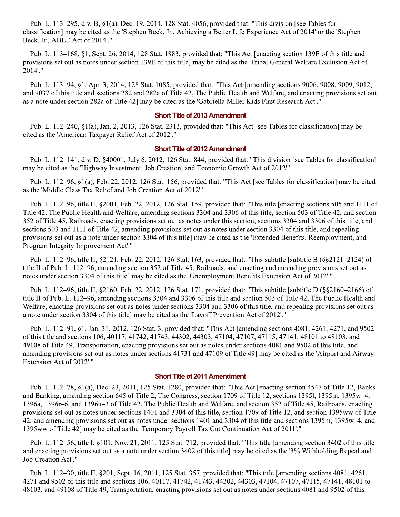Pub. L. 113–295, div. B, §1(a), Dec. 19, 2014, 128 Stat. 4056, provided that: "This division [see Tables for classification] may be cited as the 'Stephen Beck, Jr., Achieving a Better Life Experience Act of 2014' or the 'Stephen Beck, Jr., ABLE Act of 2014'."

Pub. L. 113-168, §1, Sept. 26, 2014, 128 Stat. 1883, provided that: "This Act [enacting section 139E of this title and provisions set out as notes under section 139E of this title] may be cited as the 'Tribal General Welfare Exclusion Act of 2014'."

Pub. L. 113–94, §1, Apr. 3, 2014, 128 Stat. 1085, provided that: "This Act [amending sections 9006, 9008, 9009, 9012, and 9037 of this title and sections 282 and 282a of Title 42, The Public Health and Welfare, and enacting provisions set out as a note under section 282a of Title 42] may be cited as the 'Gabriella Miller Kids First Research Act'."

#### **Short Title of 2013 Amendment**

Pub. L. 112–240,  $\S1(a)$ , Jan. 2, 2013, 126 Stat. 2313, provided that: "This Act [see Tables for classification] may be cited as the 'American Taxpayer Relief Act of 2012'."

#### **Short Title of 2012 Amendment**

Pub. L. 112-141, div. D, §40001, July 6, 2012, 126 Stat. 844, provided that: "This division [see Tables for classification] may be cited as the 'Highway Investment, Job Creation, and Economic Growth Act of 2012'."

Pub. L. 112–96, §1(a), Feb. 22, 2012, 126 Stat. 156, provided that: "This Act [see Tables for classification] may be cited as the 'Middle Class Tax Relief and Job Creation Act of 2012'."

Pub. L. 112–96, title II, §2001, Feb. 22, 2012, 126 Stat. 159, provided that: "This title [enacting sections 505 and 1111 of Title 42, The Public Health and Welfare, amending sections 3304 and 3306 of this title, section 503 of Title 42, and section 352 of Title 45, Railroads, enacting provisions set out as notes under this section, sections 3304 and 3306 of this title, and sections 503 and 1111 of Title 42, amending provisions set out as notes under section 3304 of this title, and repealing provisions set out as a note under section 3304 of this title] may be cited as the 'Extended Benefits, Reemployment, and Program Integrity Improvement Act'."

Pub. L. 112–96, title II, §2121, Feb. 22, 2012, 126 Stat. 163, provided that: "This subtitle [subtitle B (§§2121–2124) of title II of Pub. L. 112–96, amending section 352 of Title 45, Railroads, and enacting and amending provisions set out as notes under section 3304 of this title] may be cited as the 'Unemployment Benefits Extension Act of 2012'."

Pub. L. 112–96, title II, §2160, Feb. 22, 2012, 126 Stat. 171, provided that: "This subtitle [subtitle D (§§2160–2166) of title II of Pub. L. 112–96, amending sections 3304 and 3306 of this title and section 503 of Title 42, The Public Health and Welfare, enacting provisions set out as notes under sections 3304 and 3306 of this title, and repealing provisions set out as a note under section 3304 of this title] may be cited as the 'Layoff Prevention Act of 2012'."

Pub. L. 112–91, §1, Jan. 31, 2012, 126 Stat. 3, provided that: "This Act [amending sections 4081, 4261, 4271, and 9502 of this title and sections 106, 40117, 41742, 41743, 44302, 44303, 47104, 47107, 47115, 47141, 48101 to 48103, and 49108 of Title 49, Transportation, enacting provisions set out as notes under sections 4081 and 9502 of this title, and amending provisions set out as notes under sections 41731 and 47109 of Title 49] may be cited as the 'Airport and Airway Extension Act of 2012'."

#### **Short Title of 2011 Amendment**

Pub. L. 112-78, §1(a), Dec. 23, 2011, 125 Stat. 1280, provided that: "This Act [enacting section 4547 of Title 12, Banks and Banking, amending section 645 of Title 2, The Congress, section 1709 of Title 12, sections 13951, 1395m, 1395w–4, 1396a, 1396r–6, and 1396u–3 of Title 42, The Public Health and Welfare, and section 352 of Title 45, Railroads, enacting provisions set out as notes under sections 1401 and 3304 of this title, section 1709 of Title 12, and section 1395ww of Title 42, and amending provisions set out as notes under sections 1401 and 3304 of this title and sections 1395m, 1395w–4, and 1395ww of Title 42] may be cited as the 'Temporary Payroll Tax Cut Continuation Act of 2011'."

Pub. L. 112–56, title I, §101, Nov. 21, 2011, 125 Stat. 712, provided that: "This title [amending section 3402 of this title and enacting provisions set out as a note under section 3402 of this title] may be cited as the '3% Withholding Repeal and Job Creation Act'."

Pub. L. 112–30, title II, §201, Sept. 16, 2011, 125 Stat. 357, provided that: "This title [amending sections 4081, 4261, 4271 and 9502 of this title and sections 106, 40117, 41742, 41743, 44302, 44303, 47104, 47107, 47115, 47141, 48101 to 48103, and 49108 of Title 49, Transportation, enacting provisions set out as notes under sections 4081 and 9502 of this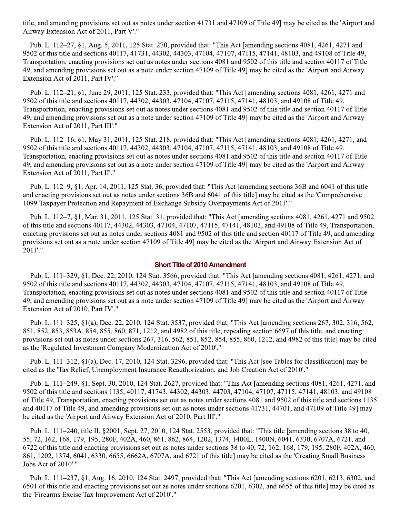title, and amending provisions set out as notes under section 41731 and 47109 of Title 49] may be cited as the 'Airport and Airway Extension Act of 2011, Part V'."

Pub. L. 112-27, §1, Aug. 5, 2011, 125 Stat. 270, provided that: "This Act [amending sections 4081, 4261, 4271 and 9502 of this title and sections 40117, 41731, 44302, 44303, 47104, 47107, 47115, 47141, 48103, and 49108 of Title 49, Transportation, enacting provisions set out as notes under sections 4081 and 9502 of this title and section 40117 of Title 49, and amending provisions set out as a note under section 47109 of Title 49] may be cited as the 'Airport and Airway Extension Act of 2011, Part IV'."

Pub. L. 112–21, §1, June 29, 2011, 125 Stat. 233, provided that: "This Act [amending sections 4081, 4261, 4271 and 9502 of this title and sections 40117, 44302, 44303, 47104, 47107, 47115, 47141, 48103, and 49108 of Title 49, Transportation, enacting provisions set out as notes under sections 4081 and 9502 of this title and section 40117 of Title 49, and amending provisions set out as a note under section 47109 of Title 49] may be cited as the 'Airport and Airway Extension Act of 2011, Part III'."

Pub. L. 112–16, §1, May 31, 2011, 125 Stat. 218, provided that: "This Act [amending sections 4081, 4261, 4271, and 9502 of this title and sections 40117, 44302, 44303, 47104, 47107, 47115, 47141, 48103, and 49108 of Title 49, Transportation, enacting provisions set out as notes under sections 4081 and 9502 of this title and section 40117 of Title 49, and amending provisions set out as a note under section 47109 of Title 49] may be cited as the 'Airport and Airway Extension Act of 2011, Part II'."

Pub. L. 112–9, §1, Apr. 14, 2011, 125 Stat. 36, provided that: "This Act [amending sections 36B and 6041 of this title and enacting provisions set out as notes under sections 36B and 6041 of this title] may be cited as the 'Comprehensive 1099 Taxpayer Protection and Repayment of Exchange Subsidy Overpayments Act of 2011'."

Pub. L. 112–7, §1, Mar. 31, 2011, 125 Stat. 31, provided that: "This Act [amending sections 4081, 4261, 4271 and 9502 of this title and sections 40117, 44302, 44303, 47104, 47107, 47115, 47141, 48103, and 49108 of Title 49, Transportation, enacting provisions set out as notes under sections 4081 and 9502 of this title and section 40117 of Title 49, and amending provisions set out as a note under section 47109 of Title 49] may be cited as the 'Airport and Airway Extension Act of 2011'."

#### **Short Title of 2010 Amendment**

Pub. L. 111-329, §1, Dec. 22, 2010, 124 Stat. 3566, provided that: "This Act [amending sections 4081, 4261, 4271, and 9502 of this title and sections 40117, 44302, 44303, 47104, 47107, 47115, 47141, 48103, and 49108 of Title 49, Transportation, enacting provisions set out as notes under sections 4081 and 9502 of this title and section 40117 of Title 49, and amending provisions set out as a note under section 47109 of Title 49] may be cited as the 'Airport and Airway Extension Act of 2010, Part IV'."

Pub. L. 111-325, §1(a), Dec. 22, 2010, 124 Stat. 3537, provided that: "This Act [amending sections 267, 302, 316, 562, 851, 852, 853, 853A, 854, 855, 860, 871, 1212, and 4982 of this title, repealing section 6697 of this title, and enacting provisions set out as notes under sections 267, 316, 562, 851, 852, 854, 855, 860, 1212, and 4982 of this title] may be cited as the 'Regulated Investment Company Modernization Act of 2010'."

Pub. L. 111-312, §1(a), Dec. 17, 2010, 124 Stat. 3296, provided that: "This Act [see Tables for classification] may be cited as the 'Tax Relief, Unemployment Insurance Reauthorization, and Job Creation Act of 2010'."

Pub. L. 111–249, §1, Sept. 30, 2010, 124 Stat. 2627, provided that: "This Act [amending sections 4081, 4261, 4271, and 9502 of this title and sections 1135, 40117, 41743, 44302, 44303, 44703, 47104, 47107, 47115, 47141, 48103, and 49108 of Title 49, Transportation, enacting provisions set out as notes under sections 4081 and 9502 of this title and sections 1135 and 40117 of Title 49, and amending provisions set out as notes under sections 41731, 44701, and 47109 of Title 49] may be cited as the 'Airport and Airway Extension Act of 2010, Part III'."

Pub. L. 111-240, title II, §2001, Sept. 27, 2010, 124 Stat. 2553, provided that: "This title [amending sections 38 to 40, 55, 72, 162, 168, 179, 195, 280F, 402A, 460, 861, 862, 864, 1202, 1374, 1400L, 1400N, 6041, 6330, 6707A, 6721, and 6722 of this title and enacting provisions set out as notes under sections 38 to 40, 72, 162, 168, 179, 195, 280F, 402A, 460, 861, 1202, 1374, 6041, 6330, 6655, 6662A, 6707A, and 6721 of this title] may be cited as the 'Creating Small Business Jobs Act of 2010'."

Pub. L. 111–237, §1, Aug. 16, 2010, 124 Stat. 2497, provided that: "This Act [amending sections 6201, 6213, 6302, and 6501 of this title and enacting provisions set out as notes under sections 6201, 6302, and 6655 of this title] may be cited as the 'Firearms Excise Tax Improvement Act of 2010'."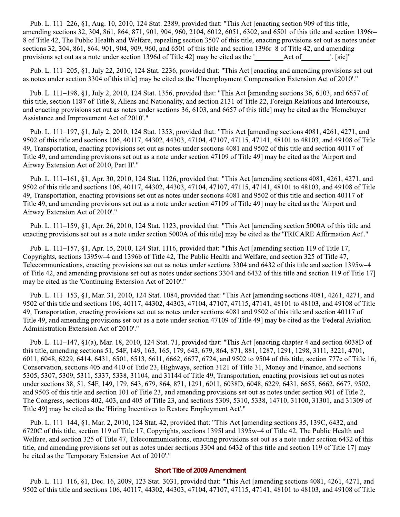Pub. L. 111–226, §1, Aug. 10, 2010, 124 Stat. 2389, provided that: "This Act [enacting section 909 of this title, amending sections 32, 304, 861, 864, 871, 901, 904, 960, 2104, 6012, 6051, 6302, and 6501 of this title and section 1396r-8 of Title 42, The Public Health and Welfare, repealing section 3507 of this title, enacting provisions set out as notes under sections 32, 304, 861, 864, 901, 904, 909, 960, and 6501 of this title and section 1396r–8 of Title 42, and amending provisions set out as a note under section 1396d of Title 42 may be cited as the ' Act of  $'.$  [sic] $"$ 

Pub. L. 111–205, §1, July 22, 2010, 124 Stat. 2236, provided that: "This Act [enacting and amending provisions set out as notes under section 3304 of this title] may be cited as the 'Unemployment Compensation Extension Act of 2010'."

Pub. L. 111–198, §1, July 2, 2010, 124 Stat. 1356, provided that: "This Act [amending sections 36, 6103, and 6657 of this title, section 1187 of Title 8, Aliens and Nationality, and section 2131 of Title 22, Foreign Relations and Intercourse, and enacting provisions set out as notes under sections 36, 6103, and 6657 of this title] may be cited as the 'Homebuyer Assistance and Improvement Act of 2010'."

Pub. L. 111–197, §1, July 2, 2010, 124 Stat. 1353, provided that: "This Act [amending sections 4081, 4261, 4271, and 9502 of this title and sections 106, 40117, 44302, 44303, 47104, 47107, 47115, 47141, 48101 to 48103, and 49108 of Title 49. Transportation, enacting provisions set out as notes under sections 4081 and 9502 of this title and section 40117 of Title 49, and amending provisions set out as a note under section 47109 of Title 49] may be cited as the 'Airport and Airway Extension Act of 2010, Part II'."

Pub. L. 111-161, §1, Apr. 30, 2010, 124 Stat. 1126, provided that: "This Act [amending sections 4081, 4261, 4271, and 9502 of this title and sections 106, 40117, 44302, 44303, 47104, 47107, 47115, 47141, 48101 to 48103, and 49108 of Title 49, Transportation, enacting provisions set out as notes under sections 4081 and 9502 of this title and section 40117 of Title 49, and amending provisions set out as a note under section 47109 of Title 49] may be cited as the 'Airport and Airway Extension Act of 2010'."

Pub. L. 111–159, §1, Apr. 26, 2010, 124 Stat. 1123, provided that: "This Act [amending section 5000A of this title and enacting provisions set out as a note under section 5000A of this title] may be cited as the 'TRICARE Affirmation Act'."

Pub. L. 111–157, §1, Apr. 15, 2010, 124 Stat. 1116, provided that: "This Act [amending section 119 of Title 17, Copyrights, sections 1395w-4 and 1396b of Title 42, The Public Health and Welfare, and section 325 of Title 47, Telecommunications, enacting provisions set out as notes under sections 3304 and 6432 of this title and section 1395w–4 of Title 42, and amending provisions set out as notes under sections 3304 and 6432 of this title and section 119 of Title 17 may be cited as the 'Continuing Extension Act of 2010'."

Pub. L. 111–153, §1, Mar. 31, 2010, 124 Stat. 1084, provided that: "This Act [amending sections 4081, 4261, 4271, and 9502 of this title and sections 106, 40117, 44302, 44303, 47104, 47107, 47115, 47141, 48101 to 48103, and 49108 of Title 49, Transportation, enacting provisions set out as notes under sections 4081 and 9502 of this title and section 40117 of Title 49, and amending provisions set out as a note under section 47109 of Title 49] may be cited as the 'Federal Aviation Administration Extension Act of 2010'."

Pub. L. 111–147,  $\S1(a)$ , Mar. 18, 2010, 124 Stat. 71, provided that: "This Act [enacting chapter 4 and section 6038D of this title, amending sections 51, 54F, 149, 163, 165, 179, 643, 679, 864, 871, 881, 1287, 1291, 1298, 3111, 3221, 4701, 6011, 6048, 6229, 6414, 6431, 6501, 6513, 6611, 6662, 6677, 6724, and 9502 to 9504 of this title, section 777c of Title 16, Conservation, sections 405 and 410 of Title 23, Highways, section 3121 of Title 31, Money and Finance, and sections 5305, 5307, 5309, 5311, 5337, 5338, 31104, and 31144 of Title 49, Transportation, enacting provisions set out as notes under sections 38, 51, 54F, 149, 179, 643, 679, 864, 871, 1291, 6011, 6038D, 6048, 6229, 6431, 6655, 6662, 6677, 9502, and 9503 of this title and section 101 of Title 23, and amending provisions set out as notes under section 901 of Title 2, The Congress, sections 402, 403, and 405 of Title 23, and sections 5309, 5310, 5338, 14710, 31100, 31301, and 31309 of Title 49] may be cited as the 'Hiring Incentives to Restore Employment Act'."

Pub. L. 111-144, §1, Mar. 2, 2010, 124 Stat. 42, provided that: "This Act [amending sections 35, 139C, 6432, and 6720C of this title, section 119 of Title 17, Copyrights, sections 1395l and 1395w-4 of Title 42, The Public Health and Welfare, and section 325 of Title 47, Telecommunications, enacting provisions set out as a note under section 6432 of this title, and amending provisions set out as notes under sections 3304 and 6432 of this title and section 119 of Title 17 may be cited as the 'Temporary Extension Act of 2010'."

#### **Short Title of 2009 Amendment**

Pub. L. 111–116, §1, Dec. 16, 2009, 123 Stat. 3031, provided that: "This Act [amending sections 4081, 4261, 4271, and 9502 of this title and sections 106, 40117, 44302, 44303, 47104, 47107, 47115, 47141, 48101 to 48103, and 49108 of Title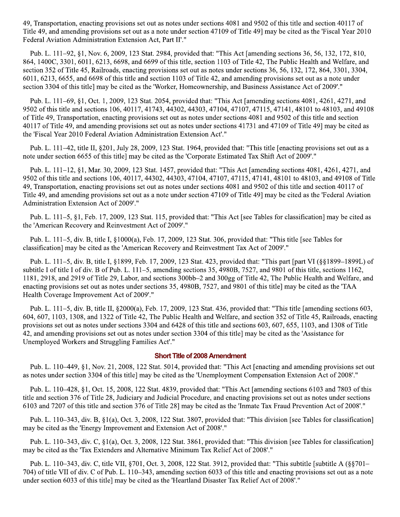49, Transportation, enacting provisions set out as notes under sections 4081 and 9502 of this title and section 40117 of Title 49, and amending provisions set out as a note under section 47109 of Title 49] may be cited as the 'Fiscal Year 2010 Federal Aviation Administration Extension Act, Part II'."

Pub. L. 111–92, §1, Nov. 6, 2009, 123 Stat. 2984, provided that: "This Act [amending sections 36, 56, 132, 172, 810, 864, 1400C, 3301, 6011, 6213, 6698, and 6699 of this title, section 1103 of Title 42, The Public Health and Welfare, and section 352 of Title 45, Railroads, enacting provisions set out as notes under sections 36, 56, 132, 172, 864, 3301, 3304, 6011, 6213, 6655, and 6698 of this title and section 1103 of Title 42, and amending provisions set out as a note under section 3304 of this title] may be cited as the 'Worker, Homeownership, and Business Assistance Act of 2009'."

Pub. L. 111–69, §1, Oct. 1, 2009, 123 Stat. 2054, provided that: "This Act [amending sections 4081, 4261, 4271, and 9502 of this title and sections 106, 40117, 41743, 44302, 44303, 47104, 47107, 47115, 47141, 48101 to 48103, and 49108 of Title 49, Transportation, enacting provisions set out as notes under sections 4081 and 9502 of this title and section 40117 of Title 49, and amending provisions set out as notes under sections 41731 and 47109 of Title 49] may be cited as the 'Fiscal Year 2010 Federal Aviation Administration Extension Act'."

Pub. L. 111–42, title II, §201, July 28, 2009, 123 Stat. 1964, provided that: "This title [enacting provisions set out as a note under section 6655 of this title] may be cited as the 'Corporate Estimated Tax Shift Act of 2009'."

Pub. L. 111–12, §1, Mar. 30, 2009, 123 Stat. 1457, provided that: "This Act [amending sections 4081, 4261, 4271, and 9502 of this title and sections 106, 40117, 44302, 44303, 47104, 47107, 47115, 47141, 48101 to 48103, and 49108 of Title 49, Transportation, enacting provisions set out as notes under sections 4081 and 9502 of this title and section 40117 of Title 49, and amending provisions set out as a note under section 47109 of Title 49] may be cited as the 'Federal Aviation Administration Extension Act of 2009'."

Pub. L. 111–5, §1, Feb. 17, 2009, 123 Stat. 115, provided that: "This Act [see Tables for classification] may be cited as the 'American Recovery and Reinvestment Act of 2009'."

Pub. L. 111–5, div. B, title I, §1000(a), Feb. 17, 2009, 123 Stat. 306, provided that: "This title [see Tables for classification] may be cited as the 'American Recovery and Reinvestment Tax Act of 2009'."

Pub. L. 111–5, div. B, title I, §1899, Feb. 17, 2009, 123 Stat. 423, provided that: "This part [part VI (§§1899–1899L) of subtitle I of title I of div. B of Pub. L. 111–5, amending sections 35, 4980B, 7527, and 9801 of this title, sections 1162, 1181, 2918, and 2919 of Title 29, Labor, and sections 300bb-2 and 300gg of Title 42, The Public Health and Welfare, and enacting provisions set out as notes under sections 35, 4980B, 7527, and 9801 of this title] may be cited as the 'TAA Health Coverage Improvement Act of 2009'."

Pub. L. 111–5, div. B, title II, §2000(a), Feb. 17, 2009, 123 Stat. 436, provided that: "This title [amending sections 603, 604, 607, 1103, 1308, and 1322 of Title 42, The Public Health and Welfare, and section 352 of Title 45, Railroads, enacting provisions set out as notes under sections 3304 and 6428 of this title and sections 603, 607, 655, 1103, and 1308 of Title 42, and amending provisions set out as notes under section 3304 of this title] may be cited as the 'Assistance for Unemployed Workers and Struggling Families Act'."

#### **Short Title of 2008 Amendment**

Pub. L. 110–449, §1, Nov. 21, 2008, 122 Stat. 5014, provided that: "This Act [enacting and amending provisions set out as notes under section 3304 of this title] may be cited as the 'Unemployment Compensation Extension Act of 2008'."

Pub. L. 110–428, §1, Oct. 15, 2008, 122 Stat. 4839, provided that: "This Act [amending sections 6103 and 7803 of this title and section 376 of Title 28, Judiciary and Judicial Procedure, and enacting provisions set out as notes under sections 6103 and 7207 of this title and section 376 of Title 28] may be cited as the 'Inmate Tax Fraud Prevention Act of 2008'."

Pub. L. 110–343, div. B, §1(a), Oct. 3, 2008, 122 Stat. 3807, provided that: "This division [see Tables for classification] may be cited as the 'Energy Improvement and Extension Act of 2008'."

Pub. L. 110–343, div. C, §1(a), Oct. 3, 2008, 122 Stat. 3861, provided that: "This division [see Tables for classification] may be cited as the 'Tax Extenders and Alternative Minimum Tax Relief Act of 2008'."

Pub. L. 110–343, div. C, title VII, §701, Oct. 3, 2008, 122 Stat. 3912, provided that: "This subtitle [subtitle A (§§701– 704) of title VII of div. C of Pub. L. 110–343, amending section 6033 of this title and enacting provisions set out as a note under section 6033 of this title] may be cited as the 'Heartland Disaster Tax Relief Act of 2008'."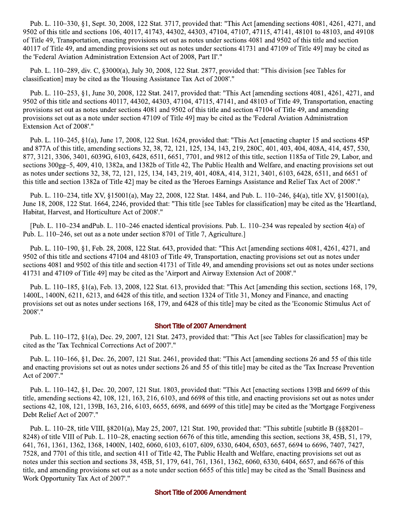Pub. L. 110–330, §1, Sept. 30, 2008, 122 Stat. 3717, provided that: "This Act [amending sections 4081, 4261, 4271, and 9502 of this title and sections 106, 40117, 41743, 44302, 44303, 47104, 47107, 47115, 47141, 48101 to 48103, and 49108 of Title 49, Transportation, enacting provisions set out as notes under sections 4081 and 9502 of this title and section 40117 of Title 49, and amending provisions set out as notes under sections 41731 and 47109 of Title 49] may be cited as the 'Federal Aviation Administration Extension Act of 2008, Part II'."

Pub. L. 110–289, div. C, §3000(a), July 30, 2008, 122 Stat. 2877, provided that: "This division [see Tables for classification] may be cited as the 'Housing Assistance Tax Act of 2008'."

Pub. L. 110–253, §1, June 30, 2008, 122 Stat. 2417, provided that: "This Act [amending sections 4081, 4261, 4271, and 9502 of this title and sections 40117, 44302, 44303, 47104, 47115, 47141, and 48103 of Title 49, Transportation, enacting provisions set out as notes under sections 4081 and 9502 of this title and section 47104 of Title 49, and amending provisions set out as a note under section 47109 of Title 49] may be cited as the 'Federal Aviation Administration Extension Act of 2008'."

Pub. L. 110–245, §1(a), June 17, 2008, 122 Stat. 1624, provided that: "This Act [enacting chapter 15 and sections 45P and 877A of this title, amending sections 32, 38, 72, 121, 125, 134, 143, 219, 280C, 401, 403, 404, 408A, 414, 457, 530, 877, 3121, 3306, 3401, 6039G, 6103, 6428, 6511, 6651, 7701, and 9812 of this title, section 1185a of Title 29, Labor, and sections 300gg–5, 409, 410, 1382a, and 1382b of Title 42, The Public Health and Welfare, and enacting provisions set out as notes under sections 32, 38, 72, 121, 125, 134, 143, 219, 401, 408A, 414, 3121, 3401, 6103, 6428, 6511, and 6651 of this title and section 1382a of Title 42] may be cited as the 'Heroes Earnings Assistance and Relief Tax Act of 2008'."

Pub. L. 110–234, title XV, §15001(a), May 22, 2008, 122 Stat. 1484, and Pub. L. 110–246, §4(a), title XV, §15001(a), June 18, 2008, 122 Stat. 1664, 2246, provided that: "This title [see Tables for classification] may be cited as the 'Heartland, Habitat, Harvest, and Horticulture Act of 2008'."

[Pub. L. 110–234 and Pub. L. 110–246 enacted identical provisions. Pub. L. 110–234 was repealed by section  $4(a)$  of Pub. L. 110–246, set out as a note under section 8701 of Title 7, Agriculture.]

Pub. L. 110-190, §1, Feb. 28, 2008, 122 Stat. 643, provided that: "This Act [amending sections 4081, 4261, 4271, and 9502 of this title and sections 47104 and 48103 of Title 49, Transportation, enacting provisions set out as notes under sections 4081 and 9502 of this title and section 41731 of Title 49, and amending provisions set out as notes under sections 41731 and 47109 of Title 49] may be cited as the 'Airport and Airway Extension Act of 2008'."

Pub. L. 110–185, §1(a), Feb. 13, 2008, 122 Stat. 613, provided that: "This Act [amending this section, sections 168, 179, 1400L, 1400N, 6211, 6213, and 6428 of this title, and section 1324 of Title 31, Money and Finance, and enacting provisions set out as notes under sections 168, 179, and 6428 of this title] may be cited as the 'Economic Stimulus Act of 2008'."

#### **Short Title of 2007 Amendment**

Pub. L. 110–172, §1(a), Dec. 29, 2007, 121 Stat. 2473, provided that: "This Act [see Tables for classification] may be cited as the 'Tax Technical Corrections Act of 2007'."

Pub. L. 110–166, §1, Dec. 26, 2007, 121 Stat. 2461, provided that: "This Act [amending sections 26 and 55 of this title and enacting provisions set out as notes under sections 26 and 55 of this title] may be cited as the 'Tax Increase Prevention Act of 2007'."

Pub. L. 110–142, §1, Dec. 20, 2007, 121 Stat. 1803, provided that: "This Act [enacting sections 139B and 6699 of this title, amending sections 42, 108, 121, 163, 216, 6103, and 6698 of this title, and enacting provisions set out as notes under sections 42, 108, 121, 139B, 163, 216, 6103, 6655, 6698, and 6699 of this title] may be cited as the 'Mortgage Forgiveness Debt Relief Act of 2007'."

Pub. L. 110–28, title VIII, §8201(a), May 25, 2007, 121 Stat. 190, provided that: "This subtitle [subtitle B (§§8201– 8248) of title VIII of Pub. L. 110–28, enacting section 6676 of this title, amending this section, sections 38, 45B, 51, 179, 641, 761, 1361, 1362, 1368, 1400N, 1402, 6060, 6103, 6107, 6109, 6330, 6404, 6503, 6657, 6694 to 6696, 7407, 7427, 7528, and 7701 of this title, and section 411 of Title 42. The Public Health and Welfare, enacting provisions set out as notes under this section and sections 38, 45B, 51, 179, 641, 761, 1361, 1362, 6060, 6330, 6404, 6657, and 6676 of this title, and amending provisions set out as a note under section 6655 of this title] may be cited as the 'Small Business and Work Opportunity Tax Act of 2007'."

#### **Short Title of 2006 Amendment**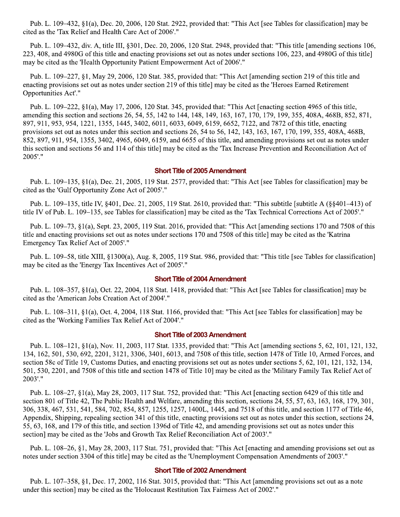Pub. L. 109–432, §1(a), Dec. 20, 2006, 120 Stat. 2922, provided that: "This Act [see Tables for classification] may be cited as the 'Tax Relief and Health Care Act of 2006'."

Pub. L. 109–432, div. A, title III, §301, Dec. 20, 2006, 120 Stat. 2948, provided that: "This title [amending sections 106, 223, 408, and 4980G of this title and enacting provisions set out as notes under sections 106, 223, and 4980G of this title] may be cited as the 'Health Opportunity Patient Empowerment Act of 2006'."

Pub. L. 109–227, §1, May 29, 2006, 120 Stat. 385, provided that: "This Act [amending section 219 of this title and enacting provisions set out as notes under section 219 of this title] may be cited as the 'Heroes Earned Retirement Opportunities Act'."

Pub. L. 109–222, §1(a), May 17, 2006, 120 Stat. 345, provided that: "This Act [enacting section 4965 of this title, amending this section and sections 26, 54, 55, 142 to 144, 148, 149, 163, 167, 170, 179, 199, 355, 408A, 468B, 852, 871, 897, 911, 953, 954, 1221, 1355, 1445, 3402, 6011, 6033, 6049, 6159, 6652, 7122, and 7872 of this title, enacting provisions set out as notes under this section and sections 26, 54 to 56, 142, 143, 163, 167, 170, 199, 355, 408A, 468B, 852, 897, 911, 954, 1355, 3402, 4965, 6049, 6159, and 6655 of this title, and amending provisions set out as notes under this section and sections 56 and 114 of this title] may be cited as the 'Tax Increase Prevention and Reconciliation Act of 2005'."

#### **Short Title of 2005 Amendment**

Pub. L. 109–135,  $\S1(a)$ , Dec. 21, 2005, 119 Stat. 2577, provided that: "This Act [see Tables for classification] may be cited as the 'Gulf Opportunity Zone Act of 2005'."

Pub. L. 109–135, title IV, §401, Dec. 21, 2005, 119 Stat. 2610, provided that: "This subtitle [subtitle A (§§401–413) of title IV of Pub. L. 109–135, see Tables for classification] may be cited as the 'Tax Technical Corrections Act of 2005'."

Pub. L. 109–73, §1(a), Sept. 23, 2005, 119 Stat. 2016, provided that: "This Act [amending sections 170 and 7508 of this title and enacting provisions set out as notes under sections 170 and 7508 of this title] may be cited as the 'Katrina Emergency Tax Relief Act of 2005'."

Pub. L. 109–58, title XIII,  $\S$ 1300(a), Aug. 8, 2005, 119 Stat. 986, provided that: "This title [see Tables for classification] may be cited as the 'Energy Tax Incentives Act of 2005'."

#### **Short Title of 2004 Amendment**

Pub. L. 108-357, §1(a), Oct. 22, 2004, 118 Stat. 1418, provided that: "This Act [see Tables for classification] may be cited as the 'American Jobs Creation Act of 2004'."

Pub. L. 108–311, §1(a), Oct. 4, 2004, 118 Stat. 1166, provided that: "This Act [see Tables for classification] may be cited as the 'Working Families Tax Relief Act of 2004'."

#### **Short Title of 2003 Amendment**

Pub. L. 108–121, §1(a), Nov. 11, 2003, 117 Stat. 1335, provided that: "This Act [amending sections 5, 62, 101, 121, 132, 134, 162, 501, 530, 692, 2201, 3121, 3306, 3401, 6013, and 7508 of this title, section 1478 of Title 10, Armed Forces, and section 58c of Title 19, Customs Duties, and enacting provisions set out as notes under sections 5, 62, 101, 121, 132, 134, 501, 530, 2201, and 7508 of this title and section 1478 of Title 10] may be cited as the 'Military Family Tax Relief Act of 2003'."

Pub. L. 108–27, §1(a), May 28, 2003, 117 Stat. 752, provided that: "This Act [enacting section 6429 of this title and section 801 of Title 42, The Public Health and Welfare, amending this section, sections 24, 55, 57, 63, 163, 168, 179, 301, 306, 338, 467, 531, 541, 584, 702, 854, 857, 1255, 1257, 1400L, 1445, and 7518 of this title, and section 1177 of Title 46, Appendix, Shipping, repealing section 341 of this title, enacting provisions set out as notes under this section, sections 24, 55, 63, 168, and 179 of this title, and section 1396d of Title 42, and amending provisions set out as notes under this section] may be cited as the 'Jobs and Growth Tax Relief Reconciliation Act of 2003'."

Pub. L. 108–26, §1, May 28, 2003, 117 Stat. 751, provided that: "This Act [enacting and amending provisions set out as notes under section 3304 of this title] may be cited as the 'Unemployment Compensation Amendments of 2003'."

#### **Short Title of 2002 Amendment**

Pub. L. 107–358, §1, Dec. 17, 2002, 116 Stat. 3015, provided that: "This Act [amending provisions set out as a note under this section] may be cited as the 'Holocaust Restitution Tax Fairness Act of 2002'."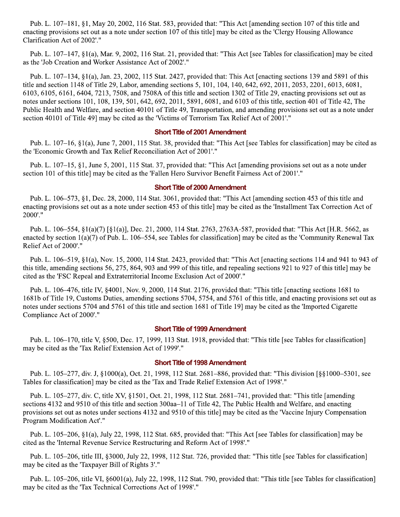Pub. L. 107–181, §1, May 20, 2002, 116 Stat. 583, provided that: "This Act [amending section 107 of this title and enacting provisions set out as a note under section 107 of this title] may be cited as the 'Clergy Housing Allowance Clarification Act of 2002'."

Pub. L. 107–147, §1(a), Mar. 9, 2002, 116 Stat. 21, provided that: "This Act [see Tables for classification] may be cited as the 'Job Creation and Worker Assistance Act of 2002'."

Pub. L. 107–134, §1(a), Jan. 23, 2002, 115 Stat. 2427, provided that: This Act [enacting sections 139 and 5891 of this title and section 1148 of Title 29, Labor, amending sections 5, 101, 104, 140, 642, 692, 2011, 2053, 2201, 6013, 6081, 6103, 6105, 6161, 6404, 7213, 7508, and 7508A of this title and section 1302 of Title 29, enacting provisions set out as notes under sections 101, 108, 139, 501, 642, 692, 2011, 5891, 6081, and 6103 of this title, section 401 of Title 42, The Public Health and Welfare, and section 40101 of Title 49, Transportation, and amending provisions set out as a note under section 40101 of Title 49] may be cited as the 'Victims of Terrorism Tax Relief Act of 2001'."

#### **Short Title of 2001 Amendment**

Pub. L. 107–16, §1(a), June 7, 2001, 115 Stat. 38, provided that: "This Act [see Tables for classification] may be cited as the 'Economic Growth and Tax Relief Reconciliation Act of 2001'."

Pub. L. 107–15, §1, June 5, 2001, 115 Stat. 37, provided that: "This Act [amending provisions set out as a note under section 101 of this title] may be cited as the 'Fallen Hero Survivor Benefit Fairness Act of 2001'."

#### **Short Title of 2000 Amendment**

Pub. L. 106–573, §1, Dec. 28, 2000, 114 Stat. 3061, provided that: "This Act [amending section 453 of this title and enacting provisions set out as a note under section 453 of this title] may be cited as the 'Installment Tax Correction Act of 2000'."

Pub. L. 106–554, §1(a)(7) [§1(a)], Dec. 21, 2000, 114 Stat. 2763, 2763A-587, provided that: "This Act [H.R. 5662, as enacted by section  $1(a)(7)$  of Pub. L. 106–554, see Tables for classification] may be cited as the 'Community Renewal Tax Relief Act of 2000'."

Pub. L. 106–519, §1(a), Nov. 15, 2000, 114 Stat. 2423, provided that: "This Act [enacting sections 114 and 941 to 943 of this title, amending sections 56, 275, 864, 903 and 999 of this title, and repealing sections 921 to 927 of this title] may be cited as the 'FSC Repeal and Extraterritorial Income Exclusion Act of 2000'."

Pub. L. 106–476, title IV, §4001, Nov. 9, 2000, 114 Stat. 2176, provided that: "This title [enacting sections 1681 to 1681b of Title 19, Customs Duties, amending sections 5704, 5754, and 5761 of this title, and enacting provisions set out as notes under sections 5704 and 5761 of this title and section 1681 of Title 19] may be cited as the 'Imported Cigarette Compliance Act of 2000'."

#### **Short Title of 1999 Amendment**

Pub. L. 106–170, title V, §500, Dec. 17, 1999, 113 Stat. 1918, provided that: "This title [see Tables for classification] may be cited as the 'Tax Relief Extension Act of 1999'."

#### **Short Title of 1998 Amendment**

Pub. L. 105–277, div. J, §1000(a), Oct. 21, 1998, 112 Stat. 2681–886, provided that: "This division [§§1000–5301, see Tables for classification] may be cited as the 'Tax and Trade Relief Extension Act of 1998'."

Pub. L. 105–277, div. C, title XV, §1501, Oct. 21, 1998, 112 Stat. 2681–741, provided that: "This title [amending sections 4132 and 9510 of this title and section 300aa–11 of Title 42, The Public Health and Welfare, and enacting provisions set out as notes under sections 4132 and 9510 of this title] may be cited as the 'Vaccine Injury Compensation Program Modification Act'."

Pub. L. 105–206, §1(a), July 22, 1998, 112 Stat. 685, provided that: "This Act [see Tables for classification] may be cited as the 'Internal Revenue Service Restructuring and Reform Act of 1998'."

Pub. L. 105–206, title III, §3000, July 22, 1998, 112 Stat. 726, provided that: "This title [see Tables for classification] may be cited as the 'Taxpayer Bill of Rights 3'."

Pub. L. 105–206, title VI, §6001(a), July 22, 1998, 112 Stat. 790, provided that: "This title [see Tables for classification] may be cited as the 'Tax Technical Corrections Act of 1998'."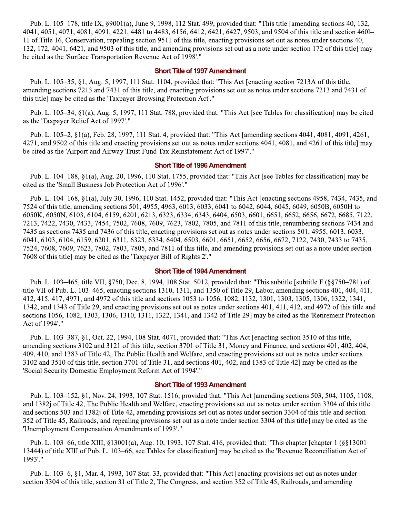Pub. L. 105–178, title IX, §9001(a), June 9, 1998, 112 Stat. 499, provided that: "This title [amending sections 40, 132, 4041, 4051, 4071, 4081, 4091, 4221, 4481 to 4483, 6156, 6412, 6421, 6427, 9503, and 9504 of this title and section 460l-11 of Title 16, Conservation, repealing section 9511 of this title, enacting provisions set out as notes under sections 40, 132, 172, 4041, 6421, and 9503 of this title, and amending provisions set out as a note under section 172 of this title] may be cited as the 'Surface Transportation Revenue Act of 1998'."

#### **Short Title of 1997 Amendment**

Pub. L. 105–35, §1, Aug. 5, 1997, 111 Stat. 1104, provided that: "This Act [enacting section 7213A of this title, amending sections 7213 and 7431 of this title, and enacting provisions set out as notes under sections 7213 and 7431 of this title] may be cited as the 'Taxpayer Browsing Protection Act'."

Pub. L. 105–34, §1(a), Aug. 5, 1997, 111 Stat. 788, provided that: "This Act [see Tables for classification] may be cited as the 'Taxpayer Relief Act of 1997'."

Pub. L. 105–2, §1(a), Feb. 28, 1997, 111 Stat. 4, provided that: "This Act [amending sections 4041, 4081, 4091, 4261, 4271, and 9502 of this title and enacting provisions set out as notes under sections 4041, 4081, and 4261 of this title] may be cited as the 'Airport and Airway Trust Fund Tax Reinstatement Act of 1997'."

#### **Short Title of 1996 Amendment**

Pub. L. 104–188, §1(a), Aug. 20, 1996, 110 Stat. 1755, provided that: "This Act [see Tables for classification] may be cited as the 'Small Business Job Protection Act of 1996'."

Pub. L. 104–168, §1(a), July 30, 1996, 110 Stat. 1452, provided that: "This Act [enacting sections 4958, 7434, 7435, and 7524 of this title, amending sections 501, 4955, 4963, 6013, 6033, 6041 to 6042, 6044, 6045, 6049, 6050B, 6050H to 6050K, 6050N, 6103, 6104, 6159, 6201, 6213, 6323, 6334, 6343, 6404, 6503, 6601, 6651, 6652, 6656, 6672, 6685, 7122, 7213, 7422, 7430, 7433, 7454, 7502, 7608, 7609, 7623, 7802, 7805, and 7811 of this title, renumbering sections 7434 and 7435 as sections 7435 and 7436 of this title, enacting provisions set out as notes under sections 501, 4955, 6013, 6033, 6041, 6103, 6104, 6159, 6201, 6311, 6323, 6334, 6404, 6503, 6601, 6651, 6652, 6656, 6672, 7122, 7430, 7433 to 7435, 7524, 7608, 7609, 7623, 7802, 7803, 7805, and 7811 of this title, and amending provisions set out as a note under section 7608 of this title] may be cited as the 'Taxpayer Bill of Rights 2'."

#### **Short Title of 1994 Amendment**

Pub. L. 103–465, title VII, §750, Dec. 8, 1994, 108 Stat. 5012, provided that: "This subtitle [subtitle F (§§750–781) of title VII of Pub. L. 103–465, enacting sections 1310, 1311, and 1350 of Title 29, Labor, amending sections 401, 404, 411, 412, 415, 417, 4971, and 4972 of this title and sections 1053 to 1056, 1082, 1132, 1301, 1303, 1305, 1306, 1322, 1341, 1342, and 1343 of Title 29, and enacting provisions set out as notes under sections 401, 411, 412, and 4972 of this title and sections 1056, 1082, 1303, 1306, 1310, 1311, 1322, 1341, and 1342 of Title 29] may be cited as the 'Retirement Protection Act of 1994'."

Pub. L. 103–387, §1, Oct. 22, 1994, 108 Stat. 4071, provided that: "This Act [enacting section 3510 of this title, amending sections 3102 and 3121 of this title, section 3701 of Title 31, Money and Finance, and sections 401, 402, 404, 409, 410, and 1383 of Title 42, The Public Health and Welfare, and enacting provisions set out as notes under sections 3102 and 3510 of this title, section 3701 of Title 31, and sections 401, 402, and 1383 of Title 42] may be cited as the 'Social Security Domestic Employment Reform Act of 1994'."

#### **Short Title of 1993 Amendment**

Pub. L. 103–152, §1, Nov. 24, 1993, 107 Stat. 1516, provided that: "This Act [amending sections 503, 504, 1105, 1108, and 1382j of Title 42, The Public Health and Welfare, enacting provisions set out as notes under section 3304 of this title and sections 503 and 1382j of Title 42, amending provisions set out as notes under section 3304 of this title and section 352 of Title 45, Railroads, and repealing provisions set out as a note under section 3304 of this title] may be cited as the "Unemployment Compensation Amendments of 1993'."

Pub. L. 103–66, title XIII, §13001(a), Aug. 10, 1993, 107 Stat. 416, provided that: "This chapter [chapter 1 (§§13001– 13444) of title XIII of Pub. L. 103–66, see Tables for classification] may be cited as the 'Revenue Reconciliation Act of 1993'."

Pub. L. 103–6, §1, Mar. 4, 1993, 107 Stat. 33, provided that: "This Act [enacting provisions set out as notes under section 3304 of this title, section 31 of Title 2, The Congress, and section 352 of Title 45, Railroads, and amending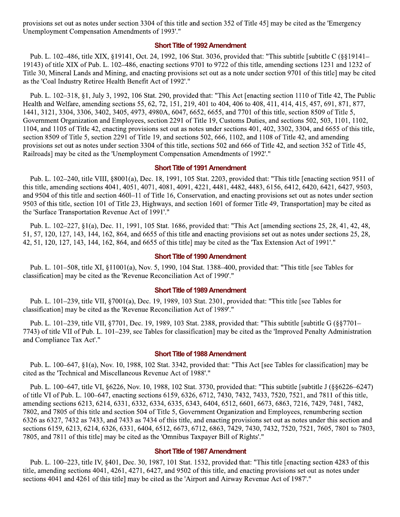provisions set out as notes under section 3304 of this title and section 352 of Title 45] may be cited as the 'Emergency Unemployment Compensation Amendments of 1993'."

#### **Short Title of 1992 Amendment**

Pub. L. 102–486, title XIX, §19141, Oct. 24, 1992, 106 Stat. 3036, provided that: "This subtitle [subtitle C (§§19141– 19143) of title XIX of Pub. L. 102–486, enacting sections 9701 to 9722 of this title, amending sections 1231 and 1232 of Title 30, Mineral Lands and Mining, and enacting provisions set out as a note under section 9701 of this title] may be cited as the 'Coal Industry Retiree Health Benefit Act of 1992'."

Pub. L. 102–318, §1, July 3, 1992, 106 Stat. 290, provided that: "This Act [enacting section 1110 of Title 42, The Public Health and Welfare, amending sections 55, 62, 72, 151, 219, 401 to 404, 406 to 408, 411, 414, 415, 457, 691, 871, 877, 1441, 3121, 3304, 3306, 3402, 3405, 4973, 4980A, 6047, 6652, 6655, and 7701 of this title, section 8509 of Title 5, Government Organization and Employees, section 2291 of Title 19, Customs Duties, and sections 502, 503, 1101, 1102, 1104, and 1105 of Title 42, enacting provisions set out as notes under sections 401, 402, 3302, 3304, and 6655 of this title, section 8509 of Title 5, section 2291 of Title 19, and sections 502, 666, 1102, and 1108 of Title 42, and amending provisions set out as notes under section 3304 of this title, sections 502 and 666 of Title 42, and section 352 of Title 45, Railroads] may be cited as the 'Unemployment Compensation Amendments of 1992'."

#### **Short Title of 1991 Amendment**

Pub. L. 102–240, title VIII, §8001(a), Dec. 18, 1991, 105 Stat. 2203, provided that: "This title [enacting section 9511 of this title, amending sections 4041, 4051, 4071, 4081, 4091, 4221, 4481, 4482, 4483, 6156, 6412, 6420, 6421, 6427, 9503, and 9504 of this title and section 460-11 of Title 16, Conservation, and enacting provisions set out as notes under section 9503 of this title, section 101 of Title 23, Highways, and section 1601 of former Title 49, Transportation] may be cited as the 'Surface Transportation Revenue Act of 1991'."

Pub. L. 102–227, §1(a), Dec. 11, 1991, 105 Stat. 1686, provided that: "This Act [amending sections 25, 28, 41, 42, 48, 51, 57, 120, 127, 143, 144, 162, 864, and 6655 of this title and enacting provisions set out as notes under sections 25, 28, 42, 51, 120, 127, 143, 144, 162, 864, and 6655 of this title] may be cited as the 'Tax Extension Act of 1991'."

#### **Short Title of 1990 Amendment**

Pub. L. 101–508, title XI, §11001(a), Nov. 5, 1990, 104 Stat. 1388–400, provided that: "This title [see Tables for classification] may be cited as the 'Revenue Reconciliation Act of 1990'."

#### **Short Title of 1989 Amendment**

Pub. L. 101–239, title VII, §7001(a), Dec. 19, 1989, 103 Stat. 2301, provided that: "This title [see Tables for classification] may be cited as the 'Revenue Reconciliation Act of 1989'."

Pub. L. 101–239, title VII, §7701, Dec. 19, 1989, 103 Stat. 2388, provided that: "This subtitle [subtitle G (§§7701– 7743) of title VII of Pub. L. 101–239, see Tables for classification] may be cited as the 'Improved Penalty Administration and Compliance Tax Act'."

#### **Short Title of 1988 Amendment**

Pub. L. 100–647, §1(a), Nov. 10, 1988, 102 Stat. 3342, provided that: "This Act [see Tables for classification] may be cited as the 'Technical and Miscellaneous Revenue Act of 1988'."

Pub. L. 100–647, title VI, §6226, Nov. 10, 1988, 102 Stat. 3730, provided that: "This subtitle [subtitle J (§§6226–6247) of title VI of Pub. L. 100–647, enacting sections 6159, 6326, 6712, 7430, 7432, 7433, 7520, 7521, and 7811 of this title, amending sections 6213, 6214, 6331, 6332, 6334, 6335, 6343, 6404, 6512, 6601, 6673, 6863, 7216, 7429, 7481, 7482, 7802, and 7805 of this title and section 504 of Title 5, Government Organization and Employees, renumbering section 6326 as 6327, 7432 as 7433, and 7433 as 7434 of this title, and enacting provisions set out as notes under this section and sections 6159, 6213, 6214, 6326, 6331, 6404, 6512, 6673, 6712, 6863, 7429, 7430, 7432, 7520, 7521, 7605, 7801 to 7803, 7805, and 7811 of this title] may be cited as the 'Omnibus Taxpayer Bill of Rights'."

#### **Short Title of 1987 Amendment**

Pub. L. 100-223, title IV, §401, Dec. 30, 1987, 101 Stat. 1532, provided that: "This title [enacting section 4283 of this title, amending sections 4041, 4261, 4271, 6427, and 9502 of this title, and enacting provisions set out as notes under sections 4041 and 4261 of this title] may be cited as the 'Airport and Airway Revenue Act of 1987'."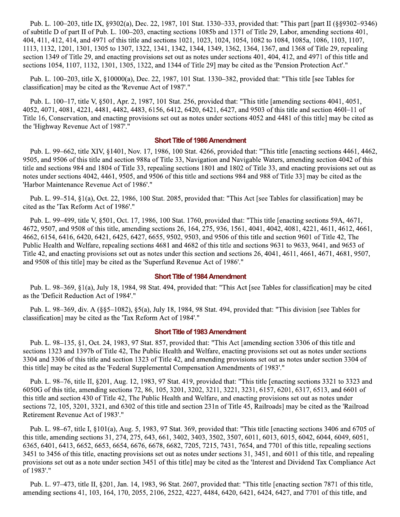Pub. L. 100–203, title IX, §9302(a), Dec. 22, 1987, 101 Stat. 1330–333, provided that: "This part [part II (§§9302–9346) of subtitle D of part II of Pub. L. 100–203, enacting sections 1085b and 1371 of Title 29, Labor, amending sections 401, 404, 411, 412, 414, and 4971 of this title and sections 1021, 1023, 1024, 1054, 1082 to 1084, 1085a, 1086, 1103, 1107, 1113, 1132, 1201, 1301, 1305 to 1307, 1322, 1341, 1342, 1344, 1349, 1362, 1364, 1367, and 1368 of Title 29, repealing section 1349 of Title 29, and enacting provisions set out as notes under sections 401, 404, 412, and 4971 of this title and sections 1054, 1107, 1132, 1301, 1305, 1322, and 1344 of Title 29] may be cited as the 'Pension Protection Act'."

Pub. L. 100-203, title X, §10000(a), Dec. 22, 1987, 101 Stat. 1330-382, provided that: "This title [see Tables for classification] may be cited as the 'Revenue Act of 1987'."

Pub. L. 100–17, title V, §501, Apr. 2, 1987, 101 Stat. 256, provided that: "This title [amending sections 4041, 4051, 4052, 4071, 4081, 4221, 4481, 4482, 4483, 6156, 6412, 6420, 6421, 6427, and 9503 of this title and section 460l–11 of Title 16, Conservation, and enacting provisions set out as notes under sections 4052 and 4481 of this title] may be cited as the 'Highway Revenue Act of 1987'."

#### **Short Title of 1986 Amendment**

Pub. L. 99–662, title XIV, §1401, Nov. 17, 1986, 100 Stat. 4266, provided that: "This title [enacting sections 4461, 4462, 9505, and 9506 of this title and section 988a of Title 33, Navigation and Navigable Waters, amending section 4042 of this title and sections 984 and 1804 of Title 33, repealing sections 1801 and 1802 of Title 33, and enacting provisions set out as notes under sections 4042, 4461, 9505, and 9506 of this title and sections 984 and 988 of Title 33] may be cited as the 'Harbor Maintenance Revenue Act of 1986'."

Pub. L. 99–514, §1(a), Oct. 22, 1986, 100 Stat. 2085, provided that: "This Act [see Tables for classification] may be cited as the 'Tax Reform Act of 1986'."

Pub. L. 99–499, title V, §501, Oct. 17, 1986, 100 Stat. 1760, provided that: "This title [enacting sections 59A, 4671, 4672, 9507, and 9508 of this title, amending sections 26, 164, 275, 936, 1561, 4041, 4042, 4081, 4221, 4611, 4612, 4661, 4662, 6154, 6416, 6420, 6421, 6425, 6427, 6655, 9502, 9503, and 9506 of this title and section 9601 of Title 42, The Public Health and Welfare, repealing sections 4681 and 4682 of this title and sections 9631 to 9633, 9641, and 9653 of Title 42, and enacting provisions set out as notes under this section and sections 26, 4041, 4611, 4661, 4671, 4681, 9507, and 9508 of this title] may be cited as the 'Superfund Revenue Act of 1986'."

#### **Short Title of 1984 Amendment**

Pub. L. 98–369, §1(a), July 18, 1984, 98 Stat. 494, provided that: "This Act [see Tables for classification] may be cited as the 'Deficit Reduction Act of 1984'."

Pub. L. 98–369, div. A (§§5–1082), §5(a), July 18, 1984, 98 Stat. 494, provided that: "This division [see Tables for classification] may be cited as the 'Tax Reform Act of 1984'."

#### **Short Title of 1983 Amendment**

Pub. L. 98–135, §1, Oct. 24, 1983, 97 Stat. 857, provided that: "This Act [amending section 3306 of this title and sections 1323 and 1397b of Title 42, The Public Health and Welfare, enacting provisions set out as notes under sections 3304 and 3306 of this title and section 1323 of Title 42, and amending provisions set out as notes under section 3304 of this title] may be cited as the 'Federal Supplemental Compensation Amendments of 1983'."

Pub. L. 98–76, title II, §201, Aug. 12, 1983, 97 Stat. 419, provided that: "This title [enacting sections 3321 to 3323 and 6050G of this title, amending sections 72, 86, 105, 3201, 3202, 3211, 3221, 3231, 6157, 6201, 6317, 6513, and 6601 of this title and section 430 of Title 42, The Public Health and Welfare, and enacting provisions set out as notes under sections 72, 105, 3201, 3321, and 6302 of this title and section 231n of Title 45, Railroads] may be cited as the 'Railroad Retirement Revenue Act of 1983'."

Pub. L. 98–67, title I, §101(a), Aug. 5, 1983, 97 Stat. 369, provided that: "This title [enacting sections 3406 and 6705 of this title, amending sections 31, 274, 275, 643, 661, 3402, 3403, 3502, 3507, 6011, 6013, 6015, 6042, 6044, 6049, 6051, 6365, 6401, 6413, 6652, 6653, 6654, 6676, 6678, 6682, 7205, 7215, 7431, 7654, and 7701 of this title, repealing sections 3451 to 3456 of this title, enacting provisions set out as notes under sections 31, 3451, and 6011 of this title, and repealing provisions set out as a note under section 3451 of this title] may be cited as the 'Interest and Dividend Tax Compliance Act of 1983'."

Pub. L. 97–473, title II, §201, Jan. 14, 1983, 96 Stat. 2607, provided that: "This title [enacting section 7871 of this title, amending sections 41, 103, 164, 170, 2055, 2106, 2522, 4227, 4484, 6420, 6421, 6424, 6427, and 7701 of this title, and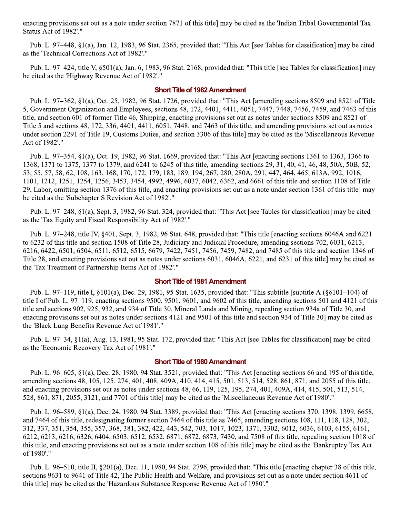enacting provisions set out as a note under section 7871 of this title] may be cited as the 'Indian Tribal Governmental Tax Status Act of 1982'."

Pub. L. 97–448, §1(a), Jan. 12, 1983, 96 Stat. 2365, provided that: "This Act [see Tables for classification] may be cited as the 'Technical Corrections Act of 1982'."

Pub. L. 97–424, title V, §501(a), Jan. 6, 1983, 96 Stat. 2168, provided that: "This title [see Tables for classification] may be cited as the 'Highway Revenue Act of 1982'."

#### **Short Title of 1982 Amendment**

Pub. L. 97–362, §1(a), Oct. 25, 1982, 96 Stat. 1726, provided that: "This Act [amending sections 8509 and 8521 of Title 5, Government Organization and Employees, sections 48, 172, 4401, 4411, 6051, 7447, 7448, 7456, 7459, and 7463 of this title, and section 601 of former Title 46, Shipping, enacting provisions set out as notes under sections 8509 and 8521 of Title 5 and sections 48, 172, 336, 4401, 4411, 6051, 7448, and 7463 of this title, and amending provisions set out as notes under section 2291 of Title 19, Customs Duties, and section 3306 of this title] may be cited as the 'Miscellaneous Revenue Act of 1982'."

Pub. L. 97–354, §1(a), Oct. 19, 1982, 96 Stat. 1669, provided that: "This Act [enacting sections 1361 to 1363, 1366 to 1368, 1371 to 1375, 1377 to 1379, and 6241 to 6245 of this title, amending sections 29, 31, 40, 41, 46, 48, 50A, 50B, 52, 53, 55, 57, 58, 62, 108, 163, 168, 170, 172, 179, 183, 189, 194, 267, 280, 280A, 291, 447, 464, 465, 613A, 992, 1016, 1101, 1212, 1251, 1254, 1256, 3453, 3454, 4992, 4996, 6037, 6042, 6362, and 6661 of this title and section 1108 of Title 29, Labor, omitting section 1376 of this title, and enacting provisions set out as a note under section 1361 of this title] may be cited as the 'Subchapter S Revision Act of 1982'."

Pub. L. 97–248, §1(a), Sept. 3, 1982, 96 Stat. 324, provided that: "This Act [see Tables for classification] may be cited as the 'Tax Equity and Fiscal Responsibility Act of 1982'."

Pub. L. 97-248, title IV, §401, Sept. 3, 1982, 96 Stat. 648, provided that: "This title [enacting sections 6046A and 6221 to 6232 of this title and section 1508 of Title 28, Judiciary and Judicial Procedure, amending sections 702, 6031, 6213, 6216, 6422, 6501, 6504, 6511, 6512, 6515, 6679, 7422, 7451, 7456, 7459, 7482, and 7485 of this title and section 1346 of Title 28, and enacting provisions set out as notes under sections 6031, 6046A, 6221, and 6231 of this title] may be cited as the 'Tax Treatment of Partnership Items Act of 1982'."

#### **Short Title of 1981 Amendment**

Pub. L. 97–119, title I, §101(a), Dec. 29, 1981, 95 Stat. 1635, provided that: "This subtitle [subtitle A (§§101–104) of title I of Pub. L. 97–119, enacting sections 9500, 9501, 9601, and 9602 of this title, amending sections 501 and 4121 of this title and sections 902, 925, 932, and 934 of Title 30, Mineral Lands and Mining, repealing section 934a of Title 30, and enacting provisions set out as notes under sections 4121 and 9501 of this title and section 934 of Title 30] may be cited as the 'Black Lung Benefits Revenue Act of 1981'."

Pub. L. 97–34, §1(a), Aug. 13, 1981, 95 Stat. 172, provided that: "This Act [see Tables for classification] may be cited as the 'Economic Recovery Tax Act of 1981'."

#### **Short Title of 1980 Amendment**

Pub. L. 96–605, §1(a), Dec. 28, 1980, 94 Stat. 3521, provided that: "This Act [enacting sections 66 and 195 of this title, amending sections 48, 105, 125, 274, 401, 408, 409A, 410, 414, 415, 501, 513, 514, 528, 861, 871, and 2055 of this title, and enacting provisions set out as notes under sections 48, 66, 119, 125, 195, 274, 401, 409A, 414, 415, 501, 513, 514, 528, 861, 871, 2055, 3121, and 7701 of this title] may be cited as the 'Miscellaneous Revenue Act of 1980'."

Pub. L. 96–589, §1(a), Dec. 24, 1980, 94 Stat. 3389, provided that: "This Act [enacting sections 370, 1398, 1399, 6658, and 7464 of this title, redesignating former section 7464 of this title as 7465, amending sections 108, 111, 118, 128, 302, 312, 337, 351, 354, 355, 357, 368, 381, 382, 422, 443, 542, 703, 1017, 1023, 1371, 3302, 6012, 6036, 6103, 6155, 6161, 6212, 6213, 6216, 6326, 6404, 6503, 6512, 6532, 6871, 6872, 6873, 7430, and 7508 of this title, repealing section 1018 of this title, and enacting provisions set out as a note under section 108 of this title] may be cited as the 'Bankruptcy Tax Act of 1980'."

Pub. L. 96–510, title II, §201(a), Dec. 11, 1980, 94 Stat. 2796, provided that: "This title [enacting chapter 38 of this title, sections 9631 to 9641 of Title 42, The Public Health and Welfare, and provisions set out as a note under section 4611 of this title] may be cited as the 'Hazardous Substance Response Revenue Act of 1980'."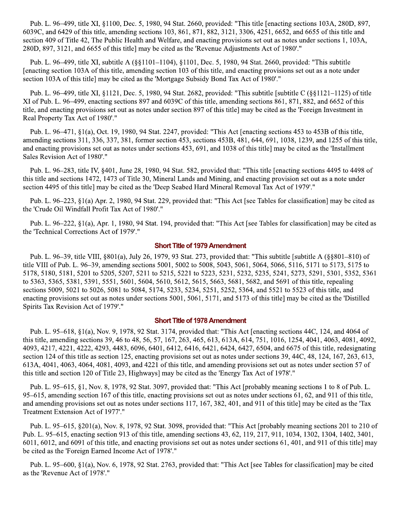Pub. L. 96–499, title XI, §1100, Dec. 5, 1980, 94 Stat. 2660, provided: "This title [enacting sections 103A, 280D, 897, 6039C, and 6429 of this title, amending sections 103, 861, 871, 882, 3121, 3306, 4251, 6652, and 6655 of this title and section 409 of Title 42, The Public Health and Welfare, and enacting provisions set out as notes under sections 1, 103A, 280D, 897, 3121, and 6655 of this title] may be cited as the 'Revenue Adjustments Act of 1980'."

Pub. L. 96–499, title XI, subtitle A (§§1101–1104), §1101, Dec. 5, 1980, 94 Stat. 2660, provided: "This subtitle [enacting section 103A of this title, amending section 103 of this title, and enacting provisions set out as a note under section 103A of this title] may be cited as the 'Mortgage Subsidy Bond Tax Act of 1980'."

Pub. L. 96–499, title XI, §1121, Dec. 5, 1980, 94 Stat. 2682, provided: "This subtitle [subtitle C (§§1121–1125) of title XI of Pub. L. 96–499, enacting sections 897 and 6039C of this title, amending sections 861, 871, 882, and 6652 of this title, and enacting provisions set out as notes under section 897 of this title] may be cited as the 'Foreign Investment in Real Property Tax Act of 1980'."

Pub. L. 96–471, §1(a), Oct. 19, 1980, 94 Stat. 2247, provided: "This Act [enacting sections 453 to 453B of this title, amending sections 311, 336, 337, 381, former section 453, sections 453B, 481, 644, 691, 1038, 1239, and 1255 of this title, and enacting provisions set out as notes under sections 453, 691, and 1038 of this title] may be cited as the 'Installment Sales Revision Act of 1980'."

Pub. L. 96–283, title IV, §401, June 28, 1980, 94 Stat. 582, provided that: "This title [enacting sections 4495 to 4498 of this title and sections 1472, 1473 of Title 30, Mineral Lands and Mining, and enacting provision set out as a note under section 4495 of this title] may be cited as the 'Deep Seabed Hard Mineral Removal Tax Act of 1979'."

Pub. L. 96–223, §1(a) Apr. 2, 1980, 94 Stat. 229, provided that: "This Act [see Tables for classification] may be cited as the 'Crude Oil Windfall Profit Tax Act of 1980'."

Pub. L. 96–222, §1(a), Apr. 1, 1980, 94 Stat. 194, provided that: "This Act [see Tables for classification] may be cited as the 'Technical Corrections Act of 1979'."

#### **Short Title of 1979 Amendment**

Pub. L. 96–39, title VIII, §801(a), July 26, 1979, 93 Stat. 273, provided that: "This subtitle [subtitle A (§§801–810) of title VIII of Pub. L. 96–39, amending sections 5001, 5002 to 5008, 5043, 5061, 5064, 5066, 5116, 5171 to 5173, 5175 to 5178, 5180, 5181, 5201 to 5205, 5207, 5211 to 5215, 5221 to 5223, 5231, 5232, 5235, 5241, 5273, 5291, 5301, 5352, 5361 to 5363, 5365, 5381, 5391, 5551, 5601, 5604, 5610, 5612, 5615, 5663, 5681, 5682, and 5691 of this title, repealing sections 5009, 5021 to 5026, 5081 to 5084, 5174, 5233, 5234, 5251, 5252, 5364, and 5521 to 5523 of this title, and enacting provisions set out as notes under sections 5001, 5061, 5171, and 5173 of this title] may be cited as the 'Distilled Spirits Tax Revision Act of 1979'."

#### **Short Title of 1978 Amendment**

Pub. L. 95–618, §1(a), Nov. 9, 1978, 92 Stat. 3174, provided that: "This Act [enacting sections 44C, 124, and 4064 of this title, amending sections 39, 46 to 48, 56, 57, 167, 263, 465, 613, 613A, 614, 751, 1016, 1254, 4041, 4063, 4081, 4092, 4093, 4217, 4221, 4222, 4293, 4483, 6096, 6401, 6412, 6416, 6421, 6424, 6427, 6504, and 6675 of this title, redesignating section 124 of this title as section 125, enacting provisions set out as notes under sections 39, 44C, 48, 124, 167, 263, 613, 613A, 4041, 4063, 4064, 4081, 4093, and 4221 of this title, and amending provisions set out as notes under section 57 of this title and section 120 of Title 23, Highways] may be cited as the 'Energy Tax Act of 1978'."

Pub. L. 95–615, §1, Nov. 8, 1978, 92 Stat. 3097, provided that: "This Act [probably meaning sections 1 to 8 of Pub. L. 95–615, amending section 167 of this title, enacting provisions set out as notes under sections 61, 62, and 911 of this title, and amending provisions set out as notes under sections 117, 167, 382, 401, and 911 of this title] may be cited as the 'Tax Treatment Extension Act of 1977'."

Pub. L. 95–615, §201(a), Nov. 8, 1978, 92 Stat. 3098, provided that: "This Act [probably meaning sections 201 to 210 of Pub. L. 95–615, enacting section 913 of this title, amending sections 43, 62, 119, 217, 911, 1034, 1302, 1304, 1402, 3401, 6011, 6012, and 6091 of this title, and enacting provisions set out as notes under sections 61, 401, and 911 of this title] may be cited as the 'Foreign Earned Income Act of 1978'."

Pub. L. 95–600, §1(a), Nov. 6, 1978, 92 Stat. 2763, provided that: "This Act [see Tables for classification] may be cited as the 'Revenue Act of 1978'."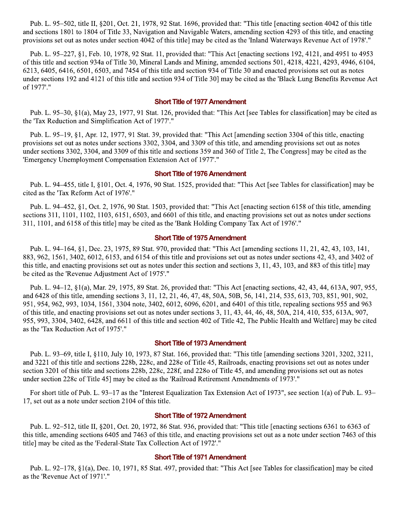Pub. L. 95–502, title II, §201, Oct. 21, 1978, 92 Stat. 1696, provided that: "This title [enacting section 4042 of this title and sections 1801 to 1804 of Title 33, Navigation and Navigable Waters, amending section 4293 of this title, and enacting provisions set out as notes under section 4042 of this title] may be cited as the 'Inland Waterways Revenue Act of 1978'."

Pub. L. 95–227, §1, Feb. 10, 1978, 92 Stat. 11, provided that: "This Act [enacting sections 192, 4121, and 4951 to 4953 of this title and section 934a of Title 30, Mineral Lands and Mining, amended sections 501, 4218, 4221, 4293, 4946, 6104, 6213, 6405, 6416, 6501, 6503, and 7454 of this title and section 934 of Title 30 and enacted provisions set out as notes under sections 192 and 4121 of this title and section 934 of Title 30] may be cited as the 'Black Lung Benefits Revenue Act of 1977'."

#### **Short Title of 1977 Amendment**

Pub. L. 95–30, §1(a), May 23, 1977, 91 Stat. 126, provided that: "This Act [see Tables for classification] may be cited as the 'Tax Reduction and Simplification Act of 1977'."

Pub. L. 95–19, §1, Apr. 12, 1977, 91 Stat. 39, provided that: "This Act [amending section 3304 of this title, enacting provisions set out as notes under sections 3302, 3304, and 3309 of this title, and amending provisions set out as notes under sections 3302, 3304, and 3309 of this title and sections 359 and 360 of Title 2, The Congress] may be cited as the 'Emergency Unemployment Compensation Extension Act of 1977'."

#### **Short Title of 1976 Amendment**

Pub. L. 94–455, title I, §101, Oct. 4, 1976, 90 Stat. 1525, provided that: "This Act [see Tables for classification] may be cited as the 'Tax Reform Act of 1976'."

Pub. L. 94–452, §1, Oct. 2, 1976, 90 Stat. 1503, provided that: "This Act [enacting section 6158 of this title, amending sections 311, 1101, 1102, 1103, 6151, 6503, and 6601 of this title, and enacting provisions set out as notes under sections 311, 1101, and 6158 of this title] may be cited as the 'Bank Holding Company Tax Act of 1976'."

#### **Short Title of 1975 Amendment**

Pub. L. 94–164, §1, Dec. 23, 1975, 89 Stat. 970, provided that: "This Act [amending sections 11, 21, 42, 43, 103, 141, 883, 962, 1561, 3402, 6012, 6153, and 6154 of this title and provisions set out as notes under sections 42, 43, and 3402 of this title, and enacting provisions set out as notes under this section and sections 3, 11, 43, 103, and 883 of this title may be cited as the 'Revenue Adjustment Act of 1975'."

Pub. L. 94–12, §1(a), Mar. 29, 1975, 89 Stat. 26, provided that: "This Act [enacting sections, 42, 43, 44, 613A, 907, 955, and 6428 of this title, amending sections 3, 11, 12, 21, 46, 47, 48, 50A, 50B, 56, 141, 214, 535, 613, 703, 851, 901, 902, 951, 954, 962, 993, 1034, 1561, 3304 note, 3402, 6012, 6096, 6201, and 6401 of this title, repealing sections 955 and 963 of this title, and enacting provisions set out as notes under sections 3, 11, 43, 44, 46, 48, 50A, 214, 410, 535, 613A, 907, 955, 993, 3304, 3402, 6428, and 6611 of this title and section 402 of Title 42. The Public Health and Welfarel may be cited as the 'Tax Reduction Act of 1975'."

#### **Short Title of 1973 Amendment**

Pub. L. 93–69, title I, §110, July 10, 1973, 87 Stat. 166, provided that: "This title [amending sections 3201, 3202, 3211, and 3221 of this title and sections 228b, 228c, and 228e of Title 45, Railroads, enacting provisions set out as notes under section 3201 of this title and sections 228b, 228c, 228f, and 228o of Title 45, and amending provisions set out as notes under section 228c of Title 45] may be cited as the 'Railroad Retirement Amendments of 1973'."

For short title of Pub. L. 93–17 as the "Interest Equalization Tax Extension Act of 1973", see section 1(a) of Pub. L. 93– 17, set out as a note under section 2104 of this title.

#### **Short Title of 1972 Amendment**

Pub. L. 92–512, title II, §201, Oct. 20, 1972, 86 Stat. 936, provided that: "This title [enacting sections 6361 to 6363 of this title, amending sections 6405 and 7463 of this title, and enacting provisions set out as a note under section 7463 of this title] may be cited as the 'Federal-State Tax Collection Act of 1972'."

#### **Short Title of 1971 Amendment**

Pub. L. 92–178, §1(a), Dec. 10, 1971, 85 Stat. 497, provided that: "This Act [see Tables for classification] may be cited as the 'Revenue Act of 1971'."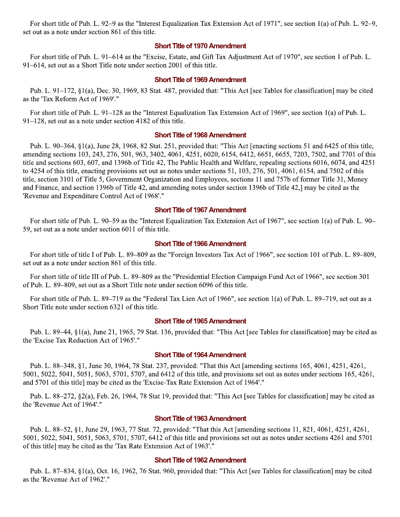For short title of Pub. L. 92–9 as the "Interest Equalization Tax Extension Act of 1971", see section 1(a) of Pub. L. 92–9, set out as a note under section 861 of this title.

#### **Short Title of 1970 Amendment**

For short title of Pub. L. 91–614 as the "Excise, Estate, and Gift Tax Adjustment Act of 1970", see section 1 of Pub. L. 91–614, set out as a Short Title note under section 2001 of this title.

#### **Short Title of 1969 Amendment**

Pub. L. 91–172, §1(a), Dec. 30, 1969, 83 Stat. 487, provided that: "This Act [see Tables for classification] may be cited as the 'Tax Reform Act of 1969'."

For short title of Pub. L. 91–128 as the "Interest Equalization Tax Extension Act of 1969", see section 1(a) of Pub. L.  $91-128$ , set out as a note under section 4182 of this title.

#### **Short Title of 1968 Amendment**

Pub. L. 90–364, §1(a), June 28, 1968, 82 Stat. 251, provided that: "This Act [enacting sections 51 and 6425 of this title, amending sections 103, 243, 276, 501, 963, 3402, 4061, 4251, 6020, 6154, 6412, 6651, 6655, 7203, 7502, and 7701 of this title and sections 603, 607, and 1396b of Title 42, The Public Health and Welfare, repealing sections 6016, 6074, and 4251 to 4254 of this title, enacting provisions set out as notes under sections 51, 103, 276, 501, 4061, 6154, and 7502 of this title, section 3101 of Title 5, Government Organization and Employees, sections 11 and 757b of former Title 31, Money and Finance, and section 1396b of Title 42, and amending notes under section 1396b of Title 42, may be cited as the 'Revenue and Expenditure Control Act of 1968'."

#### **Short Title of 1967 Amendment**

For short title of Pub. L. 90–59 as the "Interest Equalization Tax Extension Act of 1967", see section 1(a) of Pub. L. 90– 59, set out as a note under section 6011 of this title.

#### **Short Title of 1966 Amendment**

For short title of title I of Pub. L. 89–809 as the "Foreign Investors Tax Act of 1966", see section 101 of Pub. L. 89–809, set out as a note under section 861 of this title.

For short title of title III of Pub. L. 89-809 as the "Presidential Election Campaign Fund Act of 1966", see section 301 of Pub. L. 89–809, set out as a Short Title note under section 6096 of this title.

For short title of Pub. L. 89–719 as the "Federal Tax Lien Act of 1966", see section 1(a) of Pub. L. 89–719, set out as a Short Title note under section 6321 of this title.

#### **Short Title of 1965 Amendment**

Pub. L. 89–44, §1(a), June 21, 1965, 79 Stat. 136, provided that: "This Act [see Tables for classification] may be cited as the 'Excise Tax Reduction Act of 1965'."

#### **Short Title of 1964 Amendment**

Pub. L. 88–348, §1, June 30, 1964, 78 Stat. 237, provided: "That this Act [amending sections 165, 4061, 4251, 4261, 5001, 5022, 5041, 5051, 5063, 5701, 5707, and 6412 of this title, and provisions set out as notes under sections 165, 4261, and 5701 of this title] may be cited as the 'Excise-Tax Rate Extension Act of 1964'."

Pub. L. 88-272, §2(a), Feb. 26, 1964, 78 Stat 19, provided that: "This Act [see Tables for classification] may be cited as the 'Revenue Act of 1964'."

#### **Short Title of 1963 Amendment**

Pub. L. 88–52, §1, June 29, 1963, 77 Stat. 72, provided: "That this Act [amending sections 11, 821, 4061, 4251, 4261, 5001, 5022, 5041, 5051, 5063, 5701, 5707, 6412 of this title and provisions set out as notes under sections 4261 and 5701 of this title] may be cited as the 'Tax Rate Extension Act of 1963'."

#### **Short Title of 1962 Amendment**

Pub. L. 87–834, §1(a), Oct. 16, 1962, 76 Stat. 960, provided that: "This Act [see Tables for classification] may be cited as the 'Revenue Act of 1962'."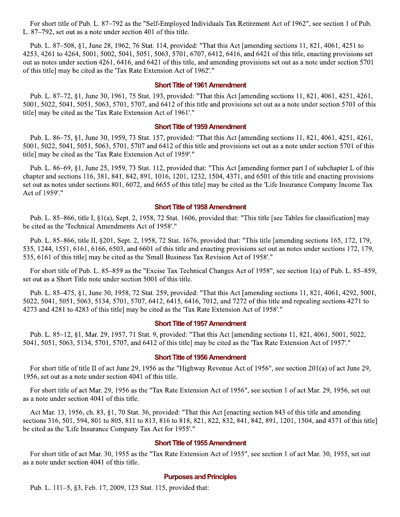For short title of Pub. L. 87–792 as the "Self-Employed Individuals Tax Retirement Act of 1962", see section 1 of Pub. L. 87–792, set out as a note under section 401 of this title.

Pub. L. 87–508, §1, June 28, 1962, 76 Stat. 114, provided: "That this Act [amending sections 11, 821, 4061, 4251 to 4253, 4261 to 4264, 5001, 5002, 5041, 5051, 5063, 5701, 6707, 6412, 6416, and 6421 of this title, enacting provisions set out as notes under section 4261, 6416, and 6421 of this title, and amending provisions set out as a note under section 5701 of this title] may be cited as the 'Tax Rate Extension Act of 1962'."

#### **Short Title of 1961 Amendment**

Pub. L. 87–72, §1, June 30, 1961, 75 Stat. 193, provided: "That this Act [amending sections 11, 821, 4061, 4251, 4261, 5001, 5022, 5041, 5051, 5063, 5701, 5707, and 6412 of this title and provisions set out as a note under section 5701 of this title] may be cited as the 'Tax Rate Extension Act of 1961'."

#### **Short Title of 1959 Amendment**

Pub. L. 86–75, §1, June 30, 1959, 73 Stat. 157, provided: "That this Act [amending sections 11, 821, 4061, 4251, 4261, 5001, 5022, 5041, 5051, 5063, 5701, 5707 and 6412 of this title and provisions set out as a note under section 5701 of this title] may be cited as the 'Tax Rate Extension Act of 1959'."

Pub. L. 86–69, §1, June 25, 1959, 73 Stat. 112, provided that: "This Act [amending former part I of subchapter L of this chapter and sections 116, 381, 841, 842, 891, 1016, 1201, 1232, 1504, 4371, and 6501 of this title and enacting provisions set out as notes under sections 801, 6072, and 6655 of this title] may be cited as the 'Life Insurance Company Income Tax Act of 1959'."

#### **Short Title of 1958 Amendment**

Pub. L. 85–866, title I, §1(a), Sept. 2, 1958, 72 Stat. 1606, provided that: "This title [see Tables for classification] may be cited as the 'Technical Amendments Act of 1958'."

Pub. L. 85–866, title II, §201, Sept. 2, 1958, 72 Stat. 1676, provided that: "This title [amending sections 165, 172, 179, 535, 1244, 1551, 6161, 6166, 6503, and 6601 of this title and enacting provisions set out as notes under sections 172, 179, 535, 6161 of this title] may be cited as the 'Small Business Tax Revision Act of 1958'."

For short title of Pub. L. 85–859 as the "Excise Tax Technical Changes Act of 1958", see section 1(a) of Pub. L. 85–859, set out as a Short Title note under section 5001 of this title.

Pub. L. 85-475, §1, June 30, 1958, 72 Stat. 259, provided: "That this Act [amending sections 11, 821, 4061, 4292, 5001, 5022, 5041, 5051, 5063, 5134, 5701, 5707, 6412, 6415, 6416, 7012, and 7272 of this title and repealing sections 4271 to 4273 and 4281 to 4283 of this title] may be cited as the 'Tax Rate Extension Act of 1958'."

#### **Short Title of 1957 Amendment**

Pub. L. 85–12, §1, Mar. 29, 1957, 71 Stat. 9, provided: "That this Act [amending sections 11, 821, 4061, 5001, 5022, 5041, 5051, 5063, 5134, 5701, 5707, and 6412 of this title] may be cited as the 'Tax Rate Extension Act of 1957'."

#### **Short Title of 1956 Amendment**

For short title of title II of act June 29, 1956 as the "Highway Revenue Act of 1956", see section 201(a) of act June 29, 1956, set out as a note under section 4041 of this title.

For short title of act Mar. 29, 1956 as the "Tax Rate Extension Act of 1956", see section 1 of act Mar. 29, 1956, set out as a note under section 4041 of this title.

Act Mar. 13, 1956, ch. 83, §1, 70 Stat. 36, provided: "That this Act [enacting section 843 of this title and amending sections 316, 501, 594, 801 to 805, 811 to 813, 816 to 818, 821, 822, 832, 841, 842, 891, 1201, 1504, and 4371 of this title] be cited as the 'Life Insurance Company Tax Act for 1955'."

#### **Short Title of 1955 Amendment**

For short title of act Mar. 30, 1955 as the "Tax Rate Extension Act of 1955", see section 1 of act Mar. 30, 1955, set out as a note under section 4041 of this title.

#### **Purposes and Principles**

Pub. L. 111-5, §3, Feb. 17, 2009, 123 Stat. 115, provided that: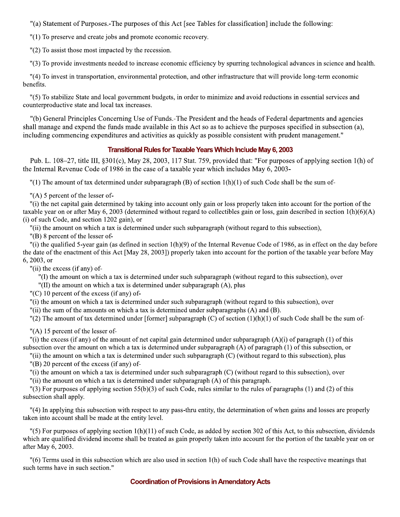"(a) Statement of Purposes. The purposes of this Act [see Tables for classification] include the following:

"(1) To preserve and create jobs and promote economic recovery.

 $"(2)$  To assist those most impacted by the recession.

"(3) To provide investments needed to increase economic efficiency by spurring technological advances in science and health.

"(4) To invest in transportation, environmental protection, and other infrastructure that will provide long-term economic benefits.

"(5) To stabilize State and local government budgets, in order to minimize and avoid reductions in essential services and counterproductive state and local tax increases.

"(b) General Principles Concerning Use of Funds.-The President and the heads of Federal departments and agencies shall manage and expend the funds made available in this Act so as to achieve the purposes specified in subsection (a). including commencing expenditures and activities as quickly as possible consistent with prudent management."

### **Transitional Rules for Taxable Years Which Include May 6, 2003**

Pub. L. 108–27, title III,  $\S301(c)$ , May 28, 2003, 117 Stat. 759, provided that: "For purposes of applying section 1(h) of the Internal Revenue Code of 1986 in the case of a taxable year which includes May 6, 2003-

"(1) The amount of tax determined under subparagraph (B) of section  $1(h)(1)$  of such Code shall be the sum of-

 $"$ (A) 5 percent of the lesser of-

"(i) the net capital gain determined by taking into account only gain or loss properly taken into account for the portion of the taxable year on or after May 6, 2003 (determined without regard to collectibles gain or loss, gain described in section  $1(h)(6)(A)$ (i) of such Code, and section 1202 gain), or

"(ii) the amount on which a tax is determined under such subparagraph (without regard to this subsection).

 $''(B)$  8 percent of the lesser of-

"(i) the qualified 5-year gain (as defined in section  $1(h)(9)$  of the Internal Revenue Code of 1986, as in effect on the day before the date of the enactment of this Act [May 28, 2003]) properly taken into account for the portion of the taxable year before May 6, 2003, or

"(ii) the excess (if any) of-

"(I) the amount on which a tax is determined under such subparagraph (without regard to this subsection), over

"(II) the amount on which a tax is determined under subparagraph (A), plus

 $(C)$  10 percent of the excess (if any) of-

"(i) the amount on which a tax is determined under such subparagraph (without regard to this subsection), over

"(ii) the sum of the amounts on which a tax is determined under subparagraphs  $(A)$  and  $(B)$ .

"(2) The amount of tax determined under [former] subparagraph (C) of section  $(1)(h)(1)$  of such Code shall be the sum of-

 $"$ (A) 15 percent of the lesser of-

"(i) the excess (if any) of the amount of net capital gain determined under subparagraph  $(A)(i)$  of paragraph  $(1)$  of this subsection over the amount on which a tax is determined under subparagraph (A) of paragraph (1) of this subsection, or

"(ii) the amount on which a tax is determined under such subparagraph (C) (without regard to this subsection), plus

 $''(B)$  20 percent of the excess (if any) of-

"(i) the amount on which a tax is determined under such subparagraph (C) (without regard to this subsection), over

"(ii) the amount on which a tax is determined under subparagraph (A) of this paragraph.

"(3) For purposes of applying section 55(b)(3) of such Code, rules similar to the rules of paragraphs (1) and (2) of this subsection shall apply.

"(4) In applying this subsection with respect to any pass-thru entity, the determination of when gains and losses are properly taken into account shall be made at the entity level.

"(5) For purposes of applying section  $1(h)(11)$  of such Code, as added by section 302 of this Act, to this subsection, dividends which are qualified dividend income shall be treated as gain properly taken into account for the portion of the taxable year on or after May 6, 2003.

 $\degree$  (6) Terms used in this subsection which are also used in section 1(h) of such Code shall have the respective meanings that such terms have in such section."

### **Coordination of Provisions in Amendatory Acts**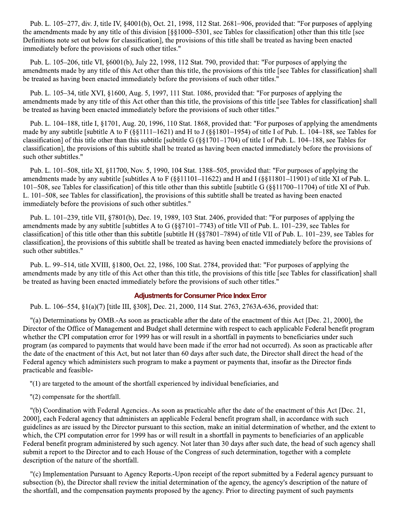Pub. L. 105–277, div. J, title IV, §4001(b), Oct. 21, 1998, 112 Stat. 2681–906, provided that: "For purposes of applying the amendments made by any title of this division [§§1000–5301, see Tables for classification] other than this title [see Definitions note set out below for classification], the provisions of this title shall be treated as having been enacted immediately before the provisions of such other titles."

Pub. L. 105-206, title VI, §6001(b), July 22, 1998, 112 Stat. 790, provided that: "For purposes of applying the amendments made by any title of this Act other than this title, the provisions of this title [see Tables for classification] shall be treated as having been enacted immediately before the provisions of such other titles."

Pub. L. 105-34, title XVI, §1600, Aug. 5, 1997, 111 Stat. 1086, provided that: "For purposes of applying the amendments made by any title of this Act other than this title, the provisions of this title [see Tables for classification] shall be treated as having been enacted immediately before the provisions of such other titles."

Pub. L. 104–188, title I, §1701, Aug. 20, 1996, 110 Stat. 1868, provided that: "For purposes of applying the amendments made by any subtitle [subtitle A to F (§§1111-1621) and H to J (§§1801-1954) of title I of Pub. L. 104-188, see Tables for classification] of this title other than this subtitle [subtitle G ( $\S$ §1701-1704) of title I of Pub. L. 104-188, see Tables for classification], the provisions of this subtitle shall be treated as having been enacted immediately before the provisions of such other subtitles."

Pub. L. 101–508, title XI, §11700, Nov. 5, 1990, 104 Stat. 1388–505, provided that: "For purposes of applying the amendments made by any subtitle [subtitles A to F (§§11101–11622) and H and I (§§11801–11901) of title XI of Pub. L. 101–508, see Tables for classification] of this title other than this subtitle [subtitle G (§§11700–11704) of title XI of Pub. L. 101–508, see Tables for classification], the provisions of this subtitle shall be treated as having been enacted immediately before the provisions of such other subtitles."

Pub. L. 101-239, title VII, §7801(b), Dec. 19, 1989, 103 Stat. 2406, provided that: "For purposes of applying the amendments made by any subtitle [subtitles A to G  $(\frac{8}{97101} - 7743)$  of title VII of Pub. L. 101–239, see Tables for classification] of this title other than this subtitle [subtitle H  $(887801-7894)$  of title VII of Pub. L. 101–239, see Tables for classification], the provisions of this subtitle shall be treated as having been enacted immediately before the provisions of such other subtitles."

Pub. L. 99–514, title XVIII, §1800, Oct. 22, 1986, 100 Stat. 2784, provided that: "For purposes of applying the amendments made by any title of this Act other than this title, the provisions of this title [see Tables for classification] shall be treated as having been enacted immediately before the provisions of such other titles."

#### **Adjustments for Consumer Price Index Error**

Pub. L. 106–554, §1(a)(7) [title III, §308], Dec. 21, 2000, 114 Stat. 2763, 2763A-636, provided that:

"(a) Determinations by OMB.-As soon as practicable after the date of the enactment of this Act [Dec. 21, 2000], the Director of the Office of Management and Budget shall determine with respect to each applicable Federal benefit program whether the CPI computation error for 1999 has or will result in a shortfall in payments to beneficiaries under such program (as compared to payments that would have been made if the error had not occurred). As soon as practicable after the date of the enactment of this Act, but not later than 60 days after such date, the Director shall direct the head of the Federal agency which administers such program to make a payment or payments that, insofar as the Director finds practicable and feasible-

"(1) are targeted to the amount of the shortfall experienced by individual beneficiaries, and

"(2) compensate for the shortfall.

"(b) Coordination with Federal Agencies.-As soon as practicable after the date of the enactment of this Act [Dec. 21, 2000], each Federal agency that administers an applicable Federal benefit program shall, in accordance with such guidelines as are issued by the Director pursuant to this section, make an initial determination of whether, and the extent to which, the CPI computation error for 1999 has or will result in a shortfall in payments to beneficiaries of an applicable Federal benefit program administered by such agency. Not later than 30 days after such date, the head of such agency shall submit a report to the Director and to each House of the Congress of such determination, together with a complete description of the nature of the shortfall.

"(c) Implementation Pursuant to Agency Reports.-Upon receipt of the report submitted by a Federal agency pursuant to subsection (b), the Director shall review the initial determination of the agency, the agency's description of the nature of the shortfall, and the compensation payments proposed by the agency. Prior to directing payment of such payments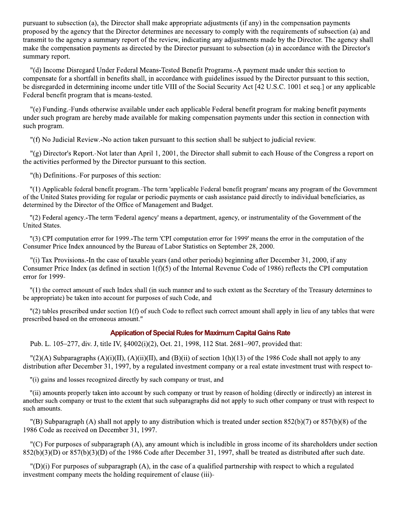pursuant to subsection (a), the Director shall make appropriate adjustments (if any) in the compensation payments proposed by the agency that the Director determines are necessary to comply with the requirements of subsection (a) and transmit to the agency a summary report of the review, indicating any adjustments made by the Director. The agency shall make the compensation payments as directed by the Director pursuant to subsection (a) in accordance with the Director's summary report.

"(d) Income Disregard Under Federal Means-Tested Benefit Programs.-A payment made under this section to compensate for a shortfall in benefits shall, in accordance with guidelines issued by the Director pursuant to this section, be disregarded in determining income under title VIII of the Social Security Act [42 U.S.C. 1001 et seq.] or any applicable Federal benefit program that is means-tested.

"(e) Funding.-Funds otherwise available under each applicable Federal benefit program for making benefit payments under such program are hereby made available for making compensation payments under this section in connection with such program.

"(f) No Judicial Review.-No action taken pursuant to this section shall be subject to judicial review.

"(g) Director's Report.-Not later than April 1, 2001, the Director shall submit to each House of the Congress a report on the activities performed by the Director pursuant to this section.

"(h) Definitions.-For purposes of this section:

"(1) Applicable federal benefit program.-The term 'applicable Federal benefit program' means any program of the Government of the United States providing for regular or periodic payments or cash assistance paid directly to individual beneficiaries, as determined by the Director of the Office of Management and Budget.

"(2) Federal agency.-The term 'Federal agency' means a department, agency, or instrumentality of the Government of the United States.

"(3) CPI computation error for 1999. The term 'CPI computation error for 1999' means the error in the computation of the Consumer Price Index announced by the Bureau of Labor Statistics on September 28, 2000.

"(i) Tax Provisions.-In the case of taxable years (and other periods) beginning after December 31, 2000, if any Consumer Price Index (as defined in section  $1(f)(5)$  of the Internal Revenue Code of 1986) reflects the CPI computation error for 1999-

"(1) the correct amount of such Index shall (in such manner and to such extent as the Secretary of the Treasury determines to be appropriate) be taken into account for purposes of such Code, and

 $\frac{1}{2}$  tables prescribed under section 1(f) of such Code to reflect such correct amount shall apply in lieu of any tables that were prescribed based on the erroneous amount."

#### **Application of Special Rules for Maximum Capital Gains Rate**

Pub. L. 105–277, div. J, title IV, §4002(i)(2), Oct. 21, 1998, 112 Stat. 2681–907, provided that:

 $\binom{1}{2}$ (A) Subparagraphs (A)(i)(II), (A)(ii)(II), and (B)(ii) of section 1(h)(13) of the 1986 Code shall not apply to any distribution after December 31, 1997, by a regulated investment company or a real estate investment trust with respect to-

"(i) gains and losses recognized directly by such company or trust, and

"(ii) amounts properly taken into account by such company or trust by reason of holding (directly or indirectly) an interest in another such company or trust to the extent that such subparagraphs did not apply to such other company or trust with respect to such amounts.

"(B) Subparagraph (A) shall not apply to any distribution which is treated under section  $852(b)(7)$  or  $857(b)(8)$  of the 1986 Code as received on December 31, 1997.

"(C) For purposes of subparagraph (A), any amount which is includible in gross income of its shareholders under section  $852(b)(3)(D)$  or  $857(b)(3)(D)$  of the 1986 Code after December 31, 1997, shall be treated as distributed after such date.

 $"(\mathbf{D})(i)$  For purposes of subparagraph (A), in the case of a qualified partnership with respect to which a regulated investment company meets the holding requirement of clause (iii)-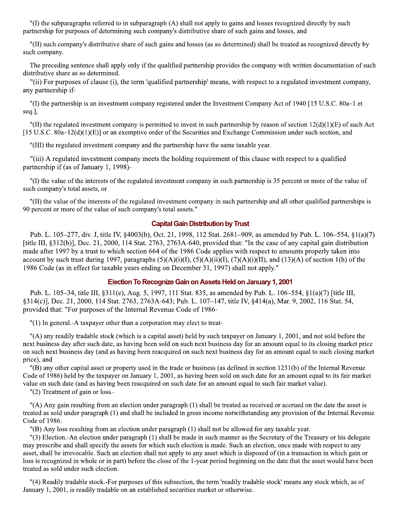"(I) the subparagraphs referred to in subparagraph (A) shall not apply to gains and losses recognized directly by such partnership for purposes of determining such company's distributive share of such gains and losses, and

"(II) such company's distributive share of such gains and losses (as so determined) shall be treated as recognized directly by such company.

The preceding sentence shall apply only if the qualified partnership provides the company with written documentation of such distributive share as so determined.

"(ii) For purposes of clause (i), the term 'qualified partnership' means, with respect to a regulated investment company, any partnership if-

"(I) the partnership is an investment company registered under the Investment Company Act of 1940 [15 U.S.C. 80a–1 et seq.],

"(II) the regulated investment company is permitted to invest in such partnership by reason of section  $12(d)(1)(E)$  of such Act [15 U.S.C. 80a–12(d)(1)(E)] or an exemptive order of the Securities and Exchange Commission under such section, and

"(III) the regulated investment company and the partnership have the same taxable year.

"(iii) A regulated investment company meets the holding requirement of this clause with respect to a qualified partnership if (as of January 1, 1998)-

"(I) the value of the interests of the regulated investment company in such partnership is 35 percent or more of the value of such company's total assets, or

"(II) the value of the interests of the regulated investment company in such partnership and all other qualified partnerships is 90 percent or more of the value of such company's total assets."

#### **Capital Gain Distribution by Trust**

Pub. L. 105–277, div. J, title IV, §4003(b), Oct. 21, 1998, 112 Stat. 2681–909, as amended by Pub. L. 106–554, §1(a)(7) [title III,  $\S 312(b)$ ], Dec. 21, 2000, 114 Stat. 2763, 2763A-640, provided that: "In the case of any capital gain distribution made after 1997 by a trust to which section 664 of the 1986 Code applies with respect to amounts properly taken into account by such trust during 1997, paragraphs  $(5)(A)(i)(I), (5)(A)(ii)(I), (7)(A)(i)(II),$  and  $(13)(A)$  of section 1(h) of the 1986 Code (as in effect for taxable years ending on December 31, 1997) shall not apply."

#### Election To Recognize Gain on Assets Held on January 1, 2001

Pub. L. 105–34, title III, §311(e), Aug. 5, 1997, 111 Stat. 835, as amended by Pub. L. 106–554, §1(a)(7) [title III, §314(c)], Dec. 21, 2000, 114 Stat. 2763, 2763A-643; Pub. L. 107-147, title IV, §414(a), Mar. 9, 2002, 116 Stat. 54, provided that: "For purposes of the Internal Revenue Code of 1986-

"(1) In general.-A taxpayer other than a corporation may elect to treat-

"(A) any readily tradable stock (which is a capital asset) held by such taxpayer on January 1, 2001, and not sold before the next business day after such date, as having been sold on such next business day for an amount equal to its closing market price on such next business day (and as having been reacquired on such next business day for an amount equal to such closing market price), and

"(B) any other capital asset or property used in the trade or business (as defined in section 1231(b) of the Internal Revenue Code of 1986) held by the taxpayer on January 1, 2001, as having been sold on such date for an amount equal to its fair market value on such date (and as having been reacquired on such date for an amount equal to such fair market value).

"(2) Treatment of gain or loss.-

"(A) Any gain resulting from an election under paragraph (1) shall be treated as received or accrued on the date the asset is treated as sold under paragraph (1) and shall be included in gross income notwithstanding any provision of the Internal Revenue Code of 1986.

"(B) Any loss resulting from an election under paragraph (1) shall not be allowed for any taxable year.

"(3) Election.-An election under paragraph (1) shall be made in such manner as the Secretary of the Treasury or his delegate may prescribe and shall specify the assets for which such election is made. Such an election, once made with respect to any asset, shall be irrevocable. Such an election shall not apply to any asset which is disposed of (in a transaction in which gain or loss is recognized in whole or in part) before the close of the 1-year period beginning on the date that the asset would have been treated as sold under such election.

"(4) Readily tradable stock.-For purposes of this subsection, the term 'readily tradable stock' means any stock which, as of January 1, 2001, is readily tradable on an established securities market or otherwise.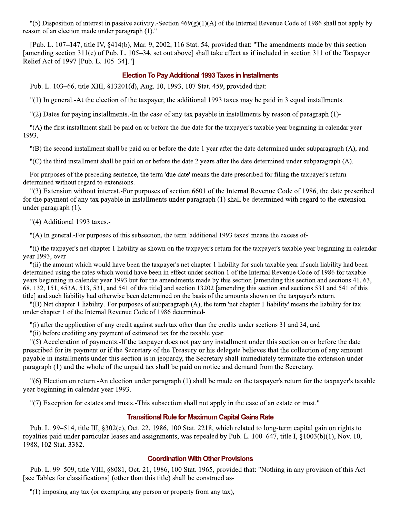"(5) Disposition of interest in passive activity.-Section  $469(g)(1)(A)$  of the Internal Revenue Code of 1986 shall not apply by reason of an election made under paragraph (1)."

[Pub. L. 107–147, title IV, §414(b), Mar. 9, 2002, 116 Stat. 54, provided that: "The amendments made by this section [amending section 311(e) of Pub. L. 105–34, set out above] shall take effect as if included in section 311 of the Taxpayer Relief Act of 1997 [Pub. L. 105-34]."]

#### **Election To Pay Additional 1993 Taxes in Installments**

Pub. L. 103–66, title XIII, §13201(d), Aug. 10, 1993, 107 Stat. 459, provided that:

"(1) In general.-At the election of the taxpayer, the additional 1993 taxes may be paid in 3 equal installments.

 $\Gamma(2)$  Dates for paying installments. In the case of any tax payable in installments by reason of paragraph (1)-

"(A) the first installment shall be paid on or before the due date for the taxpayer's taxable year beginning in calendar year 1993.

"(B) the second installment shall be paid on or before the date 1 year after the date determined under subparagraph (A), and

"(C) the third installment shall be paid on or before the date 2 years after the date determined under subparagraph (A).

For purposes of the preceding sentence, the term 'due date' means the date prescribed for filing the taxpayer's return determined without regard to extensions.

"(3) Extension without interest.-For purposes of section 6601 of the Internal Revenue Code of 1986, the date prescribed for the payment of any tax payable in installments under paragraph (1) shall be determined with regard to the extension under paragraph (1).

"(4) Additional 1993 taxes.-

"(A) In general. For purposes of this subsection, the term 'additional 1993 taxes' means the excess of-

"(i) the taxpayer's net chapter 1 liability as shown on the taxpayer's return for the taxpayer's taxable year beginning in calendar year 1993, over

"(ii) the amount which would have been the taxpayer's net chapter 1 liability for such taxable year if such liability had been determined using the rates which would have been in effect under section 1 of the Internal Revenue Code of 1986 for taxable years beginning in calendar year 1993 but for the amendments made by this section [amending this section and sections 41, 63, 68, 132, 151, 453A, 513, 531, and 541 of this title] and section 13202 [amending this section and sections 531 and 541 of this title] and such liability had otherwise been determined on the basis of the amounts shown on the taxpayer's return.

"(B) Net chapter 1 liability.-For purposes of subparagraph (A), the term 'net chapter 1 liability' means the liability for tax under chapter 1 of the Internal Revenue Code of 1986 determined-

"(i) after the application of any credit against such tax other than the credits under sections 31 and 34, and

"(ii) before crediting any payment of estimated tax for the taxable year.

"(5) Acceleration of payments. If the taxpayer does not pay any installment under this section on or before the date prescribed for its payment or if the Secretary of the Treasury or his delegate believes that the collection of any amount payable in installments under this section is in jeopardy, the Secretary shall immediately terminate the extension under paragraph (1) and the whole of the unpaid tax shall be paid on notice and demand from the Secretary.

"(6) Election on return.-An election under paragraph (1) shall be made on the taxpayer's return for the taxpayer's taxable year beginning in calendar year 1993.

"(7) Exception for estates and trusts.-This subsection shall not apply in the case of an estate or trust."

#### **Transitional Rule for Maximum Capital Gains Rate**

Pub. L. 99–514, title III, §302(c), Oct. 22, 1986, 100 Stat. 2218, which related to long-term capital gain on rights to royalties paid under particular leases and assignments, was repealed by Pub. L. 100–647, title I,  $\S1003(b)(1)$ , Nov. 10, 1988, 102 Stat. 3382.

#### **Coordination With Other Provisions**

Pub. L. 99-509, title VIII, §8081, Oct. 21, 1986, 100 Stat. 1965, provided that: "Nothing in any provision of this Act [see Tables for classifications] (other than this title) shall be construed as-

"(1) imposing any tax (or exempting any person or property from any tax),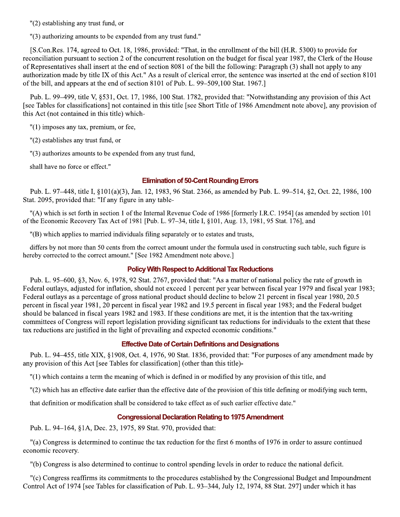"(2) establishing any trust fund, or

"(3) authorizing amounts to be expended from any trust fund."

[S.Con.Res. 174, agreed to Oct. 18, 1986, provided: "That, in the enrollment of the bill (H.R. 5300) to provide for reconciliation pursuant to section 2 of the concurrent resolution on the budget for fiscal year 1987, the Clerk of the House of Representatives shall insert at the end of section 8081 of the bill the following: Paragraph (3) shall not apply to any authorization made by title IX of this Act." As a result of clerical error, the sentence was inserted at the end of section 8101 of the bill, and appears at the end of section 8101 of Pub. L. 99–509,100 Stat. 1967.]

Pub. L. 99–499, title V, §531, Oct. 17, 1986, 100 Stat. 1782, provided that: "Notwithstanding any provision of this Act [see Tables for classifications] not contained in this title [see Short Title of 1986 Amendment note above], any provision of this Act (not contained in this title) which-

 $"(1)$  imposes any tax, premium, or fee,

"(2) establishes any trust fund, or

"(3) authorizes amounts to be expended from any trust fund,

shall have no force or effect."

#### **Elimination of 50-Cent Rounding Errors**

Pub. L. 97–448, title I, §101(a)(3), Jan. 12, 1983, 96 Stat. 2366, as amended by Pub. L. 99–514, §2, Oct. 22, 1986, 100 Stat. 2095, provided that: "If any figure in any table-

"(A) which is set forth in section 1 of the Internal Revenue Code of 1986 [formerly I.R.C. 1954] (as amended by section 101 of the Economic Recovery Tax Act of 1981 [Pub. L. 97–34, title I, §101, Aug. 13, 1981, 95 Stat. 176], and

"(B) which applies to married individuals filing separately or to estates and trusts,

differs by not more than 50 cents from the correct amount under the formula used in constructing such table, such figure is hereby corrected to the correct amount." [See 1982 Amendment note above.]

#### **Policy With Respect to Additional Tax Reductions**

Pub. L. 95–600, §3, Nov. 6, 1978, 92 Stat. 2767, provided that: "As a matter of national policy the rate of growth in Federal outlays, adjusted for inflation, should not exceed 1 percent per year between fiscal year 1979 and fiscal year 1983; Federal outlays as a percentage of gross national product should decline to below 21 percent in fiscal year 1980, 20.5 percent in fiscal year 1981, 20 percent in fiscal year 1982 and 19.5 percent in fiscal year 1983; and the Federal budget should be balanced in fiscal years 1982 and 1983. If these conditions are met, it is the intention that the tax-writing committees of Congress will report legislation providing significant tax reductions for individuals to the extent that these tax reductions are justified in the light of prevailing and expected economic conditions."

#### **Effective Date of Certain Definitions and Designations**

Pub. L. 94–455, title XIX, §1908, Oct. 4, 1976, 90 Stat. 1836, provided that: "For purposes of any amendment made by any provision of this Act [see Tables for classification] (other than this title)-

"(1) which contains a term the meaning of which is defined in or modified by any provision of this title, and

"(2) which has an effective date earlier than the effective date of the provision of this title defining or modifying such term,

that definition or modification shall be considered to take effect as of such earlier effective date."

#### **Congressional Declaration Relating to 1975 Amendment**

Pub. L. 94–164, §1A, Dec. 23, 1975, 89 Stat. 970, provided that:

"(a) Congress is determined to continue the tax reduction for the first 6 months of 1976 in order to assure continued economic recovery.

"(b) Congress is also determined to continue to control spending levels in order to reduce the national deficit.

"(c) Congress reaffirms its commitments to the procedures established by the Congressional Budget and Impoundment Control Act of 1974 [see Tables for classification of Pub. L. 93–344, July 12, 1974, 88 Stat. 297] under which it has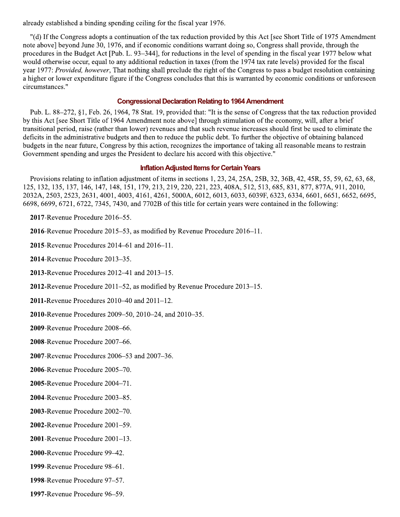already established a binding spending ceiling for the fiscal year 1976.

"(d) If the Congress adopts a continuation of the tax reduction provided by this Act [see Short Title of 1975 Amendment note above] beyond June 30, 1976, and if economic conditions warrant doing so, Congress shall provide, through the procedures in the Budget Act [Pub. L. 93–344], for reductions in the level of spending in the fiscal year 1977 below what would otherwise occur, equal to any additional reduction in taxes (from the 1974 tax rate levels) provided for the fiscal year 1977: Provided, however, That nothing shall preclude the right of the Congress to pass a budget resolution containing a higher or lower expenditure figure if the Congress concludes that this is warranted by economic conditions or unforeseen circumstances."

#### **Congressional Declaration Relating to 1964 Amendment**

Pub. L. 88–272, §1, Feb. 26, 1964, 78 Stat. 19, provided that: "It is the sense of Congress that the tax reduction provided by this Act [see Short Title of 1964 Amendment note above] through stimulation of the economy, will, after a brief transitional period, raise (rather than lower) revenues and that such revenue increases should first be used to eliminate the deficits in the administrative budgets and then to reduce the public debt. To further the objective of obtaining balanced budgets in the near future, Congress by this action, recognizes the importance of taking all reasonable means to restrain Government spending and urges the President to declare his accord with this objective."

#### **Inflation Adjusted Items for Certain Years**

Provisions relating to inflation adjustment of items in sections 1, 23, 24, 25A, 25B, 32, 36B, 42, 45R, 55, 59, 62, 63, 68, 125, 132, 135, 137, 146, 147, 148, 151, 179, 213, 219, 220, 221, 223, 408A, 512, 513, 685, 831, 877, 877A, 911, 2010, 2032A, 2503, 2523, 2631, 4001, 4003, 4161, 4261, 5000A, 6012, 6013, 6033, 6039F, 6323, 6334, 6601, 6651, 6652, 6695, 6698, 6699, 6721, 6722, 7345, 7430, and 7702B of this title for certain years were contained in the following:

2017-Revenue Procedure 2016–55.

2016-Revenue Procedure 2015–53, as modified by Revenue Procedure 2016–11.

2015-Revenue Procedures 2014–61 and 2016–11.

2014-Revenue Procedure 2013-35.

2013-Revenue Procedures 2012-41 and 2013-15.

**2012-Revenue Procedure 2011–52, as modified by Revenue Procedure 2013–15.** 

**2011-Revenue Procedures 2010–40 and 2011–12.** 

2010-Revenue Procedures 2009–50, 2010–24, and 2010–35.

2009-Revenue Procedure 2008-66.

2008-Revenue Procedure 2007-66.

2007-Revenue Procedures 2006-53 and 2007-36.

2006-Revenue Procedure 2005-70.

2005-Revenue Procedure 2004-71.

2004-Revenue Procedure 2003-85.

2003-Revenue Procedure 2002-70.

2002-Revenue Procedure 2001-59.

2001-Revenue Procedure 2001-13.

2000-Revenue Procedure 99-42.

1999-Revenue Procedure 98-61.

1998-Revenue Procedure 97-57.

1997-Revenue Procedure 96–59.